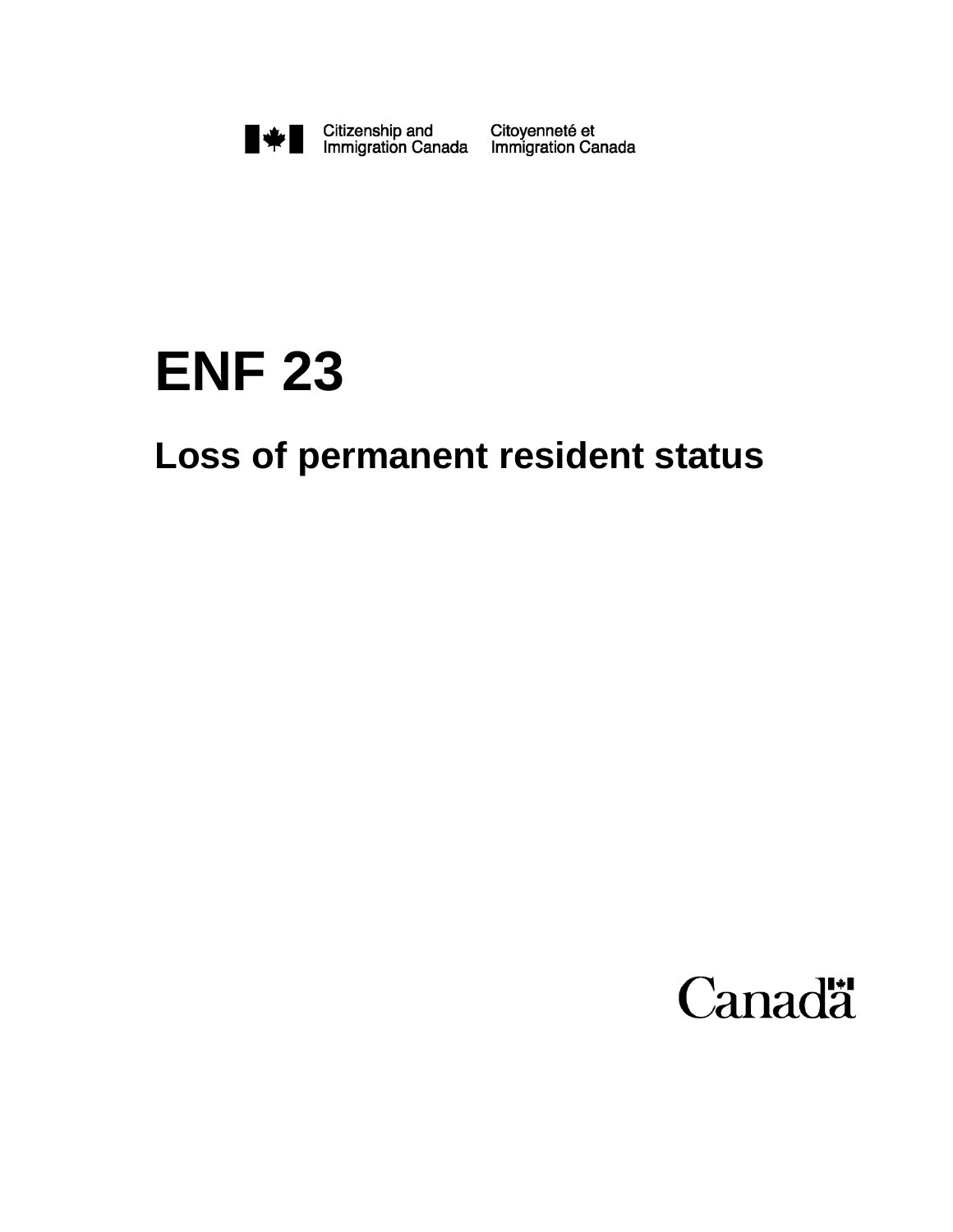

Citoyenneté et<br>Immigration Canada

# **ENF 23**

## **Loss of permanent resident status**

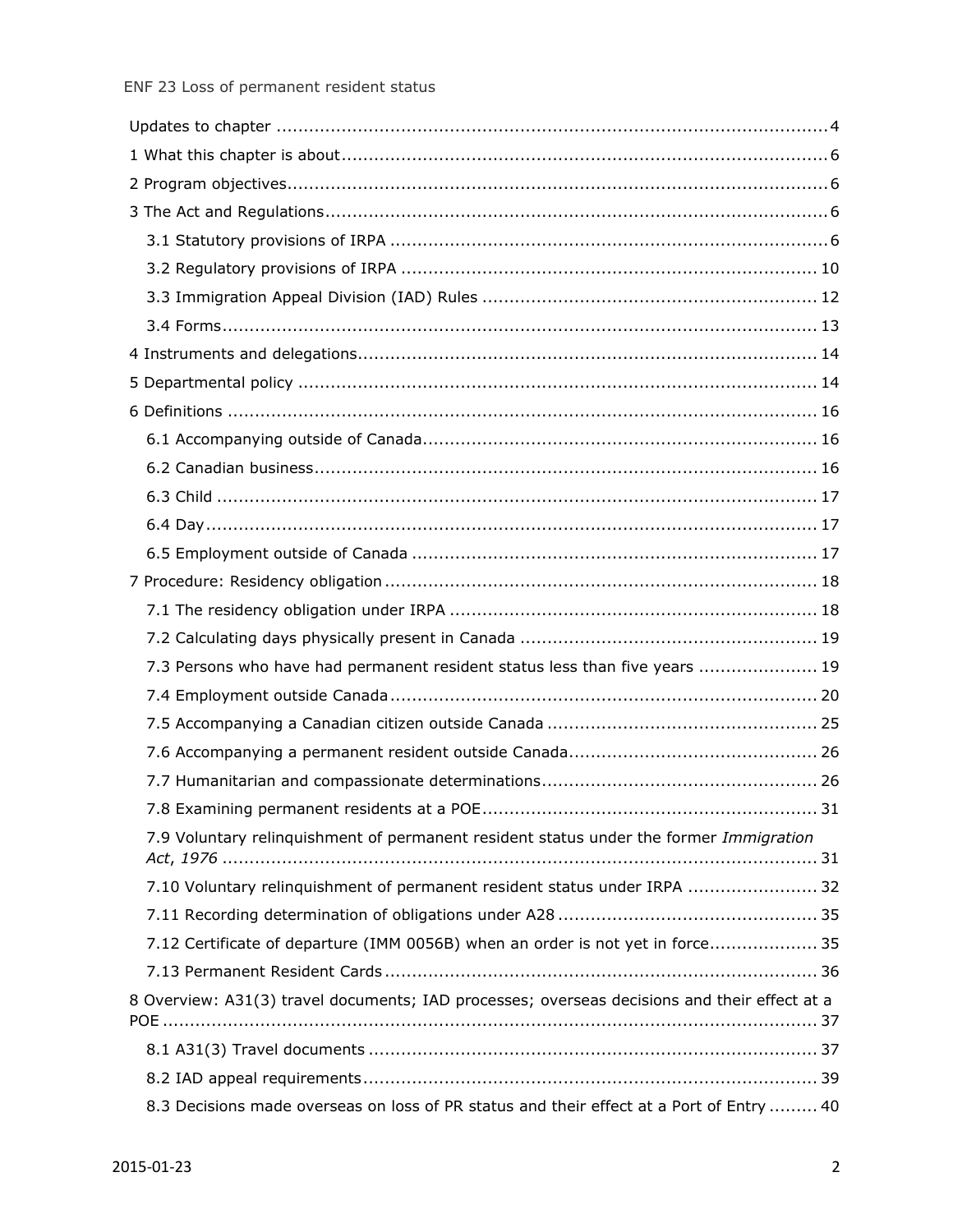| 7.3 Persons who have had permanent resident status less than five years  19                  |
|----------------------------------------------------------------------------------------------|
|                                                                                              |
|                                                                                              |
|                                                                                              |
|                                                                                              |
| 31                                                                                           |
| 7.9 Voluntary relinquishment of permanent resident status under the former Immigration       |
|                                                                                              |
| 7.10 Voluntary relinquishment of permanent resident status under IRPA  32                    |
|                                                                                              |
| 7.12 Certificate of departure (IMM 0056B) when an order is not yet in force 35               |
|                                                                                              |
| 8 Overview: A31(3) travel documents; IAD processes; overseas decisions and their effect at a |
|                                                                                              |
|                                                                                              |
| 8.3 Decisions made overseas on loss of PR status and their effect at a Port of Entry  40     |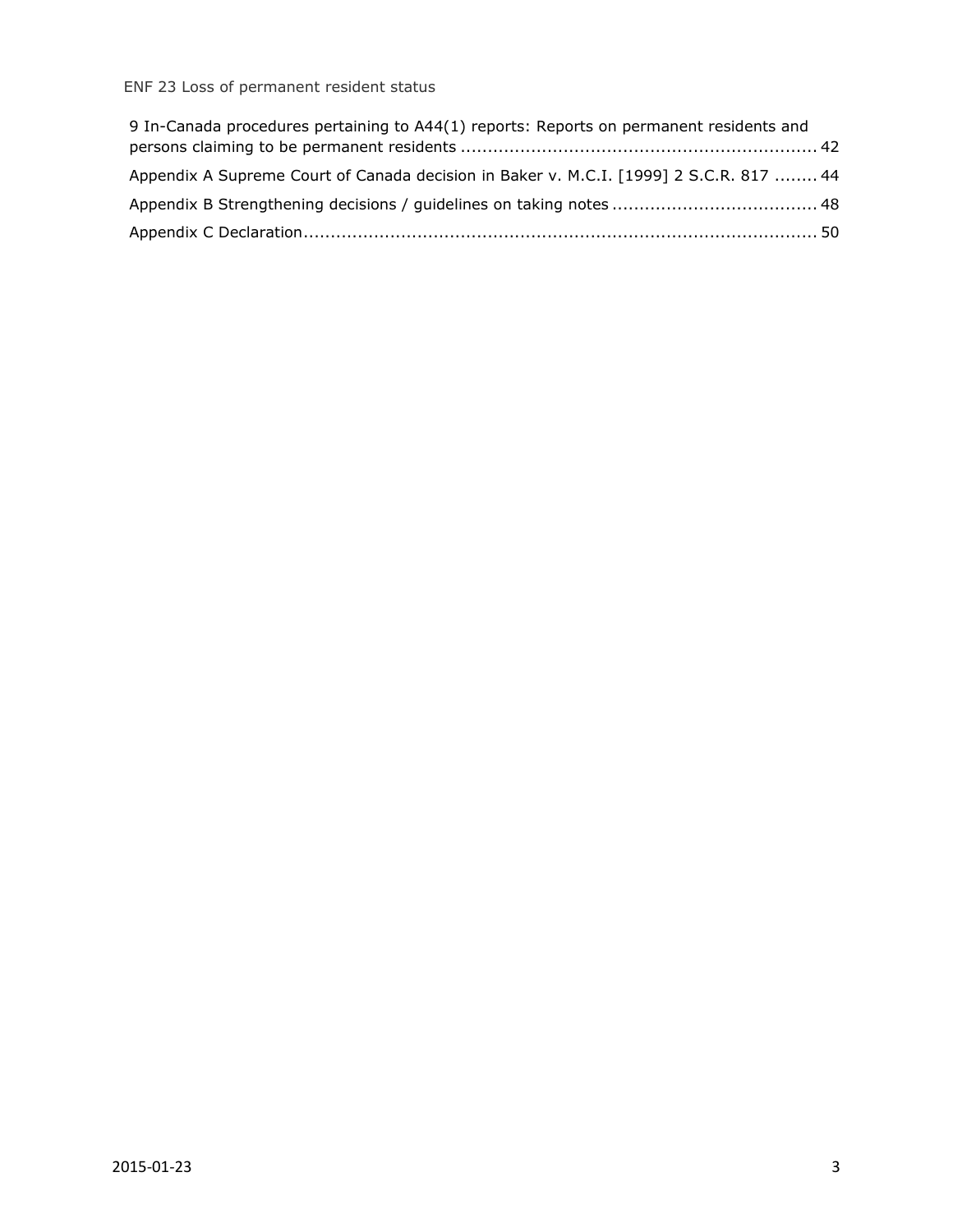#### ENF 23 Loss of permanent resident status

| 9 In-Canada procedures pertaining to A44(1) reports: Reports on permanent residents and |  |
|-----------------------------------------------------------------------------------------|--|
|                                                                                         |  |
| Appendix A Supreme Court of Canada decision in Baker v. M.C.I. [1999] 2 S.C.R. 817  44  |  |
|                                                                                         |  |
|                                                                                         |  |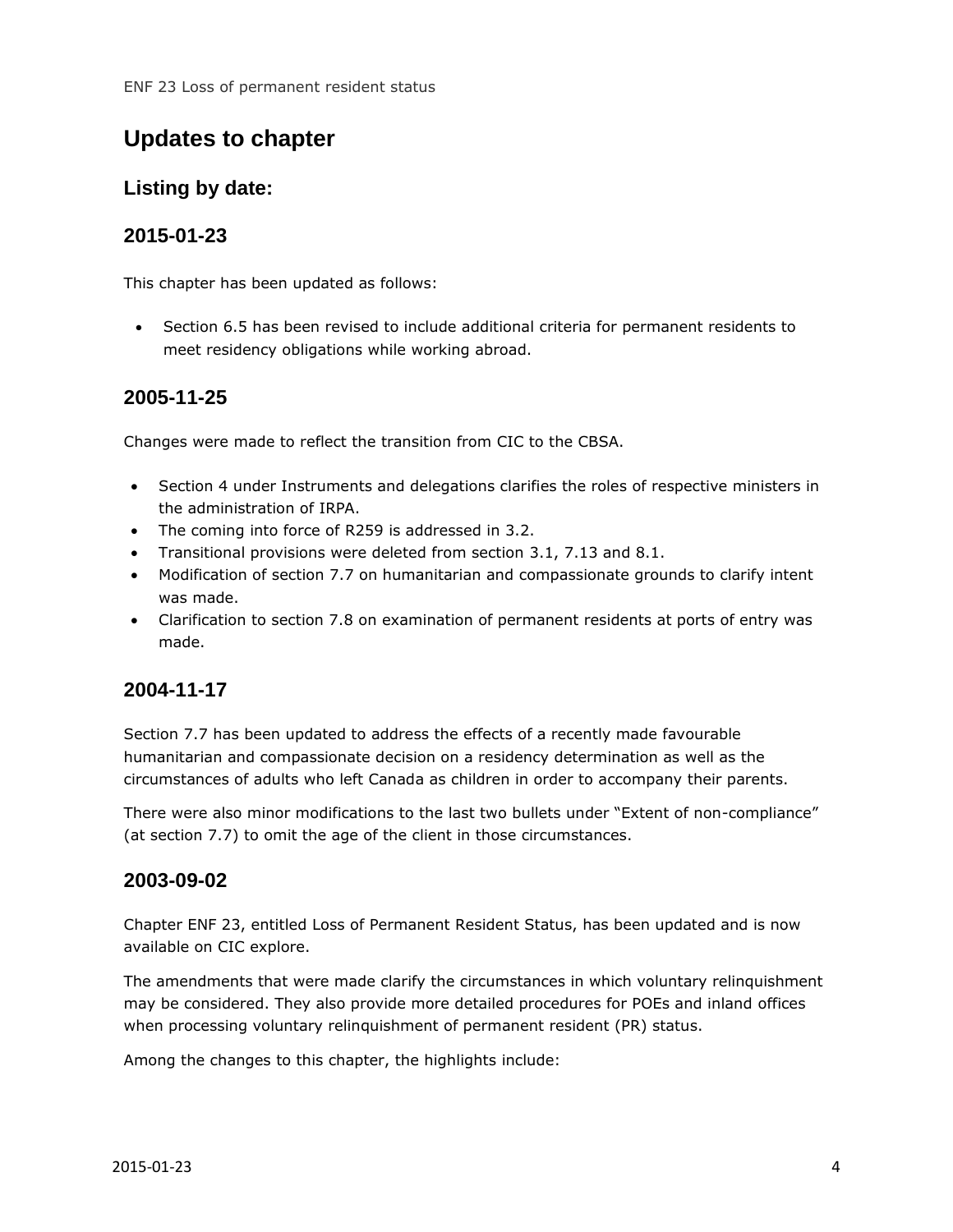## <span id="page-3-0"></span>**Updates to chapter**

#### **Listing by date:**

#### **2015-01-23**

This chapter has been updated as follows:

 Section 6.5 has been revised to include additional criteria for permanent residents to meet residency obligations while working abroad.

#### **2005-11-25**

Changes were made to reflect the transition from CIC to the CBSA.

- Section 4 under Instruments and delegations clarifies the roles of respective ministers in the administration of IRPA.
- The coming into force of R259 is addressed in 3.2.
- Transitional provisions were deleted from section 3.1, 7.13 and 8.1.
- Modification of section 7.7 on humanitarian and compassionate grounds to clarify intent was made.
- Clarification to section 7.8 on examination of permanent residents at ports of entry was made.

#### **2004-11-17**

Section 7.7 has been updated to address the effects of a recently made favourable humanitarian and compassionate decision on a residency determination as well as the circumstances of adults who left Canada as children in order to accompany their parents.

There were also minor modifications to the last two bullets under "Extent of non-compliance" (at section 7.7) to omit the age of the client in those circumstances.

#### **2003-09-02**

Chapter ENF 23, entitled Loss of Permanent Resident Status, has been updated and is now available on CIC explore.

The amendments that were made clarify the circumstances in which voluntary relinquishment may be considered. They also provide more detailed procedures for POEs and inland offices when processing voluntary relinquishment of permanent resident (PR) status.

Among the changes to this chapter, the highlights include: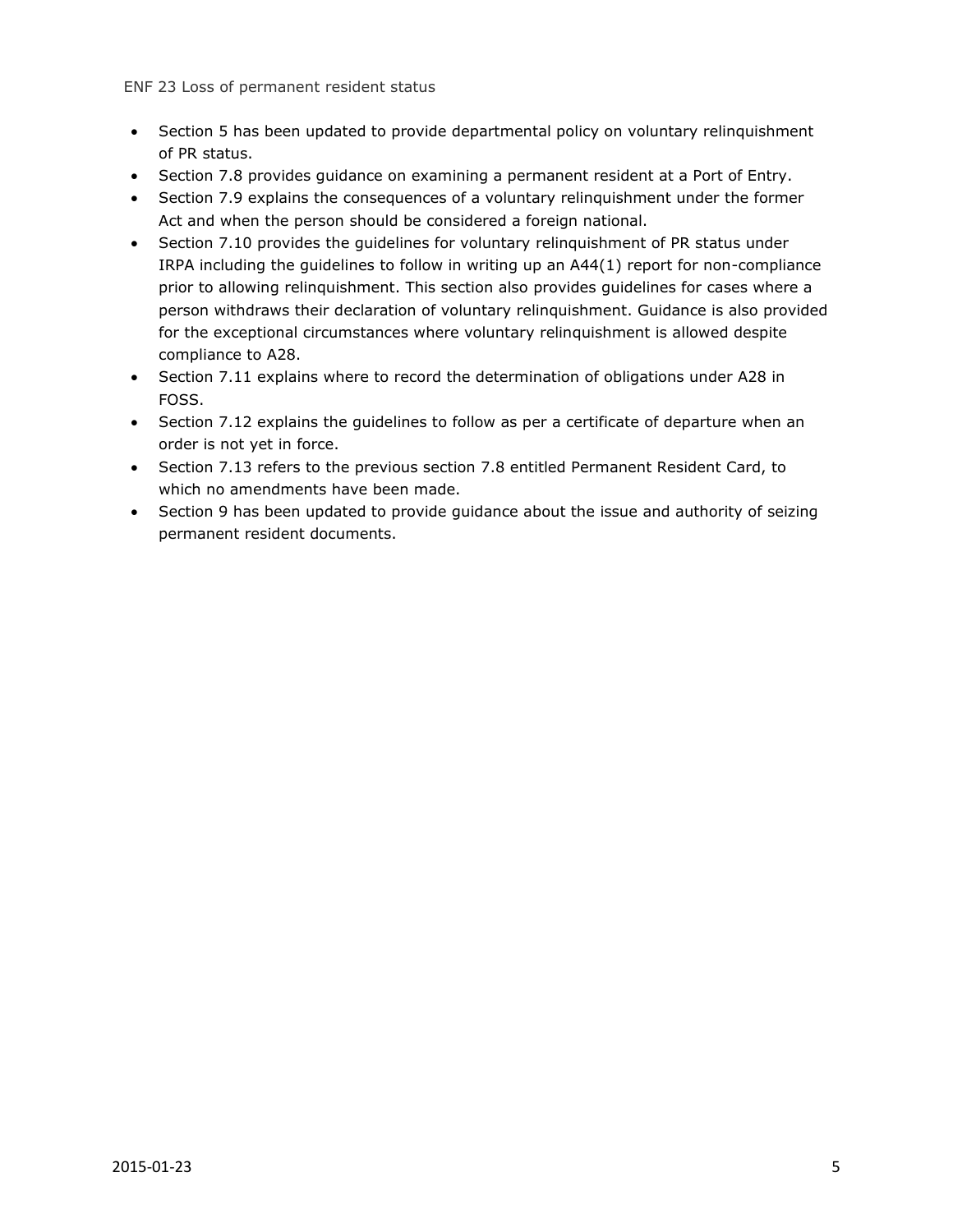- Section 5 has been updated to provide departmental policy on voluntary relinguishment of PR status.
- Section 7.8 provides guidance on examining a permanent resident at a Port of Entry.
- Section 7.9 explains the consequences of a voluntary relinquishment under the former Act and when the person should be considered a foreign national.
- Section 7.10 provides the quidelines for voluntary relinquishment of PR status under IRPA including the guidelines to follow in writing up an A44(1) report for non-compliance prior to allowing relinquishment. This section also provides guidelines for cases where a person withdraws their declaration of voluntary relinquishment. Guidance is also provided for the exceptional circumstances where voluntary relinquishment is allowed despite compliance to A28.
- Section 7.11 explains where to record the determination of obligations under A28 in FOSS.
- Section 7.12 explains the guidelines to follow as per a certificate of departure when an order is not yet in force.
- Section 7.13 refers to the previous section 7.8 entitled Permanent Resident Card, to which no amendments have been made.
- Section 9 has been updated to provide guidance about the issue and authority of seizing permanent resident documents.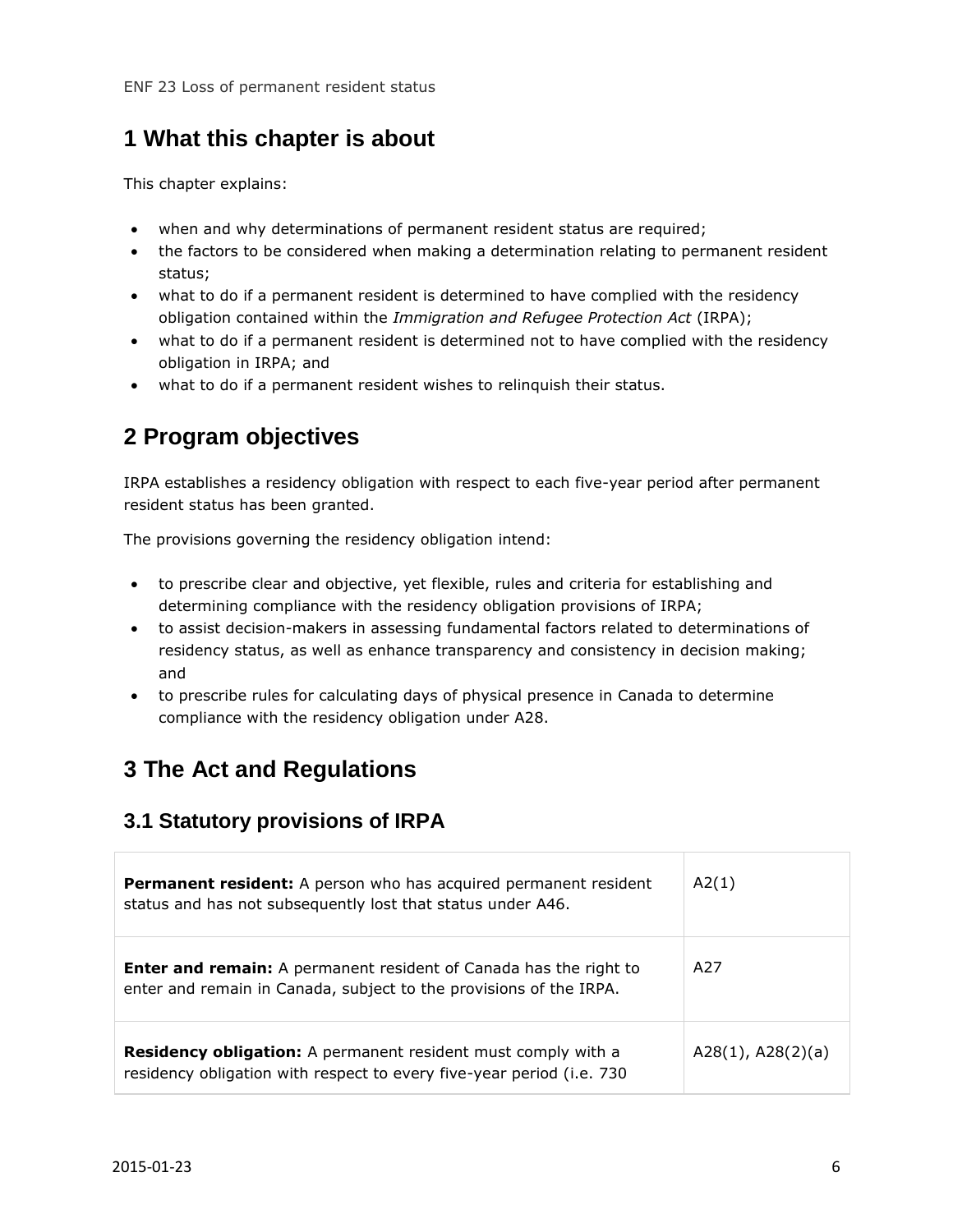## <span id="page-5-0"></span>**1 What this chapter is about**

This chapter explains:

- when and why determinations of permanent resident status are required;
- the factors to be considered when making a determination relating to permanent resident status;
- what to do if a permanent resident is determined to have complied with the residency obligation contained within the *Immigration and Refugee Protection Act* (IRPA);
- what to do if a permanent resident is determined not to have complied with the residency obligation in IRPA; and
- what to do if a permanent resident wishes to relinquish their status.

## <span id="page-5-1"></span>**2 Program objectives**

IRPA establishes a residency obligation with respect to each five-year period after permanent resident status has been granted.

The provisions governing the residency obligation intend:

- to prescribe clear and objective, yet flexible, rules and criteria for establishing and determining compliance with the residency obligation provisions of IRPA;
- to assist decision-makers in assessing fundamental factors related to determinations of residency status, as well as enhance transparency and consistency in decision making; and
- to prescribe rules for calculating days of physical presence in Canada to determine compliance with the residency obligation under A28.

## <span id="page-5-2"></span>**3 The Act and Regulations**

#### <span id="page-5-3"></span>**3.1 Statutory provisions of IRPA**

| Permanent resident: A person who has acquired permanent resident<br>status and has not subsequently lost that status under A46.                | A2(1)                  |
|------------------------------------------------------------------------------------------------------------------------------------------------|------------------------|
| <b>Enter and remain:</b> A permanent resident of Canada has the right to<br>enter and remain in Canada, subject to the provisions of the IRPA. | A27                    |
| <b>Residency obligation:</b> A permanent resident must comply with a<br>residency obligation with respect to every five-year period (i.e. 730  | $A28(1)$ , $A28(2)(a)$ |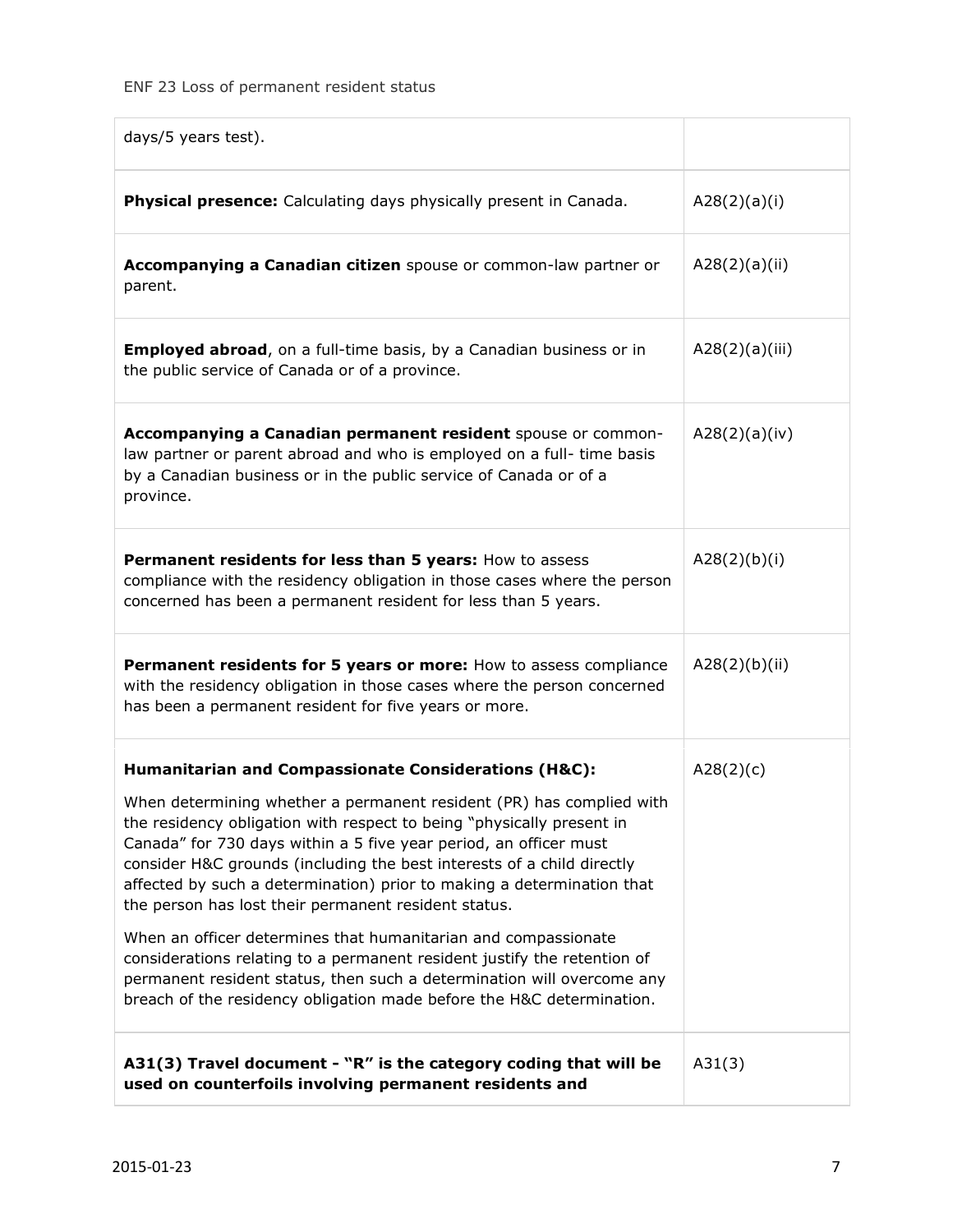| days/5 years test).                                                                                                                                                                                                                                                                                                                                                                                                            |                |
|--------------------------------------------------------------------------------------------------------------------------------------------------------------------------------------------------------------------------------------------------------------------------------------------------------------------------------------------------------------------------------------------------------------------------------|----------------|
| Physical presence: Calculating days physically present in Canada.                                                                                                                                                                                                                                                                                                                                                              | A28(2)(a)(i)   |
| Accompanying a Canadian citizen spouse or common-law partner or<br>parent.                                                                                                                                                                                                                                                                                                                                                     | A28(2)(a)(ii)  |
| <b>Employed abroad,</b> on a full-time basis, by a Canadian business or in<br>the public service of Canada or of a province.                                                                                                                                                                                                                                                                                                   | A28(2)(a)(iii) |
| Accompanying a Canadian permanent resident spouse or common-<br>law partner or parent abroad and who is employed on a full- time basis<br>by a Canadian business or in the public service of Canada or of a<br>province.                                                                                                                                                                                                       | A28(2)(a)(iv)  |
| Permanent residents for less than 5 years: How to assess<br>compliance with the residency obligation in those cases where the person<br>concerned has been a permanent resident for less than 5 years.                                                                                                                                                                                                                         | A28(2)(b)(i)   |
| Permanent residents for 5 years or more: How to assess compliance<br>with the residency obligation in those cases where the person concerned<br>has been a permanent resident for five years or more.                                                                                                                                                                                                                          | A28(2)(b)(ii)  |
| Humanitarian and Compassionate Considerations (H&C):                                                                                                                                                                                                                                                                                                                                                                           | A28(2)(c)      |
| When determining whether a permanent resident (PR) has complied with<br>the residency obligation with respect to being "physically present in<br>Canada" for 730 days within a 5 five year period, an officer must<br>consider H&C grounds (including the best interests of a child directly<br>affected by such a determination) prior to making a determination that<br>the person has lost their permanent resident status. |                |
| When an officer determines that humanitarian and compassionate<br>considerations relating to a permanent resident justify the retention of<br>permanent resident status, then such a determination will overcome any<br>breach of the residency obligation made before the H&C determination.                                                                                                                                  |                |
| A31(3) Travel document - "R" is the category coding that will be<br>used on counterfoils involving permanent residents and                                                                                                                                                                                                                                                                                                     | A31(3)         |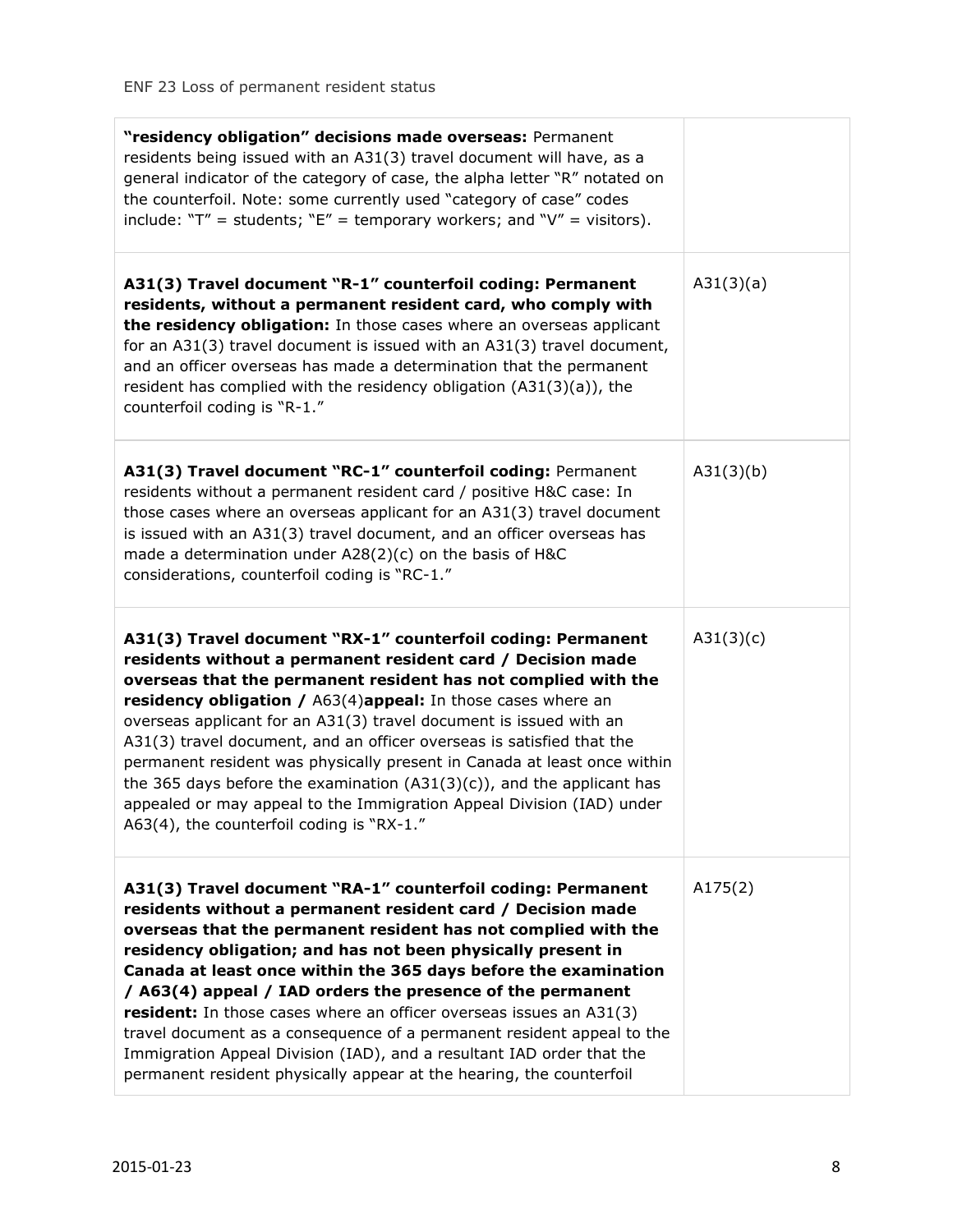| "residency obligation" decisions made overseas: Permanent<br>residents being issued with an A31(3) travel document will have, as a<br>general indicator of the category of case, the alpha letter "R" notated on<br>the counterfoil. Note: some currently used "category of case" codes<br>include: " $T''$ = students; " $E''$ = temporary workers; and " $V''$ = visitors).                                                                                                                                                                                                                                                                                                                   |           |
|-------------------------------------------------------------------------------------------------------------------------------------------------------------------------------------------------------------------------------------------------------------------------------------------------------------------------------------------------------------------------------------------------------------------------------------------------------------------------------------------------------------------------------------------------------------------------------------------------------------------------------------------------------------------------------------------------|-----------|
| A31(3) Travel document "R-1" counterfoil coding: Permanent<br>residents, without a permanent resident card, who comply with<br>the residency obligation: In those cases where an overseas applicant<br>for an A31(3) travel document is issued with an A31(3) travel document,<br>and an officer overseas has made a determination that the permanent<br>resident has complied with the residency obligation $(A31(3)(a))$ , the<br>counterfoil coding is "R-1."                                                                                                                                                                                                                                | A31(3)(a) |
| A31(3) Travel document "RC-1" counterfoil coding: Permanent<br>residents without a permanent resident card / positive H&C case: In<br>those cases where an overseas applicant for an A31(3) travel document<br>is issued with an A31(3) travel document, and an officer overseas has<br>made a determination under A28(2)(c) on the basis of H&C<br>considerations, counterfoil coding is "RC-1."                                                                                                                                                                                                                                                                                               | A31(3)(b) |
| A31(3) Travel document "RX-1" counterfoil coding: Permanent<br>residents without a permanent resident card / Decision made<br>overseas that the permanent resident has not complied with the<br>residency obligation / A63(4)appeal: In those cases where an<br>overseas applicant for an A31(3) travel document is issued with an<br>A31(3) travel document, and an officer overseas is satisfied that the<br>permanent resident was physically present in Canada at least once within<br>the 365 days before the examination $(A31(3)(c))$ , and the applicant has<br>appealed or may appeal to the Immigration Appeal Division (IAD) under<br>A63(4), the counterfoil coding is "RX-1."      | A31(3)(c) |
| A31(3) Travel document "RA-1" counterfoil coding: Permanent<br>residents without a permanent resident card / Decision made<br>overseas that the permanent resident has not complied with the<br>residency obligation; and has not been physically present in<br>Canada at least once within the 365 days before the examination<br>/ A63(4) appeal / IAD orders the presence of the permanent<br>resident: In those cases where an officer overseas issues an A31(3)<br>travel document as a consequence of a permanent resident appeal to the<br>Immigration Appeal Division (IAD), and a resultant IAD order that the<br>permanent resident physically appear at the hearing, the counterfoil | A175(2)   |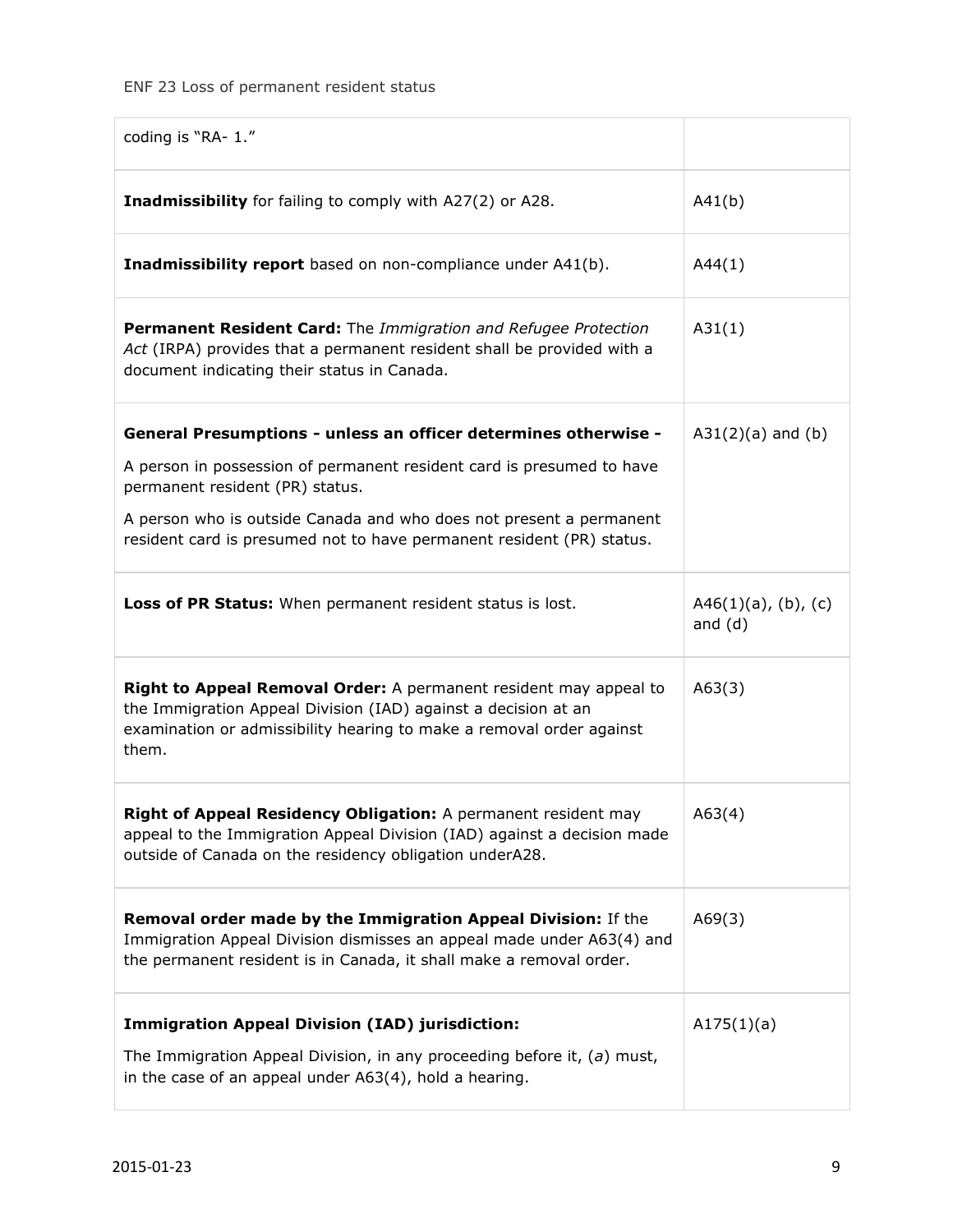| coding is "RA- 1."                                                                                                                                                                                                   |                                     |
|----------------------------------------------------------------------------------------------------------------------------------------------------------------------------------------------------------------------|-------------------------------------|
| Inadmissibility for failing to comply with A27(2) or A28.                                                                                                                                                            | A41(b)                              |
| Inadmissibility report based on non-compliance under A41(b).                                                                                                                                                         | A44(1)                              |
| Permanent Resident Card: The Immigration and Refugee Protection<br>Act (IRPA) provides that a permanent resident shall be provided with a<br>document indicating their status in Canada.                             | A31(1)                              |
| General Presumptions - unless an officer determines otherwise -                                                                                                                                                      | $A31(2)(a)$ and $(b)$               |
| A person in possession of permanent resident card is presumed to have<br>permanent resident (PR) status.                                                                                                             |                                     |
| A person who is outside Canada and who does not present a permanent<br>resident card is presumed not to have permanent resident (PR) status.                                                                         |                                     |
| Loss of PR Status: When permanent resident status is lost.                                                                                                                                                           | $A46(1)(a)$ , (b), (c)<br>and $(d)$ |
| Right to Appeal Removal Order: A permanent resident may appeal to<br>the Immigration Appeal Division (IAD) against a decision at an<br>examination or admissibility hearing to make a removal order against<br>them. | A63(3)                              |
| Right of Appeal Residency Obligation: A permanent resident may<br>appeal to the Immigration Appeal Division (IAD) against a decision made<br>outside of Canada on the residency obligation underA28.                 | A63(4)                              |
| Removal order made by the Immigration Appeal Division: If the<br>Immigration Appeal Division dismisses an appeal made under A63(4) and<br>the permanent resident is in Canada, it shall make a removal order.        | A69(3)                              |
| <b>Immigration Appeal Division (IAD) jurisdiction:</b><br>The Immigration Appeal Division, in any proceeding before it, $(a)$ must,<br>in the case of an appeal under A63(4), hold a hearing.                        | A175(1)(a)                          |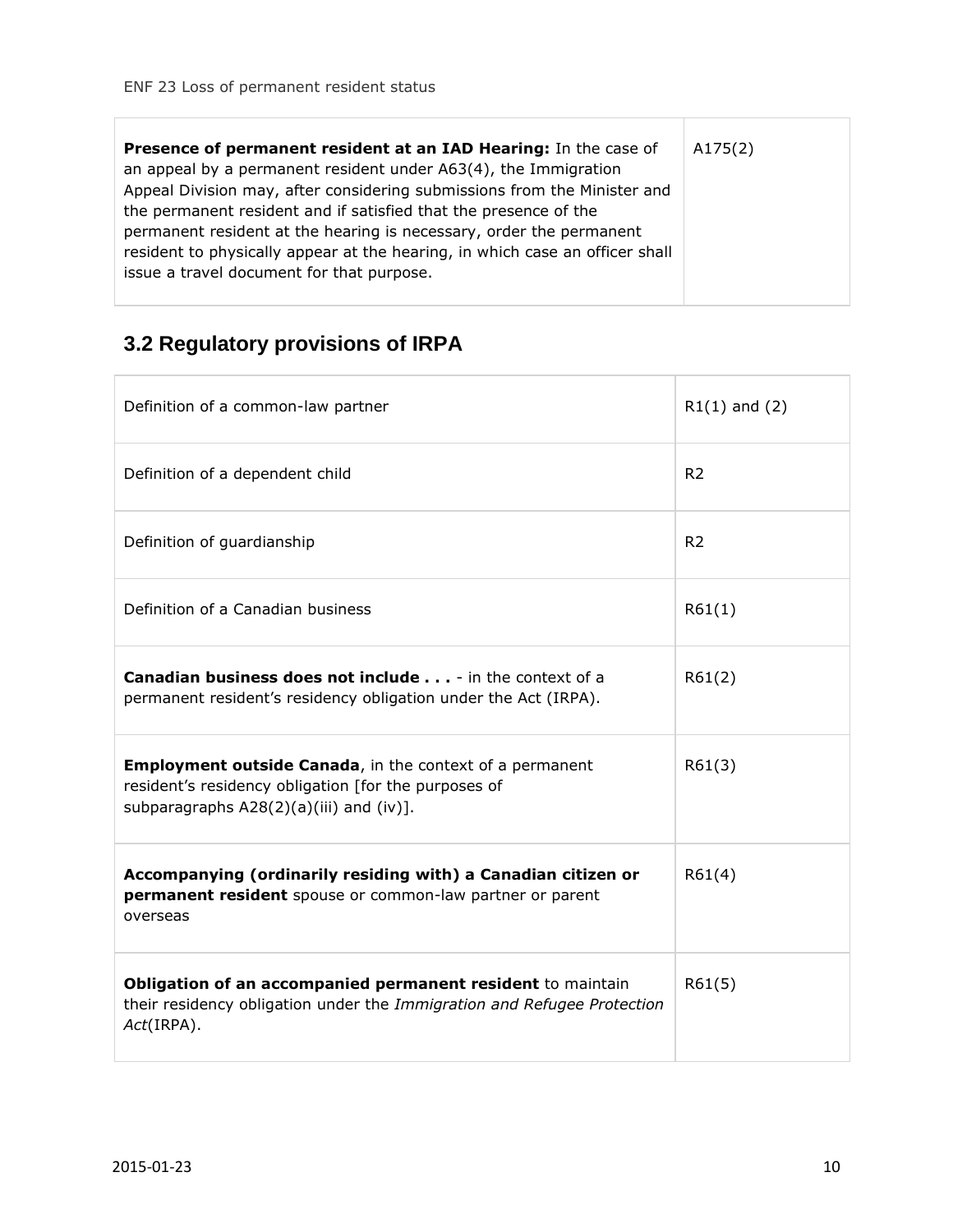| Presence of permanent resident at an IAD Hearing: In the case of<br>an appeal by a permanent resident under A63(4), the Immigration<br>Appeal Division may, after considering submissions from the Minister and<br>the permanent resident and if satisfied that the presence of the<br>permanent resident at the hearing is necessary, order the permanent<br>resident to physically appear at the hearing, in which case an officer shall<br>issue a travel document for that purpose. | A175(2) |
|-----------------------------------------------------------------------------------------------------------------------------------------------------------------------------------------------------------------------------------------------------------------------------------------------------------------------------------------------------------------------------------------------------------------------------------------------------------------------------------------|---------|
|-----------------------------------------------------------------------------------------------------------------------------------------------------------------------------------------------------------------------------------------------------------------------------------------------------------------------------------------------------------------------------------------------------------------------------------------------------------------------------------------|---------|

## <span id="page-9-0"></span>**3.2 Regulatory provisions of IRPA**

| Definition of a common-law partner                                                                                                                                      | $R1(1)$ and (2) |
|-------------------------------------------------------------------------------------------------------------------------------------------------------------------------|-----------------|
| Definition of a dependent child                                                                                                                                         | R <sub>2</sub>  |
| Definition of guardianship                                                                                                                                              | R <sub>2</sub>  |
| Definition of a Canadian business                                                                                                                                       | R61(1)          |
| <b>Canadian business does not include</b> - in the context of a<br>permanent resident's residency obligation under the Act (IRPA).                                      | R61(2)          |
| <b>Employment outside Canada, in the context of a permanent</b><br>resident's residency obligation [for the purposes of<br>subparagraphs $A28(2)(a)(iii)$ and $(iv)$ ]. | R61(3)          |
| Accompanying (ordinarily residing with) a Canadian citizen or<br>permanent resident spouse or common-law partner or parent<br>overseas                                  | R61(4)          |
| Obligation of an accompanied permanent resident to maintain<br>their residency obligation under the Immigration and Refugee Protection<br>Act(IRPA).                    | R61(5)          |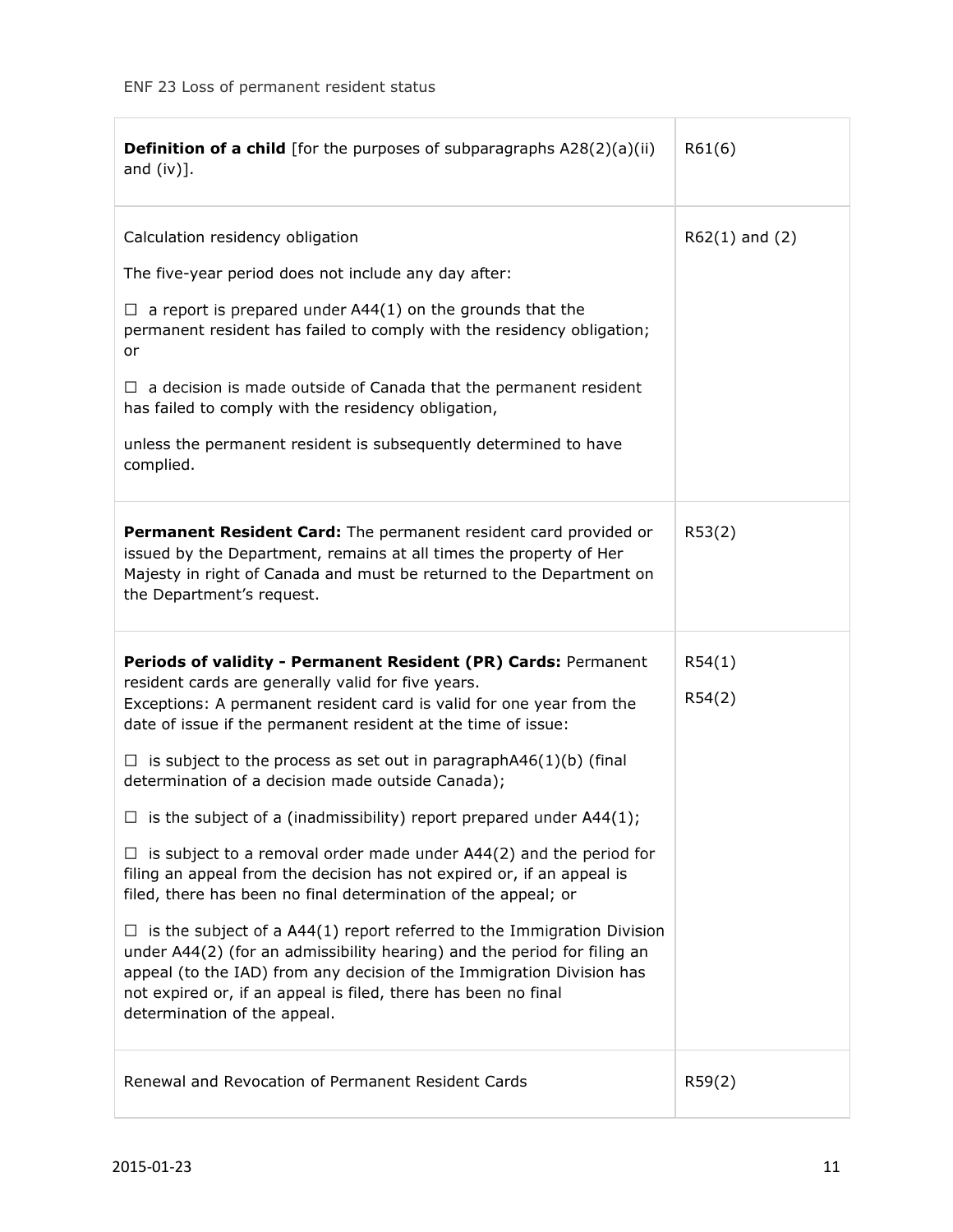| <b>Definition of a child</b> [for the purposes of subparagraphs A28(2)(a)(ii)<br>and $(iv)$ ].                                                                                                                                                                                                                                                                                                                                                                                                                                                                                                                                                                                                                                                                                                                                                                                                                                                                                                                                            | R61(6)             |
|-------------------------------------------------------------------------------------------------------------------------------------------------------------------------------------------------------------------------------------------------------------------------------------------------------------------------------------------------------------------------------------------------------------------------------------------------------------------------------------------------------------------------------------------------------------------------------------------------------------------------------------------------------------------------------------------------------------------------------------------------------------------------------------------------------------------------------------------------------------------------------------------------------------------------------------------------------------------------------------------------------------------------------------------|--------------------|
| Calculation residency obligation<br>The five-year period does not include any day after:<br>$\Box$ a report is prepared under A44(1) on the grounds that the<br>permanent resident has failed to comply with the residency obligation;<br>or<br>$\Box$ a decision is made outside of Canada that the permanent resident<br>has failed to comply with the residency obligation,<br>unless the permanent resident is subsequently determined to have<br>complied.                                                                                                                                                                                                                                                                                                                                                                                                                                                                                                                                                                           | $R62(1)$ and $(2)$ |
| <b>Permanent Resident Card:</b> The permanent resident card provided or<br>issued by the Department, remains at all times the property of Her<br>Majesty in right of Canada and must be returned to the Department on<br>the Department's request.                                                                                                                                                                                                                                                                                                                                                                                                                                                                                                                                                                                                                                                                                                                                                                                        | R53(2)             |
| Periods of validity - Permanent Resident (PR) Cards: Permanent<br>resident cards are generally valid for five years.<br>Exceptions: A permanent resident card is valid for one year from the<br>date of issue if the permanent resident at the time of issue:<br>$\Box$ is subject to the process as set out in paragraphA46(1)(b) (final<br>determination of a decision made outside Canada);<br>$\Box$ is the subject of a (inadmissibility) report prepared under A44(1);<br>is subject to a removal order made under A44(2) and the period for<br>ப<br>filing an appeal from the decision has not expired or, if an appeal is<br>filed, there has been no final determination of the appeal; or<br>is the subject of a A44(1) report referred to the Immigration Division<br>ப<br>under A44(2) (for an admissibility hearing) and the period for filing an<br>appeal (to the IAD) from any decision of the Immigration Division has<br>not expired or, if an appeal is filed, there has been no final<br>determination of the appeal. | R54(1)<br>R54(2)   |
| Renewal and Revocation of Permanent Resident Cards                                                                                                                                                                                                                                                                                                                                                                                                                                                                                                                                                                                                                                                                                                                                                                                                                                                                                                                                                                                        | R59(2)             |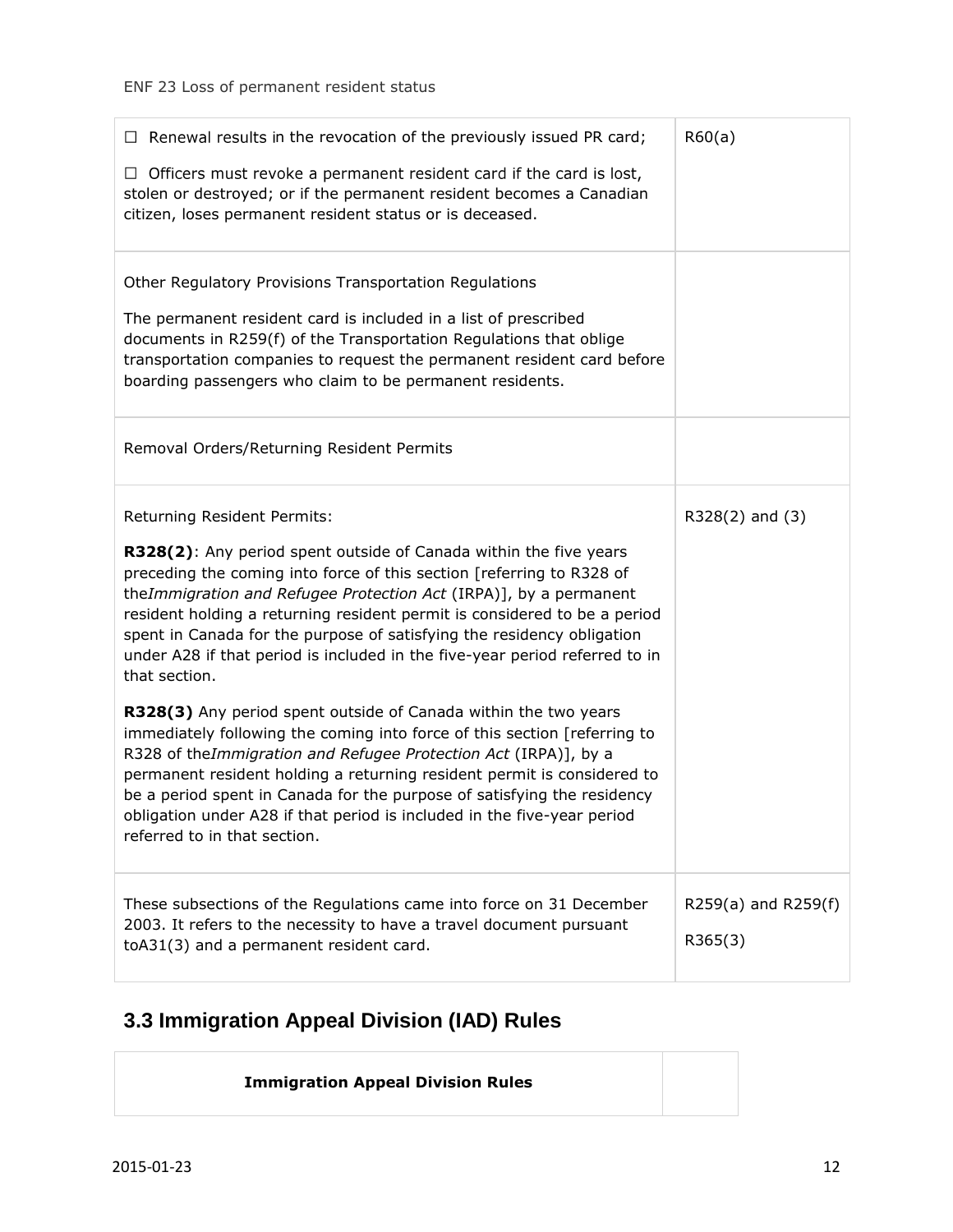| $\Box$ Renewal results in the revocation of the previously issued PR card;<br>$\Box$ Officers must revoke a permanent resident card if the card is lost,<br>stolen or destroyed; or if the permanent resident becomes a Canadian<br>citizen, loses permanent resident status or is deceased.                                                                                                                                                                                                                                                                                                                                                                                                                                                                                                                                                                                                                                                                                              | R60(a)                         |
|-------------------------------------------------------------------------------------------------------------------------------------------------------------------------------------------------------------------------------------------------------------------------------------------------------------------------------------------------------------------------------------------------------------------------------------------------------------------------------------------------------------------------------------------------------------------------------------------------------------------------------------------------------------------------------------------------------------------------------------------------------------------------------------------------------------------------------------------------------------------------------------------------------------------------------------------------------------------------------------------|--------------------------------|
| Other Regulatory Provisions Transportation Regulations<br>The permanent resident card is included in a list of prescribed<br>documents in R259(f) of the Transportation Regulations that oblige<br>transportation companies to request the permanent resident card before<br>boarding passengers who claim to be permanent residents.                                                                                                                                                                                                                                                                                                                                                                                                                                                                                                                                                                                                                                                     |                                |
| Removal Orders/Returning Resident Permits                                                                                                                                                                                                                                                                                                                                                                                                                                                                                                                                                                                                                                                                                                                                                                                                                                                                                                                                                 |                                |
| Returning Resident Permits:<br>R328(2): Any period spent outside of Canada within the five years<br>preceding the coming into force of this section [referring to R328 of<br>theImmigration and Refugee Protection Act (IRPA)], by a permanent<br>resident holding a returning resident permit is considered to be a period<br>spent in Canada for the purpose of satisfying the residency obligation<br>under A28 if that period is included in the five-year period referred to in<br>that section.<br>R328(3) Any period spent outside of Canada within the two years<br>immediately following the coming into force of this section [referring to<br>R328 of theImmigration and Refugee Protection Act (IRPA)], by a<br>permanent resident holding a returning resident permit is considered to<br>be a period spent in Canada for the purpose of satisfying the residency<br>obligation under A28 if that period is included in the five-year period<br>referred to in that section. | $R328(2)$ and $(3)$            |
| These subsections of the Regulations came into force on 31 December<br>2003. It refers to the necessity to have a travel document pursuant<br>toA31(3) and a permanent resident card.                                                                                                                                                                                                                                                                                                                                                                                                                                                                                                                                                                                                                                                                                                                                                                                                     | R259(a) and R259(f)<br>R365(3) |

## <span id="page-11-0"></span>**3.3 Immigration Appeal Division (IAD) Rules**

| <b>Immigration Appeal Division Rules</b> |  |
|------------------------------------------|--|
|                                          |  |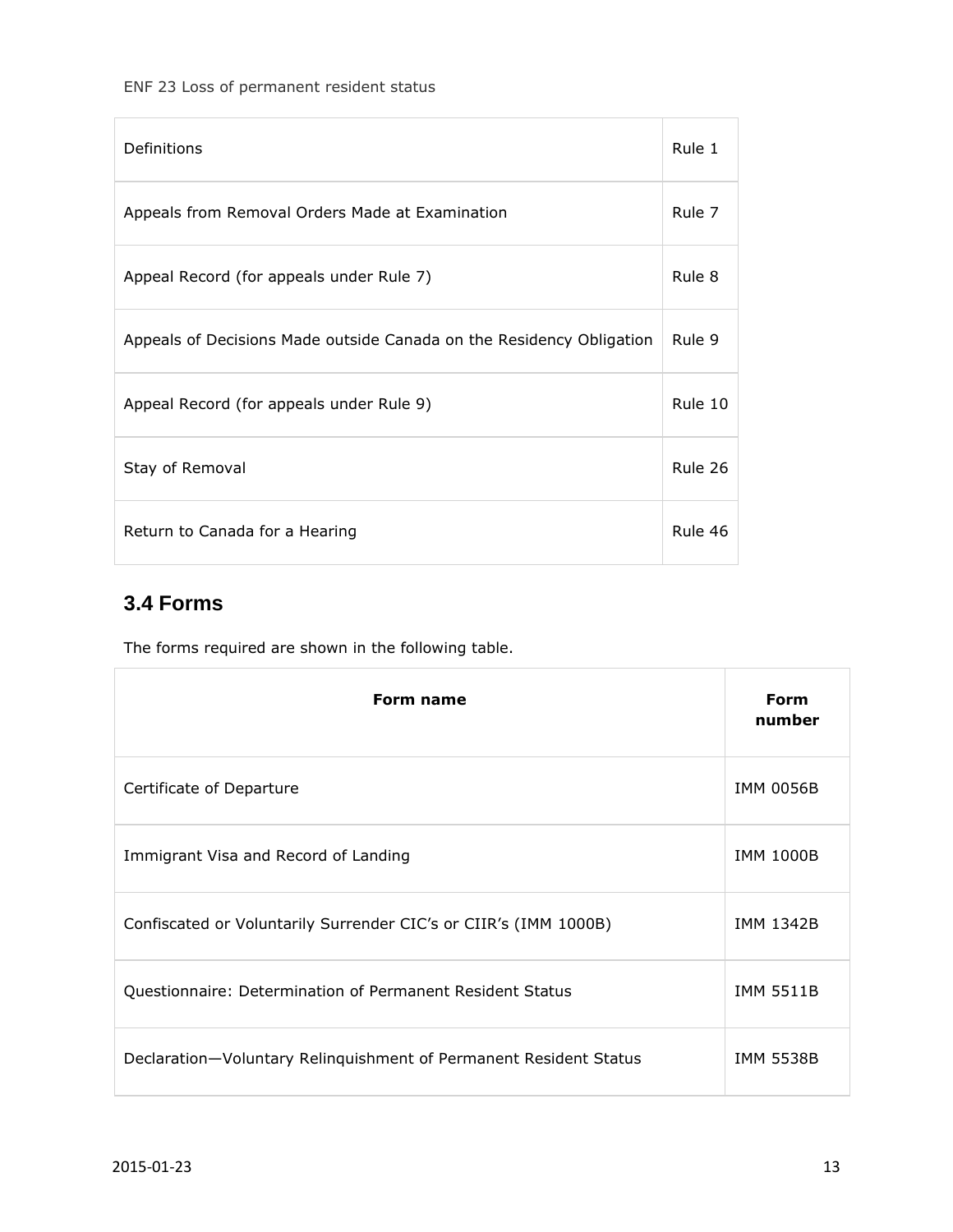| Definitions                                                          | Rule 1  |
|----------------------------------------------------------------------|---------|
| Appeals from Removal Orders Made at Examination                      | Rule 7  |
| Appeal Record (for appeals under Rule 7)                             | Rule 8  |
| Appeals of Decisions Made outside Canada on the Residency Obligation | Rule 9  |
| Appeal Record (for appeals under Rule 9)                             | Rule 10 |
| Stay of Removal                                                      | Rule 26 |
| Return to Canada for a Hearing                                       | Rule 46 |

## <span id="page-12-0"></span>**3.4 Forms**

The forms required are shown in the following table.

| Form name                                                         | Form<br>number   |
|-------------------------------------------------------------------|------------------|
| Certificate of Departure                                          | <b>IMM 0056B</b> |
| Immigrant Visa and Record of Landing                              | <b>IMM 1000B</b> |
| Confiscated or Voluntarily Surrender CIC's or CIIR's (IMM 1000B)  | <b>IMM 1342B</b> |
| Questionnaire: Determination of Permanent Resident Status         | <b>IMM 5511B</b> |
| Declaration-Voluntary Relinquishment of Permanent Resident Status | <b>IMM 5538B</b> |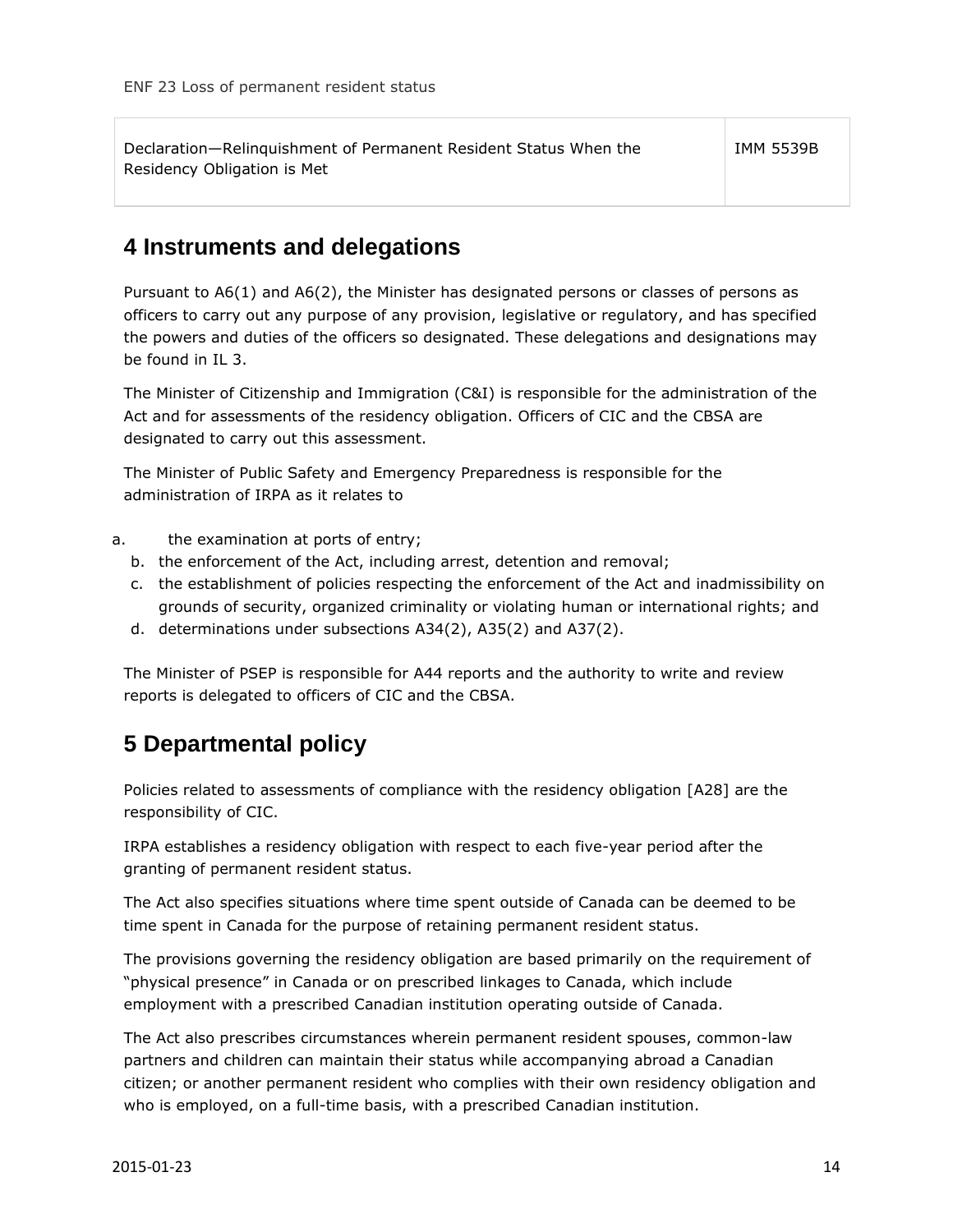| Declaration-Relinguishment of Permanent Resident Status When the | <b>IMM 5539B</b> |
|------------------------------------------------------------------|------------------|
| Residency Obligation is Met                                      |                  |

## <span id="page-13-0"></span>**4 Instruments and delegations**

Pursuant to A6(1) and A6(2), the Minister has designated persons or classes of persons as officers to carry out any purpose of any provision, legislative or regulatory, and has specified the powers and duties of the officers so designated. These delegations and designations may be found in IL 3.

The Minister of Citizenship and Immigration (C&I) is responsible for the administration of the Act and for assessments of the residency obligation. Officers of CIC and the CBSA are designated to carry out this assessment.

The Minister of Public Safety and Emergency Preparedness is responsible for the administration of IRPA as it relates to

- a. the examination at ports of entry;
	- b. the enforcement of the Act, including arrest, detention and removal;
	- c. the establishment of policies respecting the enforcement of the Act and inadmissibility on grounds of security, organized criminality or violating human or international rights; and
	- d. determinations under subsections A34(2), A35(2) and A37(2).

The Minister of PSEP is responsible for A44 reports and the authority to write and review reports is delegated to officers of CIC and the CBSA.

## <span id="page-13-1"></span>**5 Departmental policy**

Policies related to assessments of compliance with the residency obligation [A28] are the responsibility of CIC.

IRPA establishes a residency obligation with respect to each five-year period after the granting of permanent resident status.

The Act also specifies situations where time spent outside of Canada can be deemed to be time spent in Canada for the purpose of retaining permanent resident status.

The provisions governing the residency obligation are based primarily on the requirement of "physical presence" in Canada or on prescribed linkages to Canada, which include employment with a prescribed Canadian institution operating outside of Canada.

The Act also prescribes circumstances wherein permanent resident spouses, common-law partners and children can maintain their status while accompanying abroad a Canadian citizen; or another permanent resident who complies with their own residency obligation and who is employed, on a full-time basis, with a prescribed Canadian institution.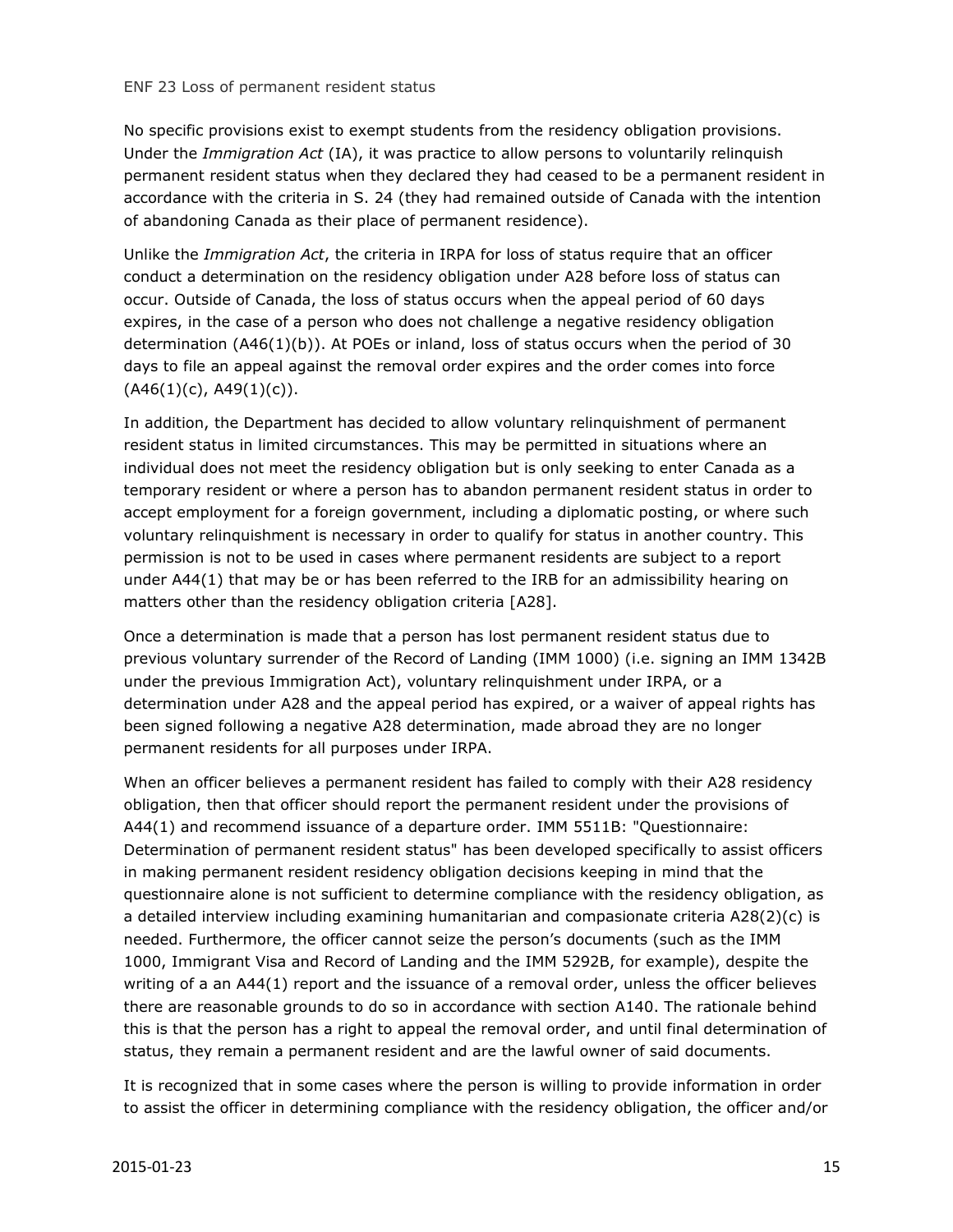No specific provisions exist to exempt students from the residency obligation provisions. Under the *Immigration Act* (IA), it was practice to allow persons to voluntarily relinquish permanent resident status when they declared they had ceased to be a permanent resident in accordance with the criteria in S. 24 (they had remained outside of Canada with the intention of abandoning Canada as their place of permanent residence).

Unlike the *Immigration Act*, the criteria in IRPA for loss of status require that an officer conduct a determination on the residency obligation under A28 before loss of status can occur. Outside of Canada, the loss of status occurs when the appeal period of 60 days expires, in the case of a person who does not challenge a negative residency obligation determination (A46(1)(b)). At POEs or inland, loss of status occurs when the period of 30 days to file an appeal against the removal order expires and the order comes into force  $(A46(1)(c), A49(1)(c)).$ 

In addition, the Department has decided to allow voluntary relinquishment of permanent resident status in limited circumstances. This may be permitted in situations where an individual does not meet the residency obligation but is only seeking to enter Canada as a temporary resident or where a person has to abandon permanent resident status in order to accept employment for a foreign government, including a diplomatic posting, or where such voluntary relinquishment is necessary in order to qualify for status in another country. This permission is not to be used in cases where permanent residents are subject to a report under A44(1) that may be or has been referred to the IRB for an admissibility hearing on matters other than the residency obligation criteria [A28].

Once a determination is made that a person has lost permanent resident status due to previous voluntary surrender of the Record of Landing (IMM 1000) (i.e. signing an IMM 1342B under the previous Immigration Act), voluntary relinquishment under IRPA, or a determination under A28 and the appeal period has expired, or a waiver of appeal rights has been signed following a negative A28 determination, made abroad they are no longer permanent residents for all purposes under IRPA.

When an officer believes a permanent resident has failed to comply with their A28 residency obligation, then that officer should report the permanent resident under the provisions of A44(1) and recommend issuance of a departure order. IMM 5511B: "Questionnaire: Determination of permanent resident status" has been developed specifically to assist officers in making permanent resident residency obligation decisions keeping in mind that the questionnaire alone is not sufficient to determine compliance with the residency obligation, as a detailed interview including examining humanitarian and compasionate criteria A28(2)(c) is needed. Furthermore, the officer cannot seize the person's documents (such as the IMM 1000, Immigrant Visa and Record of Landing and the IMM 5292B, for example), despite the writing of a an A44(1) report and the issuance of a removal order, unless the officer believes there are reasonable grounds to do so in accordance with section A140. The rationale behind this is that the person has a right to appeal the removal order, and until final determination of status, they remain a permanent resident and are the lawful owner of said documents.

It is recognized that in some cases where the person is willing to provide information in order to assist the officer in determining compliance with the residency obligation, the officer and/or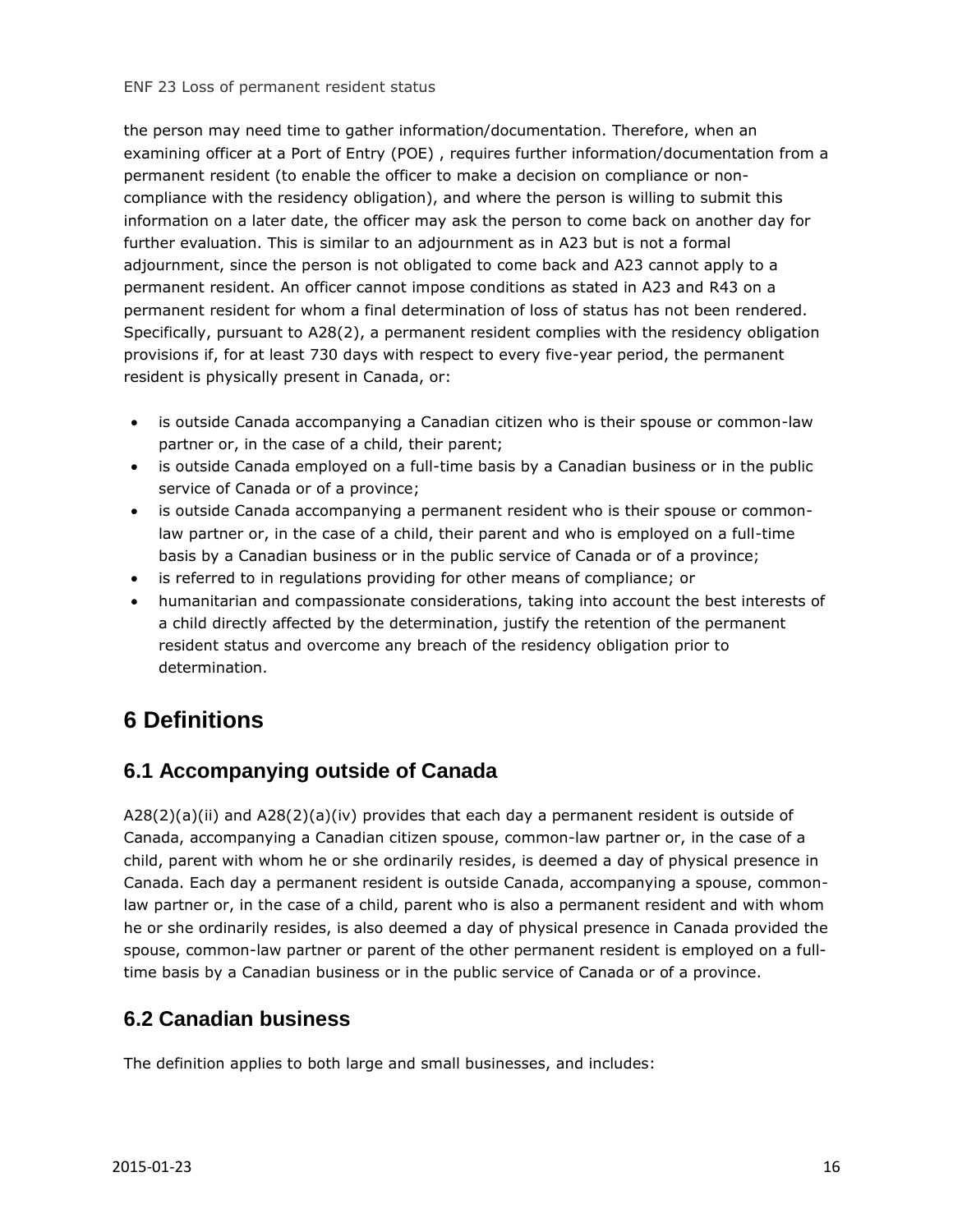the person may need time to gather information/documentation. Therefore, when an examining officer at a Port of Entry (POE) , requires further information/documentation from a permanent resident (to enable the officer to make a decision on compliance or noncompliance with the residency obligation), and where the person is willing to submit this information on a later date, the officer may ask the person to come back on another day for further evaluation. This is similar to an adjournment as in A23 but is not a formal adjournment, since the person is not obligated to come back and A23 cannot apply to a permanent resident. An officer cannot impose conditions as stated in A23 and R43 on a permanent resident for whom a final determination of loss of status has not been rendered. Specifically, pursuant to A28(2), a permanent resident complies with the residency obligation provisions if, for at least 730 days with respect to every five-year period, the permanent resident is physically present in Canada, or:

- is outside Canada accompanying a Canadian citizen who is their spouse or common-law partner or, in the case of a child, their parent;
- is outside Canada employed on a full-time basis by a Canadian business or in the public service of Canada or of a province;
- is outside Canada accompanying a permanent resident who is their spouse or commonlaw partner or, in the case of a child, their parent and who is employed on a full-time basis by a Canadian business or in the public service of Canada or of a province;
- is referred to in regulations providing for other means of compliance; or
- humanitarian and compassionate considerations, taking into account the best interests of a child directly affected by the determination, justify the retention of the permanent resident status and overcome any breach of the residency obligation prior to determination.

## <span id="page-15-0"></span>**6 Definitions**

#### <span id="page-15-1"></span>**6.1 Accompanying outside of Canada**

 $A28(2)(a)(ii)$  and  $A28(2)(a)(iv)$  provides that each day a permanent resident is outside of Canada, accompanying a Canadian citizen spouse, common-law partner or, in the case of a child, parent with whom he or she ordinarily resides, is deemed a day of physical presence in Canada. Each day a permanent resident is outside Canada, accompanying a spouse, commonlaw partner or, in the case of a child, parent who is also a permanent resident and with whom he or she ordinarily resides, is also deemed a day of physical presence in Canada provided the spouse, common-law partner or parent of the other permanent resident is employed on a fulltime basis by a Canadian business or in the public service of Canada or of a province.

#### <span id="page-15-2"></span>**6.2 Canadian business**

The definition applies to both large and small businesses, and includes: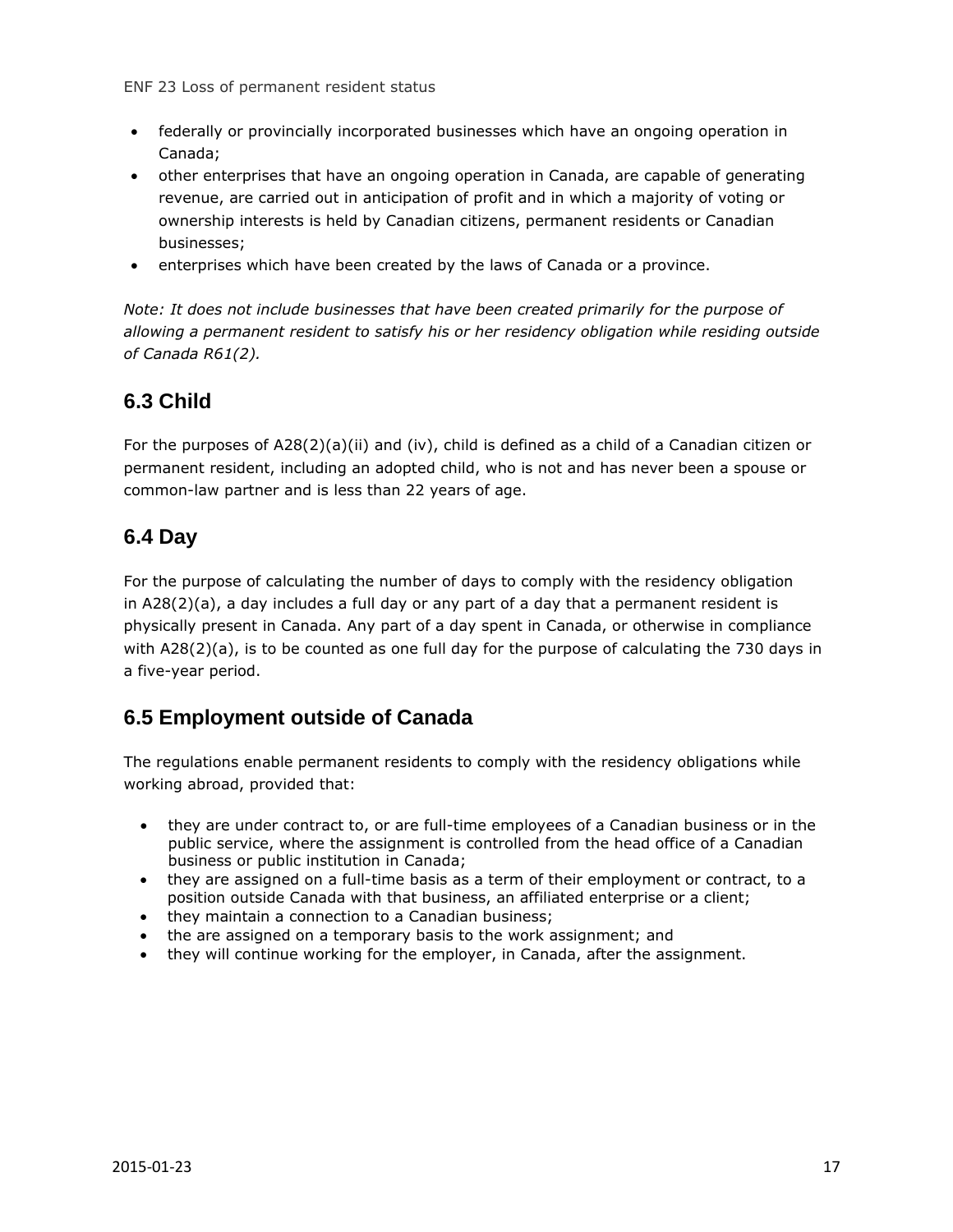- federally or provincially incorporated businesses which have an ongoing operation in Canada;
- other enterprises that have an ongoing operation in Canada, are capable of generating revenue, are carried out in anticipation of profit and in which a majority of voting or ownership interests is held by Canadian citizens, permanent residents or Canadian businesses;
- enterprises which have been created by the laws of Canada or a province.

*Note: It does not include businesses that have been created primarily for the purpose of allowing a permanent resident to satisfy his or her residency obligation while residing outside of Canada R61(2).*

#### <span id="page-16-0"></span>**6.3 Child**

For the purposes of A28(2)(a)(ii) and (iv), child is defined as a child of a Canadian citizen or permanent resident, including an adopted child, who is not and has never been a spouse or common-law partner and is less than 22 years of age.

#### <span id="page-16-1"></span>**6.4 Day**

For the purpose of calculating the number of days to comply with the residency obligation in A28(2)(a), a day includes a full day or any part of a day that a permanent resident is physically present in Canada. Any part of a day spent in Canada, or otherwise in compliance with A28(2)(a), is to be counted as one full day for the purpose of calculating the 730 days in a five-year period.

#### <span id="page-16-2"></span>**6.5 Employment outside of Canada**

The regulations enable permanent residents to comply with the residency obligations while working abroad, provided that:

- they are under contract to, or are full-time employees of a Canadian business or in the public service, where the assignment is controlled from the head office of a Canadian business or public institution in Canada;
- they are assigned on a full-time basis as a term of their employment or contract, to a position outside Canada with that business, an affiliated enterprise or a client;
- they maintain a connection to a Canadian business;
- the are assigned on a temporary basis to the work assignment; and
- they will continue working for the employer, in Canada, after the assignment.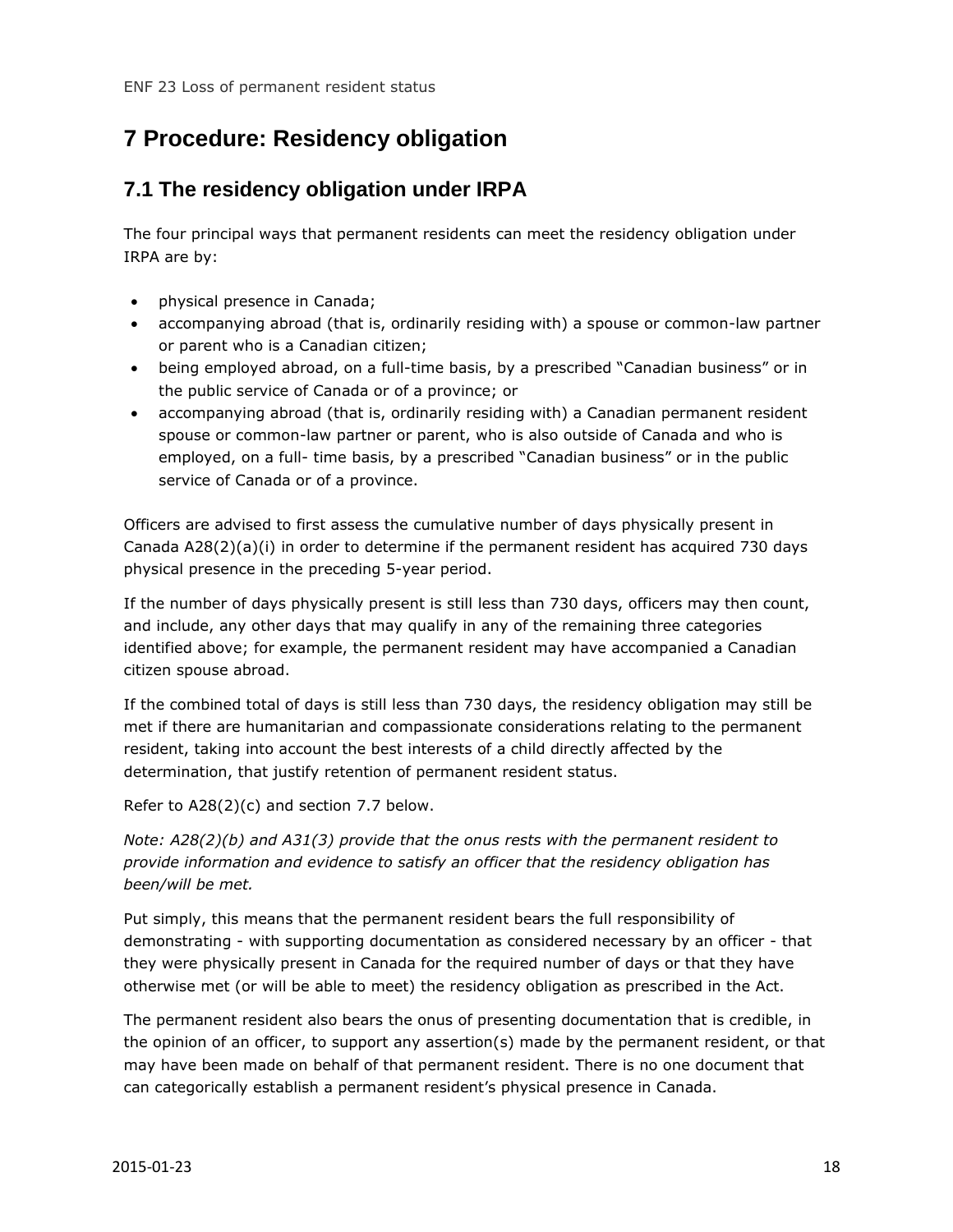## <span id="page-17-0"></span>**7 Procedure: Residency obligation**

#### <span id="page-17-1"></span>**7.1 The residency obligation under IRPA**

The four principal ways that permanent residents can meet the residency obligation under IRPA are by:

- physical presence in Canada;
- accompanying abroad (that is, ordinarily residing with) a spouse or common-law partner or parent who is a Canadian citizen;
- being employed abroad, on a full-time basis, by a prescribed "Canadian business" or in the public service of Canada or of a province; or
- accompanying abroad (that is, ordinarily residing with) a Canadian permanent resident spouse or common-law partner or parent, who is also outside of Canada and who is employed, on a full- time basis, by a prescribed "Canadian business" or in the public service of Canada or of a province.

Officers are advised to first assess the cumulative number of days physically present in Canada A28(2)(a)(i) in order to determine if the permanent resident has acquired 730 days physical presence in the preceding 5-year period.

If the number of days physically present is still less than 730 days, officers may then count, and include, any other days that may qualify in any of the remaining three categories identified above; for example, the permanent resident may have accompanied a Canadian citizen spouse abroad.

If the combined total of days is still less than 730 days, the residency obligation may still be met if there are humanitarian and compassionate considerations relating to the permanent resident, taking into account the best interests of a child directly affected by the determination, that justify retention of permanent resident status.

Refer to A28(2)(c) and section 7.7 below.

*Note: A28(2)(b) and A31(3) provide that the onus rests with the permanent resident to provide information and evidence to satisfy an officer that the residency obligation has been/will be met.*

Put simply, this means that the permanent resident bears the full responsibility of demonstrating - with supporting documentation as considered necessary by an officer - that they were physically present in Canada for the required number of days or that they have otherwise met (or will be able to meet) the residency obligation as prescribed in the Act.

The permanent resident also bears the onus of presenting documentation that is credible, in the opinion of an officer, to support any assertion(s) made by the permanent resident, or that may have been made on behalf of that permanent resident. There is no one document that can categorically establish a permanent resident's physical presence in Canada.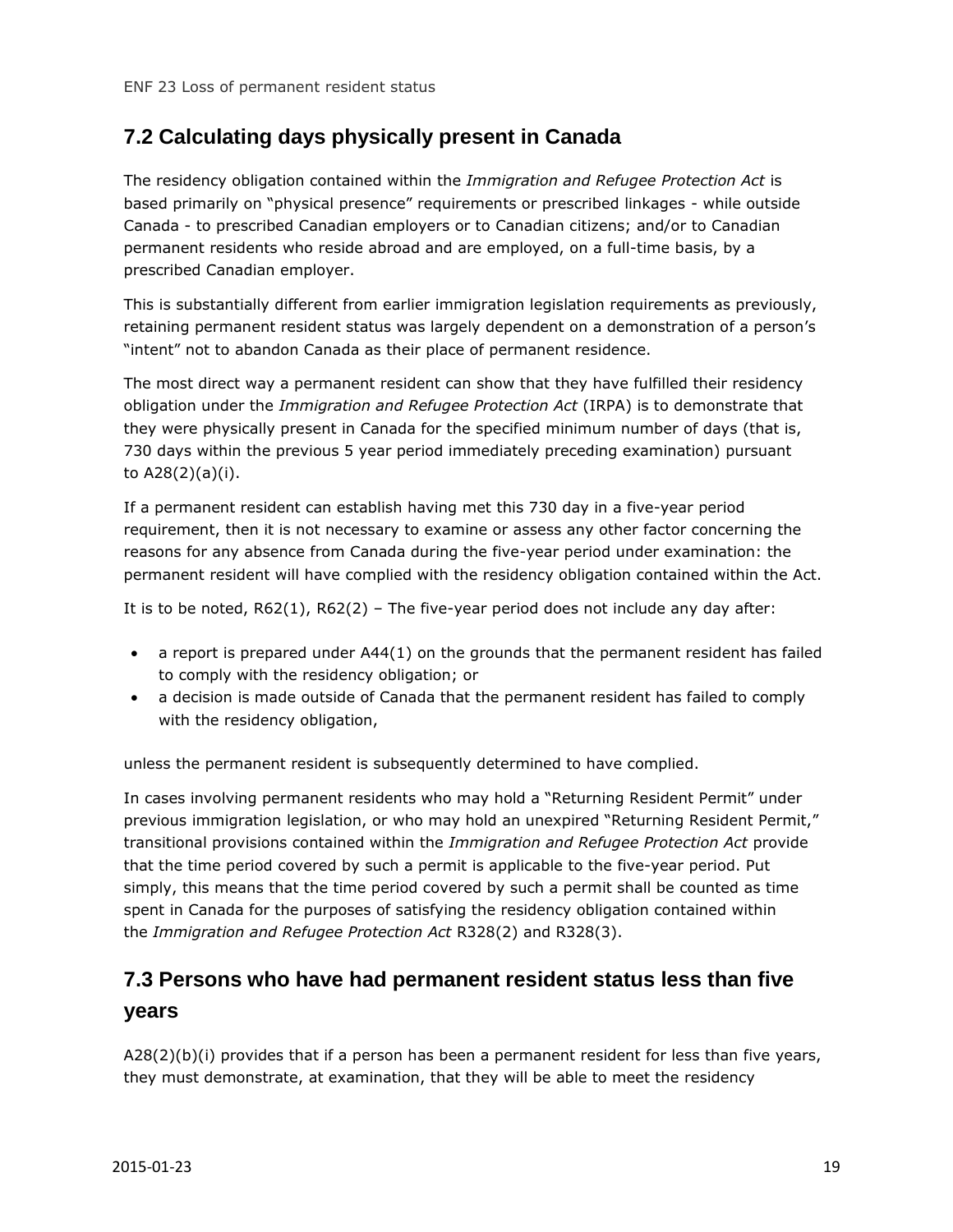#### <span id="page-18-0"></span>**7.2 Calculating days physically present in Canada**

The residency obligation contained within the *Immigration and Refugee Protection Act* is based primarily on "physical presence" requirements or prescribed linkages - while outside Canada - to prescribed Canadian employers or to Canadian citizens; and/or to Canadian permanent residents who reside abroad and are employed, on a full-time basis, by a prescribed Canadian employer.

This is substantially different from earlier immigration legislation requirements as previously, retaining permanent resident status was largely dependent on a demonstration of a person's "intent" not to abandon Canada as their place of permanent residence.

The most direct way a permanent resident can show that they have fulfilled their residency obligation under the *Immigration and Refugee Protection Act* (IRPA) is to demonstrate that they were physically present in Canada for the specified minimum number of days (that is, 730 days within the previous 5 year period immediately preceding examination) pursuant to A28(2)(a)(i).

If a permanent resident can establish having met this 730 day in a five-year period requirement, then it is not necessary to examine or assess any other factor concerning the reasons for any absence from Canada during the five-year period under examination: the permanent resident will have complied with the residency obligation contained within the Act.

It is to be noted, R62(1), R62(2) – The five-year period does not include any day after:

- a report is prepared under A44(1) on the grounds that the permanent resident has failed to comply with the residency obligation; or
- a decision is made outside of Canada that the permanent resident has failed to comply with the residency obligation,

unless the permanent resident is subsequently determined to have complied.

In cases involving permanent residents who may hold a "Returning Resident Permit" under previous immigration legislation, or who may hold an unexpired "Returning Resident Permit," transitional provisions contained within the *Immigration and Refugee Protection Act* provide that the time period covered by such a permit is applicable to the five-year period. Put simply, this means that the time period covered by such a permit shall be counted as time spent in Canada for the purposes of satisfying the residency obligation contained within the *Immigration and Refugee Protection Act* R328(2) and R328(3).

## <span id="page-18-1"></span>**7.3 Persons who have had permanent resident status less than five years**

A28(2)(b)(i) provides that if a person has been a permanent resident for less than five years, they must demonstrate, at examination, that they will be able to meet the residency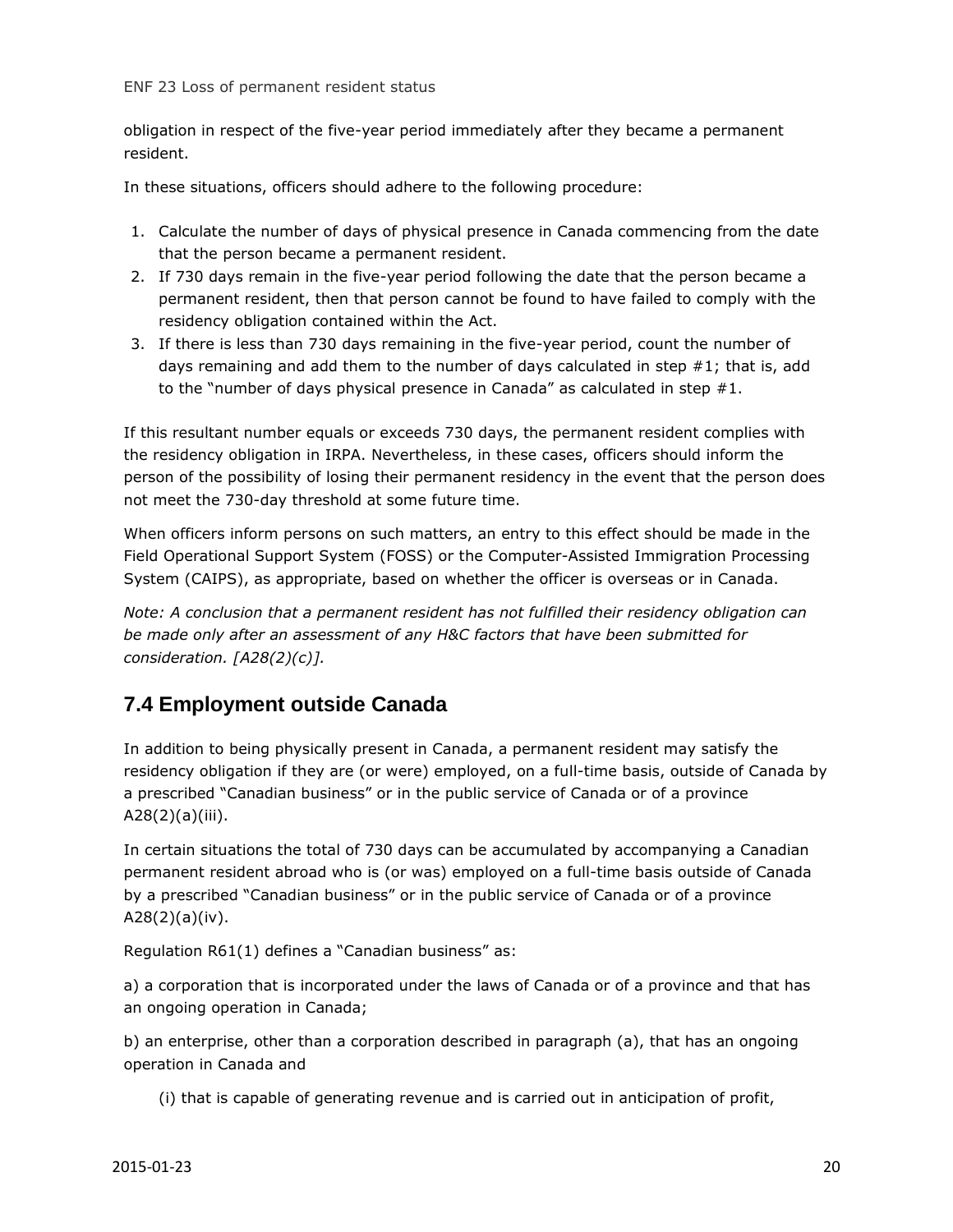obligation in respect of the five-year period immediately after they became a permanent resident.

In these situations, officers should adhere to the following procedure:

- 1. Calculate the number of days of physical presence in Canada commencing from the date that the person became a permanent resident.
- 2. If 730 days remain in the five-year period following the date that the person became a permanent resident, then that person cannot be found to have failed to comply with the residency obligation contained within the Act.
- 3. If there is less than 730 days remaining in the five-year period, count the number of days remaining and add them to the number of days calculated in step #1; that is, add to the "number of days physical presence in Canada" as calculated in step #1.

If this resultant number equals or exceeds 730 days, the permanent resident complies with the residency obligation in IRPA. Nevertheless, in these cases, officers should inform the person of the possibility of losing their permanent residency in the event that the person does not meet the 730-day threshold at some future time.

When officers inform persons on such matters, an entry to this effect should be made in the Field Operational Support System (FOSS) or the Computer-Assisted Immigration Processing System (CAIPS), as appropriate, based on whether the officer is overseas or in Canada.

*Note: A conclusion that a permanent resident has not fulfilled their residency obligation can be made only after an assessment of any H&C factors that have been submitted for consideration. [A28(2)(c)].*

#### <span id="page-19-0"></span>**7.4 Employment outside Canada**

In addition to being physically present in Canada, a permanent resident may satisfy the residency obligation if they are (or were) employed, on a full-time basis, outside of Canada by a prescribed "Canadian business" or in the public service of Canada or of a province A28(2)(a)(iii).

In certain situations the total of 730 days can be accumulated by accompanying a Canadian permanent resident abroad who is (or was) employed on a full-time basis outside of Canada by a prescribed "Canadian business" or in the public service of Canada or of a province A28(2)(a)(iv).

Regulation R61(1) defines a "Canadian business" as:

a) a corporation that is incorporated under the laws of Canada or of a province and that has an ongoing operation in Canada;

b) an enterprise, other than a corporation described in paragraph (a), that has an ongoing operation in Canada and

(i) that is capable of generating revenue and is carried out in anticipation of profit,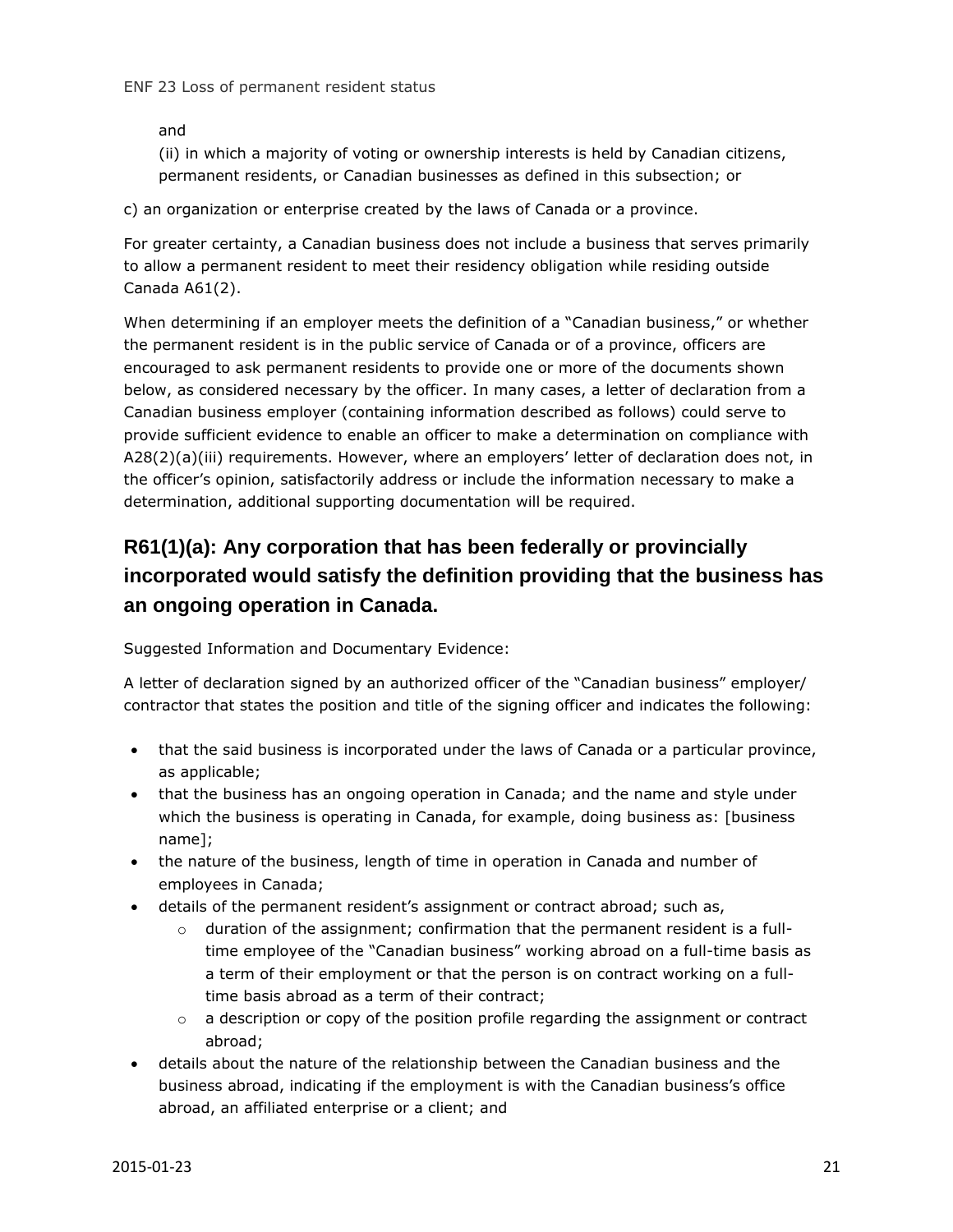and

(ii) in which a majority of voting or ownership interests is held by Canadian citizens, permanent residents, or Canadian businesses as defined in this subsection; or

c) an organization or enterprise created by the laws of Canada or a province.

For greater certainty, a Canadian business does not include a business that serves primarily to allow a permanent resident to meet their residency obligation while residing outside Canada A61(2).

When determining if an employer meets the definition of a "Canadian business," or whether the permanent resident is in the public service of Canada or of a province, officers are encouraged to ask permanent residents to provide one or more of the documents shown below, as considered necessary by the officer. In many cases, a letter of declaration from a Canadian business employer (containing information described as follows) could serve to provide sufficient evidence to enable an officer to make a determination on compliance with A28(2)(a)(iii) requirements. However, where an employers' letter of declaration does not, in the officer's opinion, satisfactorily address or include the information necessary to make a determination, additional supporting documentation will be required.

## **R61(1)(a): Any corporation that has been federally or provincially incorporated would satisfy the definition providing that the business has an ongoing operation in Canada.**

Suggested Information and Documentary Evidence:

A letter of declaration signed by an authorized officer of the "Canadian business" employer/ contractor that states the position and title of the signing officer and indicates the following:

- that the said business is incorporated under the laws of Canada or a particular province, as applicable;
- that the business has an ongoing operation in Canada; and the name and style under which the business is operating in Canada, for example, doing business as: [business name];
- the nature of the business, length of time in operation in Canada and number of employees in Canada;
- details of the permanent resident's assignment or contract abroad; such as,
	- $\circ$  duration of the assignment; confirmation that the permanent resident is a fulltime employee of the "Canadian business" working abroad on a full-time basis as a term of their employment or that the person is on contract working on a fulltime basis abroad as a term of their contract;
	- $\circ$  a description or copy of the position profile regarding the assignment or contract abroad;
- details about the nature of the relationship between the Canadian business and the business abroad, indicating if the employment is with the Canadian business's office abroad, an affiliated enterprise or a client; and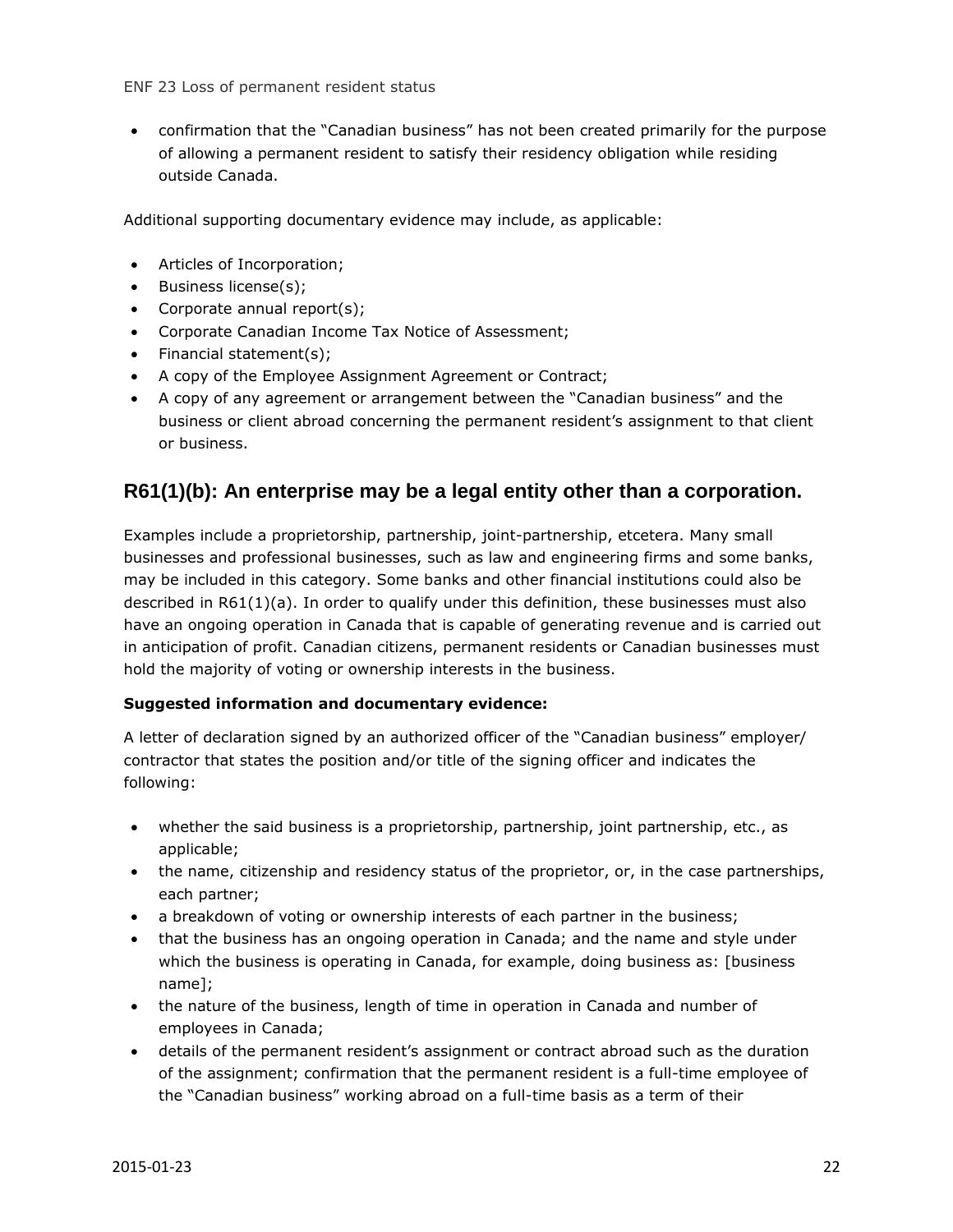confirmation that the "Canadian business" has not been created primarily for the purpose of allowing a permanent resident to satisfy their residency obligation while residing outside Canada.

Additional supporting documentary evidence may include, as applicable:

- Articles of Incorporation;
- Business license(s);
- Corporate annual report(s);
- Corporate Canadian Income Tax Notice of Assessment;
- Financial statement(s):
- A copy of the Employee Assignment Agreement or Contract;
- A copy of any agreement or arrangement between the "Canadian business" and the business or client abroad concerning the permanent resident's assignment to that client or business.

#### **R61(1)(b): An enterprise may be a legal entity other than a corporation.**

Examples include a proprietorship, partnership, joint-partnership, etcetera. Many small businesses and professional businesses, such as law and engineering firms and some banks, may be included in this category. Some banks and other financial institutions could also be described in R61(1)(a). In order to qualify under this definition, these businesses must also have an ongoing operation in Canada that is capable of generating revenue and is carried out in anticipation of profit. Canadian citizens, permanent residents or Canadian businesses must hold the majority of voting or ownership interests in the business.

#### **Suggested information and documentary evidence:**

A letter of declaration signed by an authorized officer of the "Canadian business" employer/ contractor that states the position and/or title of the signing officer and indicates the following:

- whether the said business is a proprietorship, partnership, joint partnership, etc., as applicable;
- the name, citizenship and residency status of the proprietor, or, in the case partnerships, each partner;
- a breakdown of voting or ownership interests of each partner in the business;
- that the business has an ongoing operation in Canada; and the name and style under which the business is operating in Canada, for example, doing business as: [business name];
- the nature of the business, length of time in operation in Canada and number of employees in Canada;
- details of the permanent resident's assignment or contract abroad such as the duration of the assignment; confirmation that the permanent resident is a full-time employee of the "Canadian business" working abroad on a full-time basis as a term of their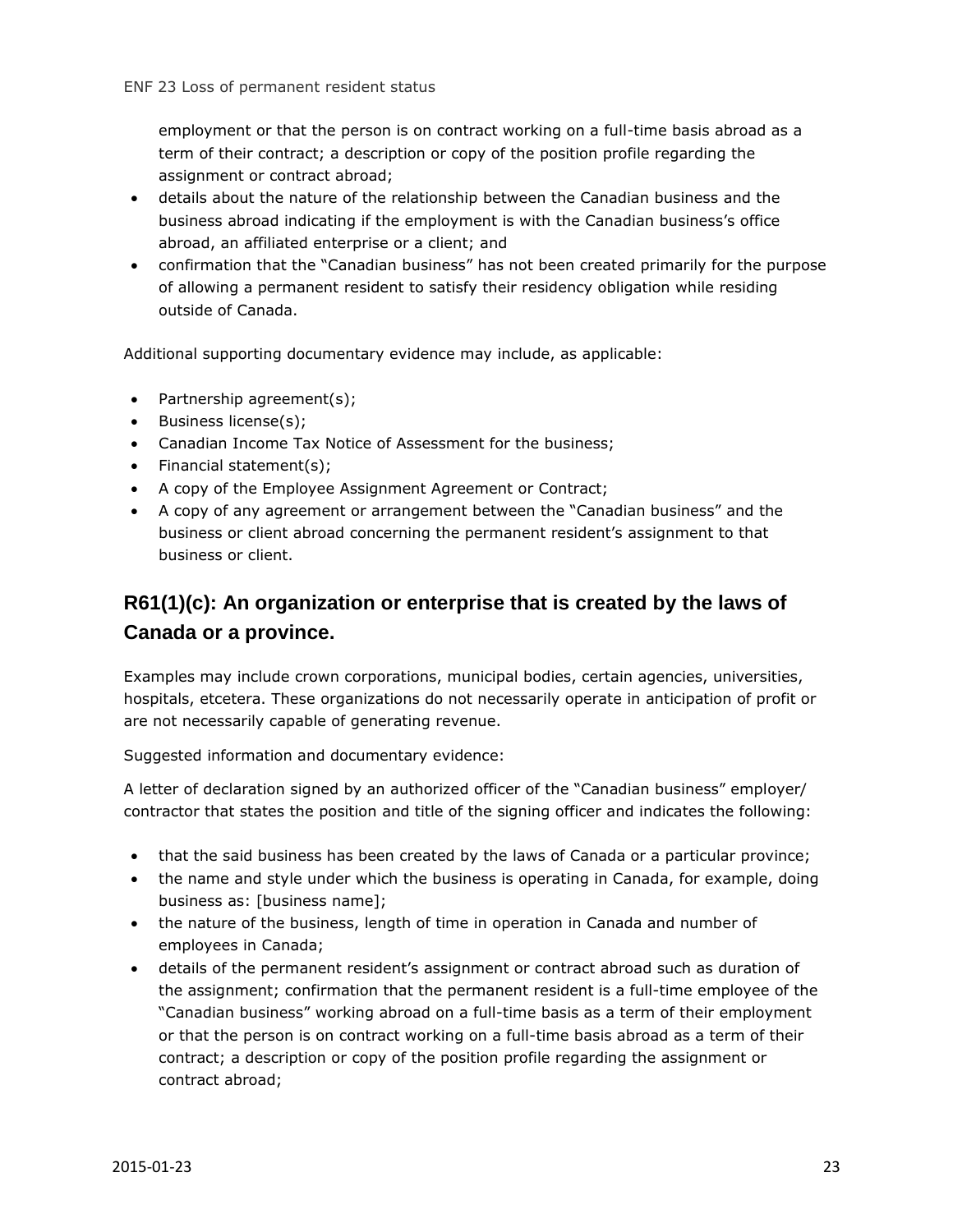employment or that the person is on contract working on a full-time basis abroad as a term of their contract; a description or copy of the position profile regarding the assignment or contract abroad;

- details about the nature of the relationship between the Canadian business and the business abroad indicating if the employment is with the Canadian business's office abroad, an affiliated enterprise or a client; and
- confirmation that the "Canadian business" has not been created primarily for the purpose of allowing a permanent resident to satisfy their residency obligation while residing outside of Canada.

Additional supporting documentary evidence may include, as applicable:

- Partnership agreement(s);
- Business license(s);
- Canadian Income Tax Notice of Assessment for the business;
- Financial statement(s);
- A copy of the Employee Assignment Agreement or Contract;
- A copy of any agreement or arrangement between the "Canadian business" and the business or client abroad concerning the permanent resident's assignment to that business or client.

#### **R61(1)(c): An organization or enterprise that is created by the laws of Canada or a province.**

Examples may include crown corporations, municipal bodies, certain agencies, universities, hospitals, etcetera. These organizations do not necessarily operate in anticipation of profit or are not necessarily capable of generating revenue.

Suggested information and documentary evidence:

A letter of declaration signed by an authorized officer of the "Canadian business" employer/ contractor that states the position and title of the signing officer and indicates the following:

- that the said business has been created by the laws of Canada or a particular province;
- the name and style under which the business is operating in Canada, for example, doing business as: [business name];
- the nature of the business, length of time in operation in Canada and number of employees in Canada;
- details of the permanent resident's assignment or contract abroad such as duration of the assignment; confirmation that the permanent resident is a full-time employee of the "Canadian business" working abroad on a full-time basis as a term of their employment or that the person is on contract working on a full-time basis abroad as a term of their contract; a description or copy of the position profile regarding the assignment or contract abroad;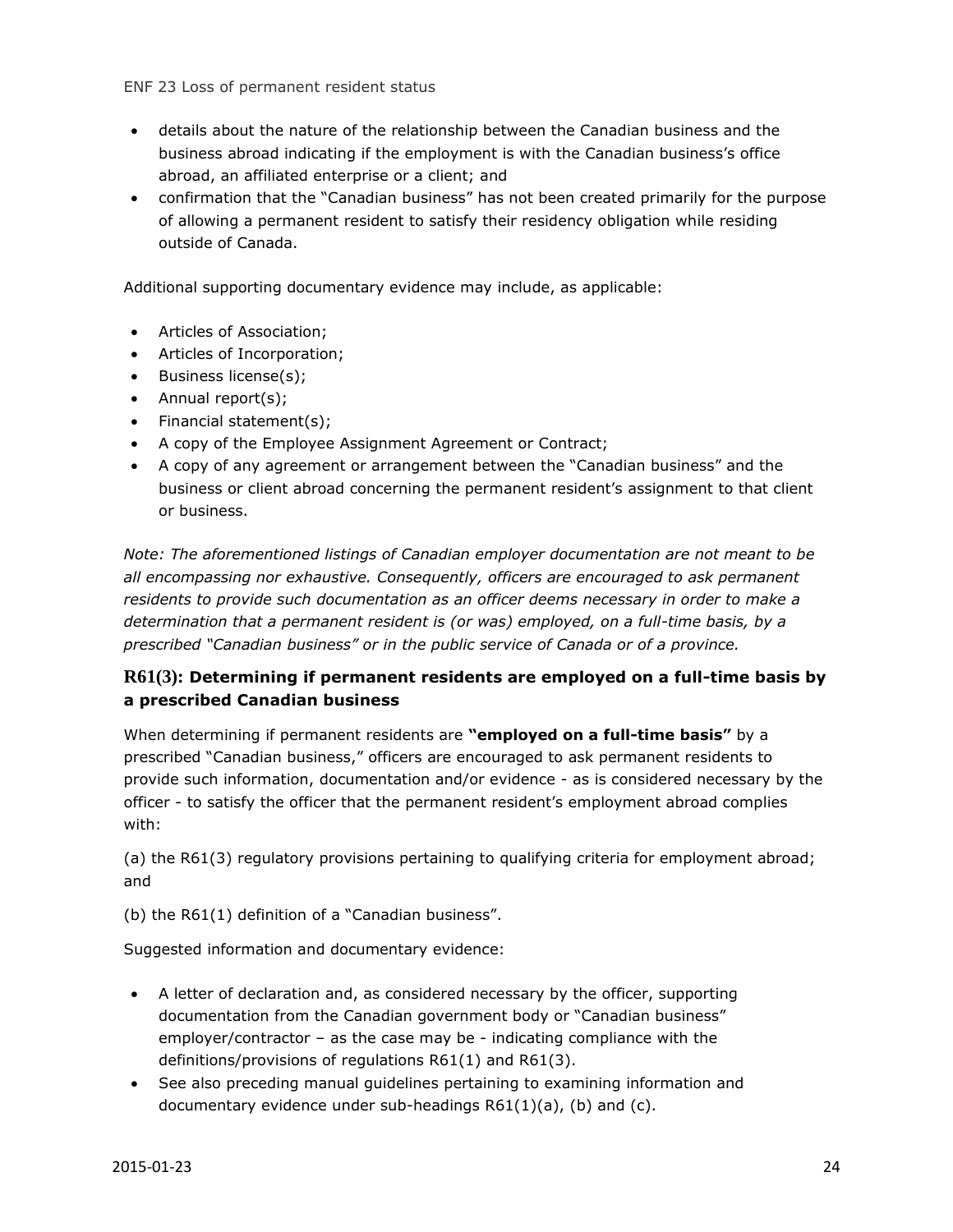ENF 23 Loss of permanent resident status

- details about the nature of the relationship between the Canadian business and the business abroad indicating if the employment is with the Canadian business's office abroad, an affiliated enterprise or a client; and
- confirmation that the "Canadian business" has not been created primarily for the purpose of allowing a permanent resident to satisfy their residency obligation while residing outside of Canada.

Additional supporting documentary evidence may include, as applicable:

- Articles of Association;
- Articles of Incorporation;
- Business license(s);
- Annual report(s);
- $\bullet$  Financial statement(s);
- A copy of the Employee Assignment Agreement or Contract;
- A copy of any agreement or arrangement between the "Canadian business" and the business or client abroad concerning the permanent resident's assignment to that client or business.

*Note: The aforementioned listings of Canadian employer documentation are not meant to be all encompassing nor exhaustive. Consequently, officers are encouraged to ask permanent residents to provide such documentation as an officer deems necessary in order to make a determination that a permanent resident is (or was) employed, on a full-time basis, by a prescribed "Canadian business" or in the public service of Canada or of a province.*

#### **R61(3): Determining if permanent residents are employed on a full-time basis by a prescribed Canadian business**

When determining if permanent residents are **"employed on a full-time basis"** by a prescribed "Canadian business," officers are encouraged to ask permanent residents to provide such information, documentation and/or evidence - as is considered necessary by the officer - to satisfy the officer that the permanent resident's employment abroad complies with:

(a) the R61(3) regulatory provisions pertaining to qualifying criteria for employment abroad; and

(b) the R61(1) definition of a "Canadian business".

Suggested information and documentary evidence:

- A letter of declaration and, as considered necessary by the officer, supporting documentation from the Canadian government body or "Canadian business" employer/contractor – as the case may be - indicating compliance with the definitions/provisions of regulations R61(1) and R61(3).
- See also preceding manual guidelines pertaining to examining information and documentary evidence under sub-headings R61(1)(a), (b) and (c).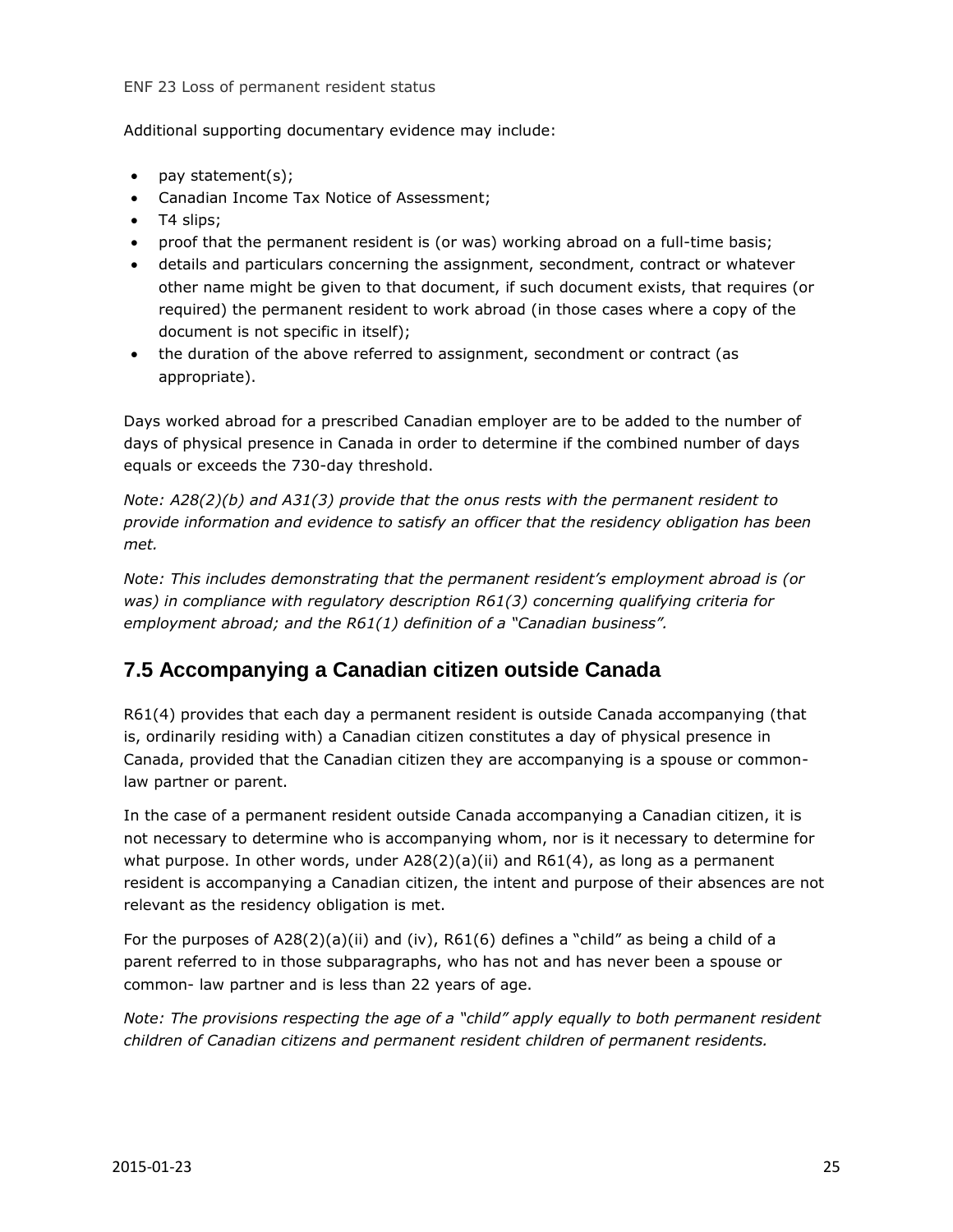#### ENF 23 Loss of permanent resident status

Additional supporting documentary evidence may include:

- $\bullet$  pay statement(s);
- Canadian Income Tax Notice of Assessment;
- T4 slips;
- proof that the permanent resident is (or was) working abroad on a full-time basis;
- details and particulars concerning the assignment, secondment, contract or whatever other name might be given to that document, if such document exists, that requires (or required) the permanent resident to work abroad (in those cases where a copy of the document is not specific in itself);
- the duration of the above referred to assignment, secondment or contract (as appropriate).

Days worked abroad for a prescribed Canadian employer are to be added to the number of days of physical presence in Canada in order to determine if the combined number of days equals or exceeds the 730-day threshold.

*Note: A28(2)(b) and A31(3) provide that the onus rests with the permanent resident to provide information and evidence to satisfy an officer that the residency obligation has been met.*

*Note: This includes demonstrating that the permanent resident's employment abroad is (or was) in compliance with regulatory description R61(3) concerning qualifying criteria for employment abroad; and the R61(1) definition of a "Canadian business".*

#### <span id="page-24-0"></span>**7.5 Accompanying a Canadian citizen outside Canada**

R61(4) provides that each day a permanent resident is outside Canada accompanying (that is, ordinarily residing with) a Canadian citizen constitutes a day of physical presence in Canada, provided that the Canadian citizen they are accompanying is a spouse or commonlaw partner or parent.

In the case of a permanent resident outside Canada accompanying a Canadian citizen, it is not necessary to determine who is accompanying whom, nor is it necessary to determine for what purpose. In other words, under  $A28(2)(a)(ii)$  and  $R61(4)$ , as long as a permanent resident is accompanying a Canadian citizen, the intent and purpose of their absences are not relevant as the residency obligation is met.

For the purposes of  $A28(2)(a)(ii)$  and (iv),  $R61(6)$  defines a "child" as being a child of a parent referred to in those subparagraphs, who has not and has never been a spouse or common- law partner and is less than 22 years of age.

*Note: The provisions respecting the age of a "child" apply equally to both permanent resident children of Canadian citizens and permanent resident children of permanent residents.*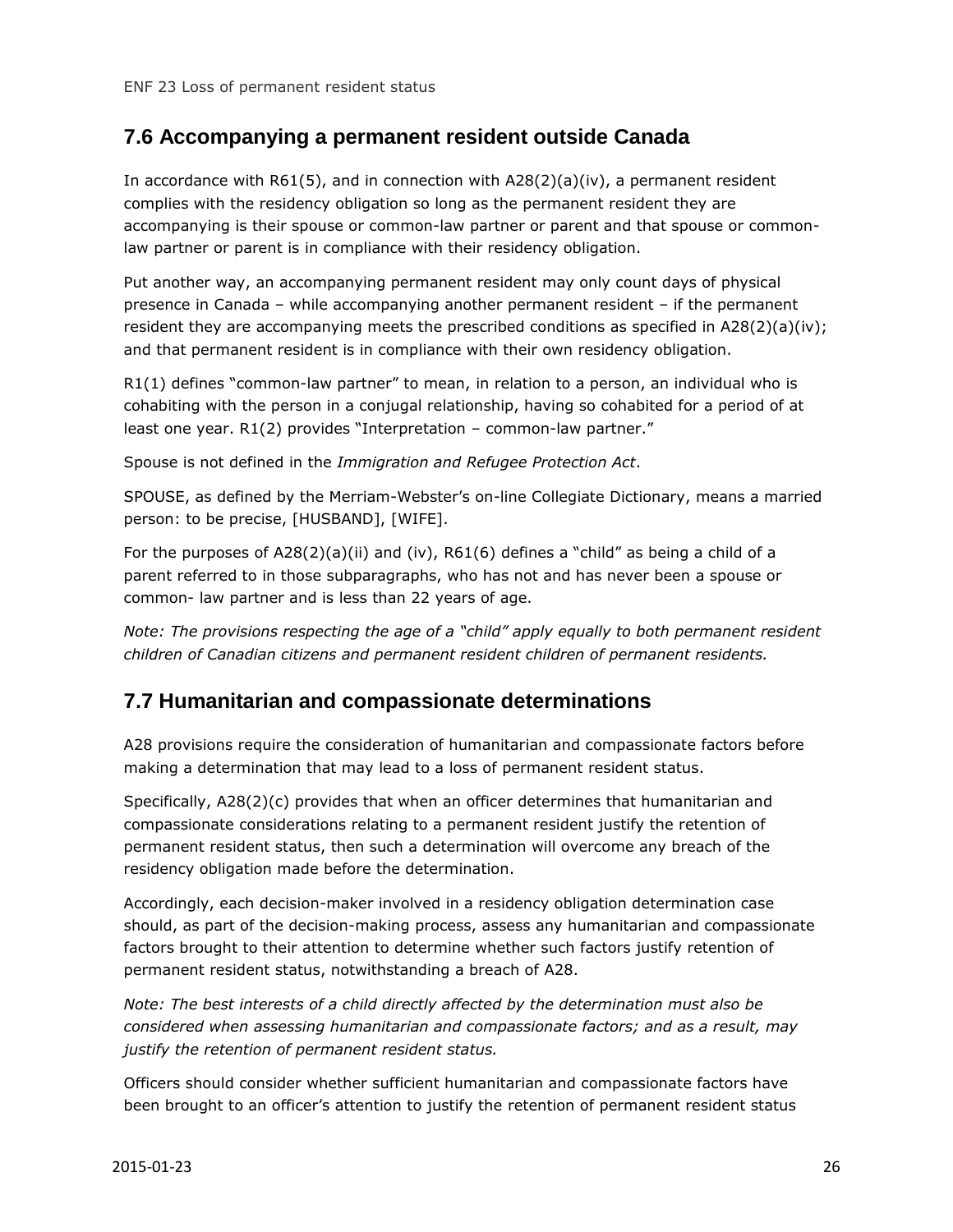#### <span id="page-25-0"></span>**7.6 Accompanying a permanent resident outside Canada**

In accordance with  $R61(5)$ , and in connection with  $A28(2)(a)(iv)$ , a permanent resident complies with the residency obligation so long as the permanent resident they are accompanying is their spouse or common-law partner or parent and that spouse or commonlaw partner or parent is in compliance with their residency obligation.

Put another way, an accompanying permanent resident may only count days of physical presence in Canada – while accompanying another permanent resident – if the permanent resident they are accompanying meets the prescribed conditions as specified in  $A28(2)(a)(iv)$ ; and that permanent resident is in compliance with their own residency obligation.

R1(1) defines "common-law partner" to mean, in relation to a person, an individual who is cohabiting with the person in a conjugal relationship, having so cohabited for a period of at least one year. R1(2) provides "Interpretation – common-law partner."

Spouse is not defined in the *Immigration and Refugee Protection Act*.

SPOUSE, as defined by the Merriam-Webster's on-line Collegiate Dictionary, means a married person: to be precise, [HUSBAND], [WIFE].

For the purposes of  $A28(2)(a)(ii)$  and (iv),  $R61(6)$  defines a "child" as being a child of a parent referred to in those subparagraphs, who has not and has never been a spouse or common- law partner and is less than 22 years of age.

*Note: The provisions respecting the age of a "child" apply equally to both permanent resident children of Canadian citizens and permanent resident children of permanent residents.*

#### <span id="page-25-1"></span>**7.7 Humanitarian and compassionate determinations**

A28 provisions require the consideration of humanitarian and compassionate factors before making a determination that may lead to a loss of permanent resident status.

Specifically, A28(2)(c) provides that when an officer determines that humanitarian and compassionate considerations relating to a permanent resident justify the retention of permanent resident status, then such a determination will overcome any breach of the residency obligation made before the determination.

Accordingly, each decision-maker involved in a residency obligation determination case should, as part of the decision-making process, assess any humanitarian and compassionate factors brought to their attention to determine whether such factors justify retention of permanent resident status, notwithstanding a breach of A28.

*Note: The best interests of a child directly affected by the determination must also be considered when assessing humanitarian and compassionate factors; and as a result, may justify the retention of permanent resident status.*

Officers should consider whether sufficient humanitarian and compassionate factors have been brought to an officer's attention to justify the retention of permanent resident status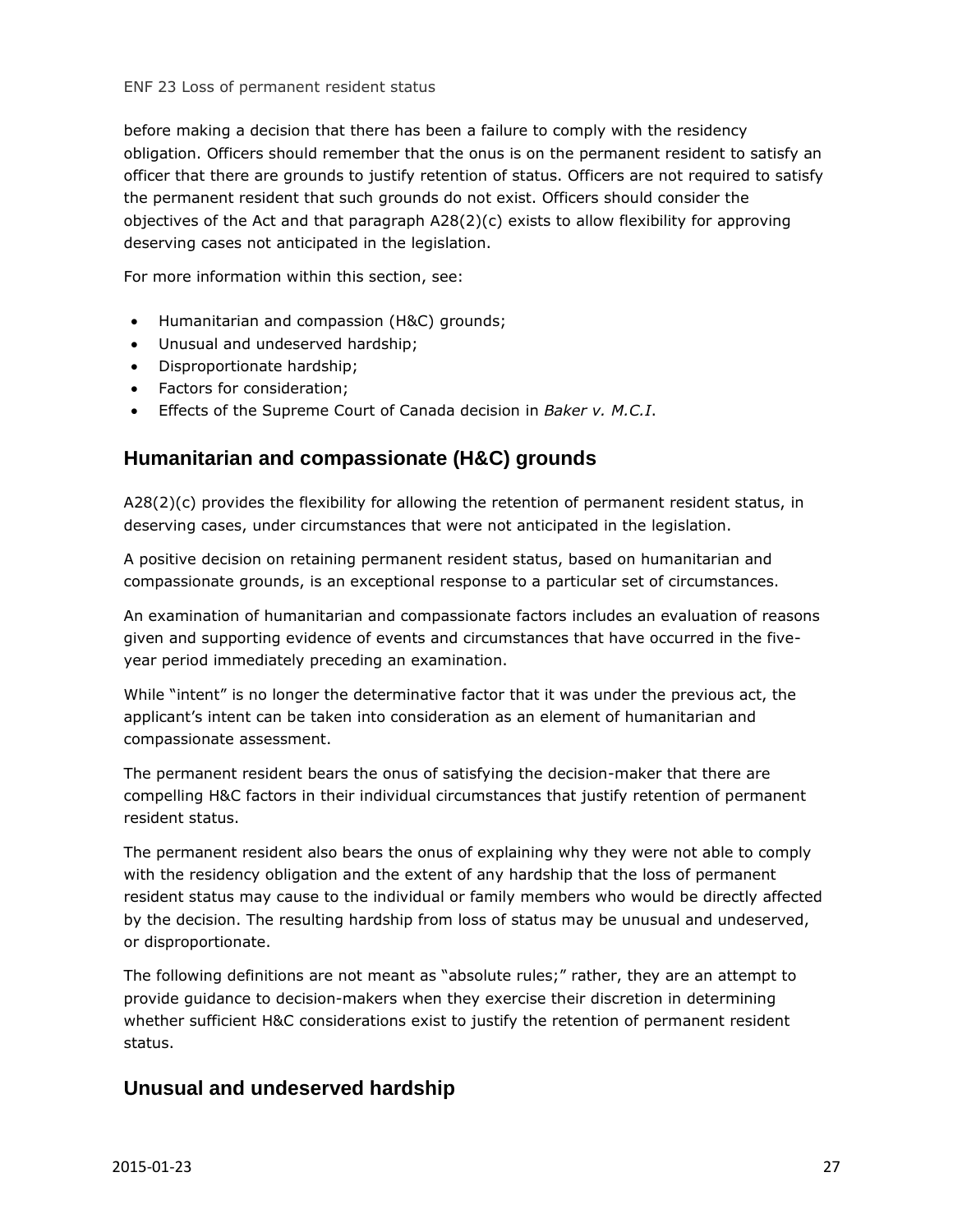before making a decision that there has been a failure to comply with the residency obligation. Officers should remember that the onus is on the permanent resident to satisfy an officer that there are grounds to justify retention of status. Officers are not required to satisfy the permanent resident that such grounds do not exist. Officers should consider the objectives of the Act and that paragraph A28(2)(c) exists to allow flexibility for approving deserving cases not anticipated in the legislation.

For more information within this section, see:

- Humanitarian and compassion (H&C) grounds;
- Unusual and undeserved hardship;
- Disproportionate hardship;
- Factors for consideration;
- Effects of the Supreme Court of Canada decision in *Baker v. M.C.I*.

#### **Humanitarian and compassionate (H&C) grounds**

A28(2)(c) provides the flexibility for allowing the retention of permanent resident status, in deserving cases, under circumstances that were not anticipated in the legislation.

A positive decision on retaining permanent resident status, based on humanitarian and compassionate grounds, is an exceptional response to a particular set of circumstances.

An examination of humanitarian and compassionate factors includes an evaluation of reasons given and supporting evidence of events and circumstances that have occurred in the fiveyear period immediately preceding an examination.

While "intent" is no longer the determinative factor that it was under the previous act, the applicant's intent can be taken into consideration as an element of humanitarian and compassionate assessment.

The permanent resident bears the onus of satisfying the decision-maker that there are compelling H&C factors in their individual circumstances that justify retention of permanent resident status.

The permanent resident also bears the onus of explaining why they were not able to comply with the residency obligation and the extent of any hardship that the loss of permanent resident status may cause to the individual or family members who would be directly affected by the decision. The resulting hardship from loss of status may be unusual and undeserved, or disproportionate.

The following definitions are not meant as "absolute rules;" rather, they are an attempt to provide guidance to decision-makers when they exercise their discretion in determining whether sufficient H&C considerations exist to justify the retention of permanent resident status.

#### **Unusual and undeserved hardship**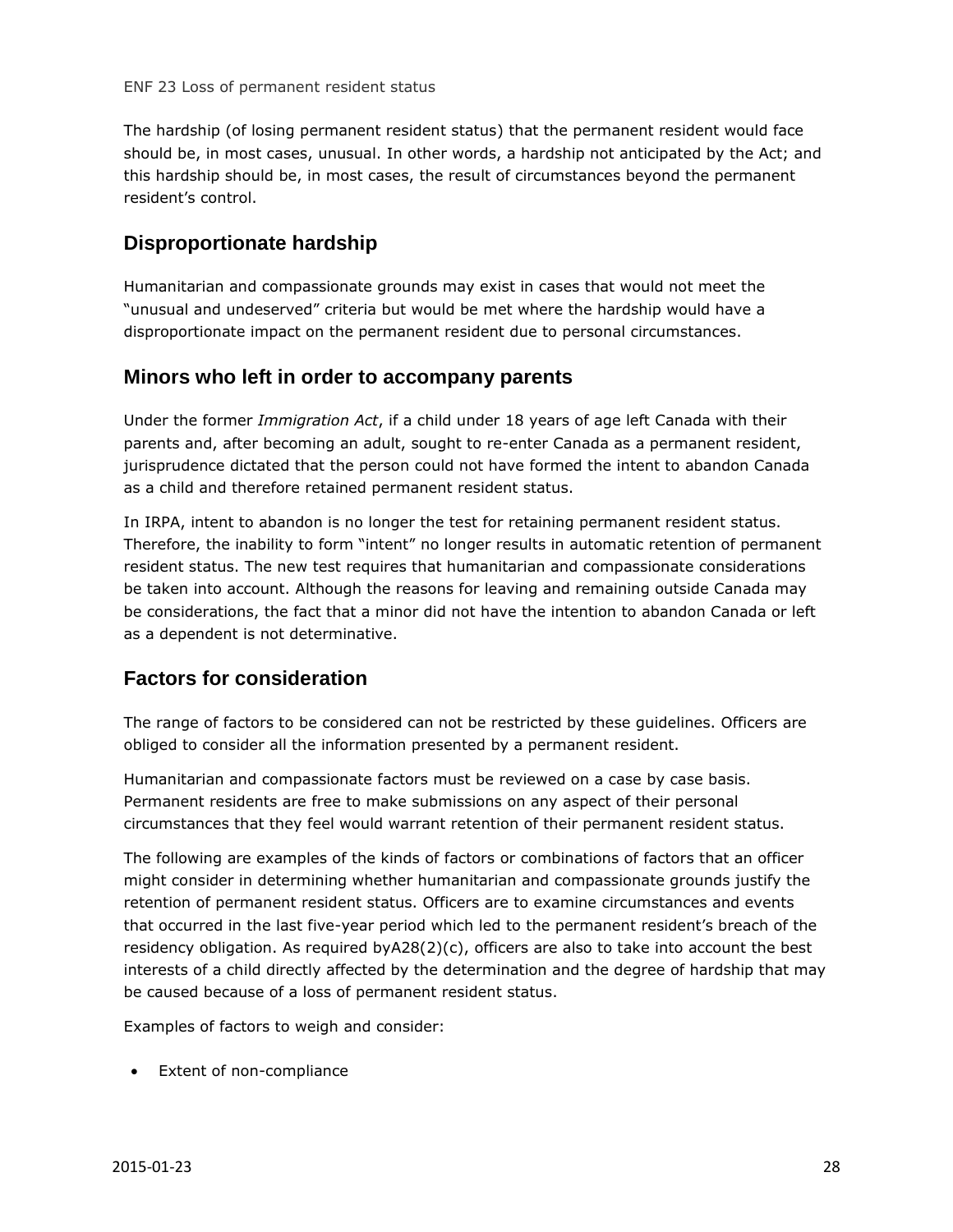The hardship (of losing permanent resident status) that the permanent resident would face should be, in most cases, unusual. In other words, a hardship not anticipated by the Act; and this hardship should be, in most cases, the result of circumstances beyond the permanent resident's control.

#### **Disproportionate hardship**

Humanitarian and compassionate grounds may exist in cases that would not meet the "unusual and undeserved" criteria but would be met where the hardship would have a disproportionate impact on the permanent resident due to personal circumstances.

#### **Minors who left in order to accompany parents**

Under the former *Immigration Act*, if a child under 18 years of age left Canada with their parents and, after becoming an adult, sought to re-enter Canada as a permanent resident, jurisprudence dictated that the person could not have formed the intent to abandon Canada as a child and therefore retained permanent resident status.

In IRPA, intent to abandon is no longer the test for retaining permanent resident status. Therefore, the inability to form "intent" no longer results in automatic retention of permanent resident status. The new test requires that humanitarian and compassionate considerations be taken into account. Although the reasons for leaving and remaining outside Canada may be considerations, the fact that a minor did not have the intention to abandon Canada or left as a dependent is not determinative.

#### **Factors for consideration**

The range of factors to be considered can not be restricted by these guidelines. Officers are obliged to consider all the information presented by a permanent resident.

Humanitarian and compassionate factors must be reviewed on a case by case basis. Permanent residents are free to make submissions on any aspect of their personal circumstances that they feel would warrant retention of their permanent resident status.

The following are examples of the kinds of factors or combinations of factors that an officer might consider in determining whether humanitarian and compassionate grounds justify the retention of permanent resident status. Officers are to examine circumstances and events that occurred in the last five-year period which led to the permanent resident's breach of the residency obligation. As required  $byA28(2)(c)$ , officers are also to take into account the best interests of a child directly affected by the determination and the degree of hardship that may be caused because of a loss of permanent resident status.

Examples of factors to weigh and consider:

• Extent of non-compliance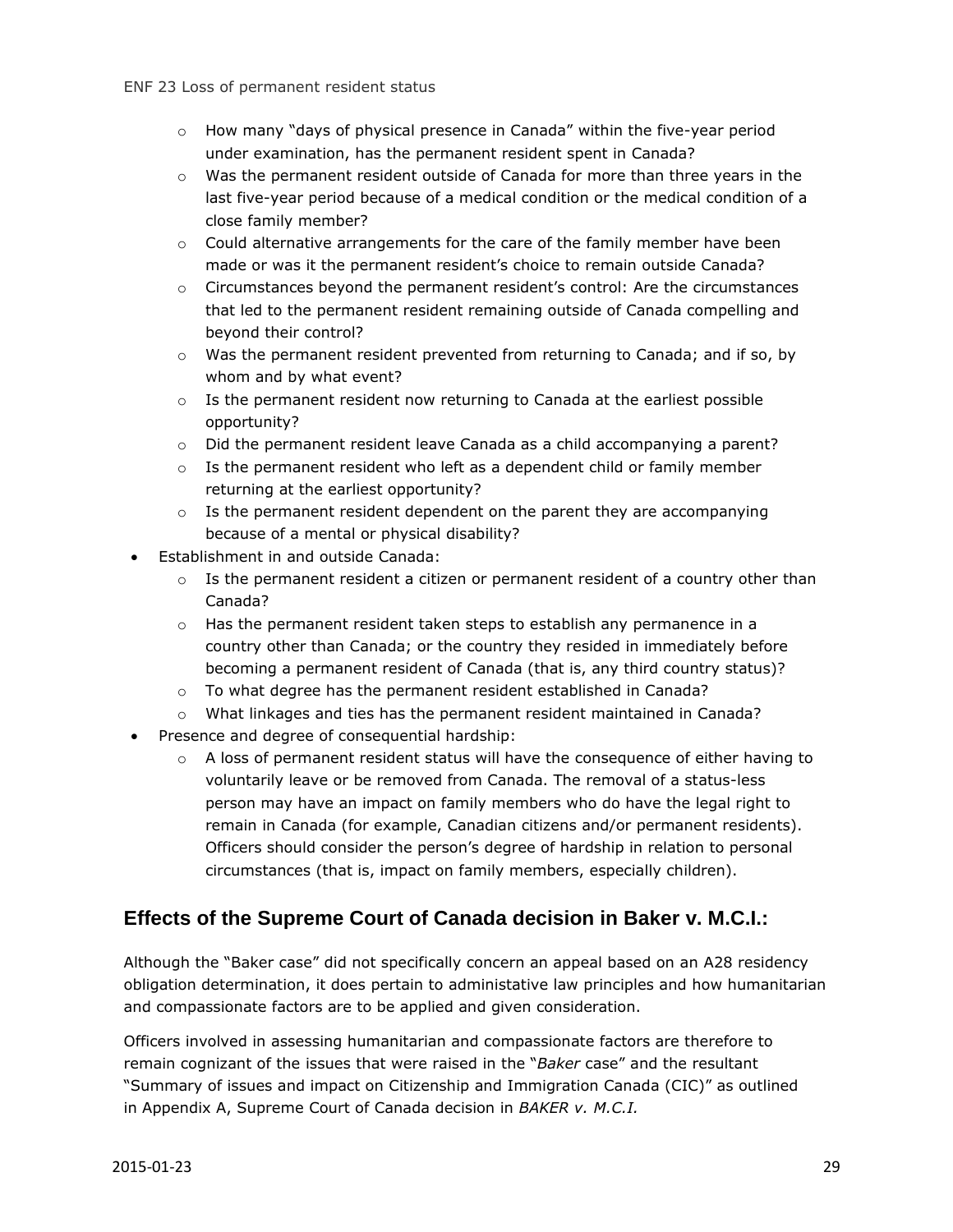- o How many "days of physical presence in Canada" within the five-year period under examination, has the permanent resident spent in Canada?
- o Was the permanent resident outside of Canada for more than three years in the last five-year period because of a medical condition or the medical condition of a close family member?
- $\circ$  Could alternative arrangements for the care of the family member have been made or was it the permanent resident's choice to remain outside Canada?
- $\circ$  Circumstances beyond the permanent resident's control: Are the circumstances that led to the permanent resident remaining outside of Canada compelling and beyond their control?
- $\circ$  Was the permanent resident prevented from returning to Canada; and if so, by whom and by what event?
- $\circ$  Is the permanent resident now returning to Canada at the earliest possible opportunity?
- o Did the permanent resident leave Canada as a child accompanying a parent?
- $\circ$  Is the permanent resident who left as a dependent child or family member returning at the earliest opportunity?
- $\circ$  Is the permanent resident dependent on the parent they are accompanying because of a mental or physical disability?
- Establishment in and outside Canada:
	- $\circ$  Is the permanent resident a citizen or permanent resident of a country other than Canada?
	- $\circ$  Has the permanent resident taken steps to establish any permanence in a country other than Canada; or the country they resided in immediately before becoming a permanent resident of Canada (that is, any third country status)?
	- o To what degree has the permanent resident established in Canada?
	- o What linkages and ties has the permanent resident maintained in Canada?
- Presence and degree of consequential hardship:
	- $\circ$  A loss of permanent resident status will have the consequence of either having to voluntarily leave or be removed from Canada. The removal of a status-less person may have an impact on family members who do have the legal right to remain in Canada (for example, Canadian citizens and/or permanent residents). Officers should consider the person's degree of hardship in relation to personal circumstances (that is, impact on family members, especially children).

#### **Effects of the Supreme Court of Canada decision in Baker v. M.C.I.:**

Although the "Baker case" did not specifically concern an appeal based on an A28 residency obligation determination, it does pertain to administative law principles and how humanitarian and compassionate factors are to be applied and given consideration.

Officers involved in assessing humanitarian and compassionate factors are therefore to remain cognizant of the issues that were raised in the "*Baker* case" and the resultant "Summary of issues and impact on Citizenship and Immigration Canada (CIC)" as outlined in Appendix A, Supreme Court of Canada decision in *BAKER v. M.C.I.*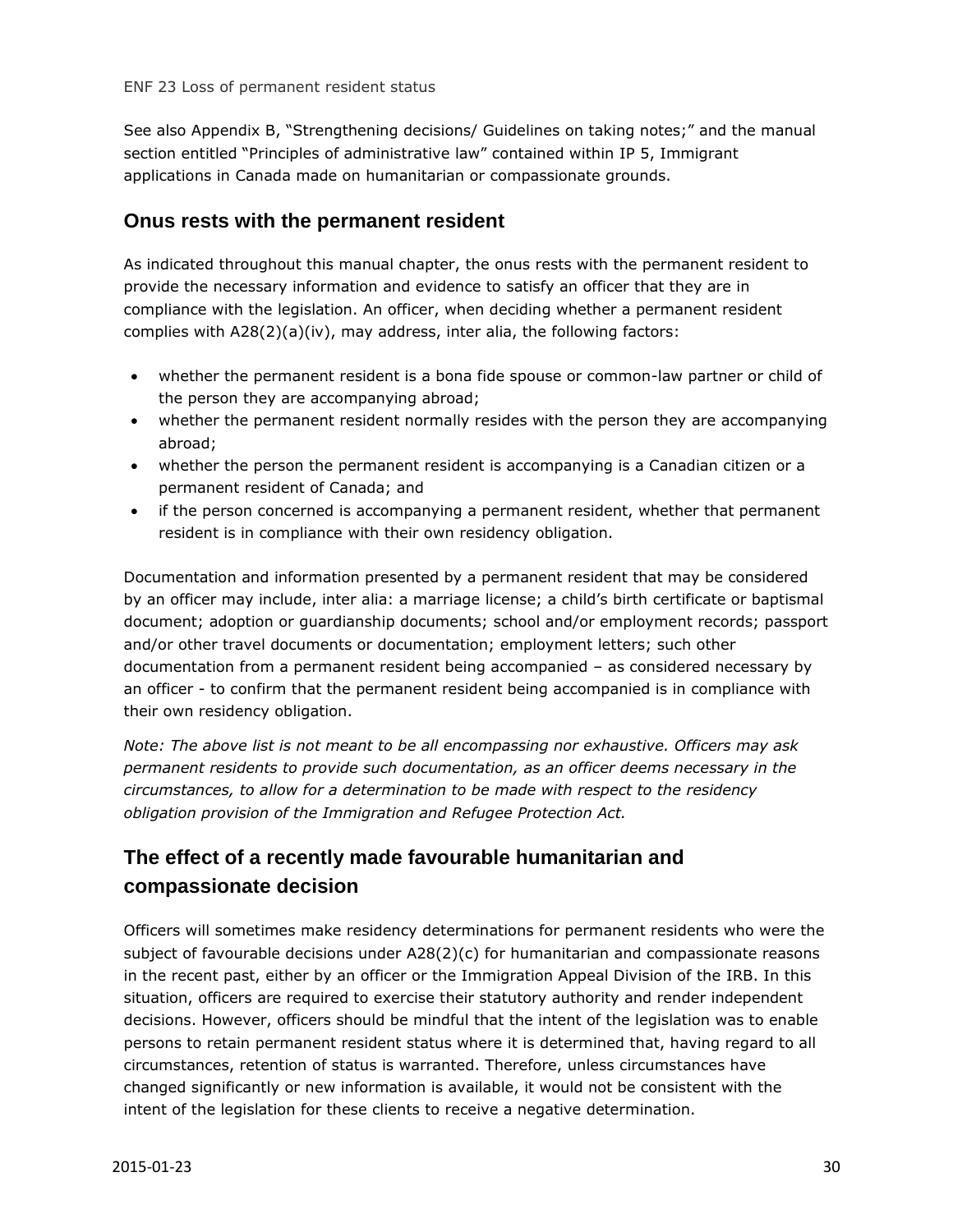See also Appendix B, "Strengthening decisions/ Guidelines on taking notes;" and the manual section entitled "Principles of administrative law" contained within IP 5, Immigrant applications in Canada made on humanitarian or compassionate grounds.

#### **Onus rests with the permanent resident**

As indicated throughout this manual chapter, the onus rests with the permanent resident to provide the necessary information and evidence to satisfy an officer that they are in compliance with the legislation. An officer, when deciding whether a permanent resident complies with A28(2)(a)(iv), may address, inter alia, the following factors:

- whether the permanent resident is a bona fide spouse or common-law partner or child of the person they are accompanying abroad;
- whether the permanent resident normally resides with the person they are accompanying abroad;
- whether the person the permanent resident is accompanying is a Canadian citizen or a permanent resident of Canada; and
- if the person concerned is accompanying a permanent resident, whether that permanent resident is in compliance with their own residency obligation.

Documentation and information presented by a permanent resident that may be considered by an officer may include, inter alia: a marriage license; a child's birth certificate or baptismal document; adoption or guardianship documents; school and/or employment records; passport and/or other travel documents or documentation; employment letters; such other documentation from a permanent resident being accompanied – as considered necessary by an officer - to confirm that the permanent resident being accompanied is in compliance with their own residency obligation.

*Note: The above list is not meant to be all encompassing nor exhaustive. Officers may ask permanent residents to provide such documentation, as an officer deems necessary in the circumstances, to allow for a determination to be made with respect to the residency obligation provision of the Immigration and Refugee Protection Act.*

## **The effect of a recently made favourable humanitarian and compassionate decision**

Officers will sometimes make residency determinations for permanent residents who were the subject of favourable decisions under A28(2)(c) for humanitarian and compassionate reasons in the recent past, either by an officer or the Immigration Appeal Division of the IRB. In this situation, officers are required to exercise their statutory authority and render independent decisions. However, officers should be mindful that the intent of the legislation was to enable persons to retain permanent resident status where it is determined that, having regard to all circumstances, retention of status is warranted. Therefore, unless circumstances have changed significantly or new information is available, it would not be consistent with the intent of the legislation for these clients to receive a negative determination.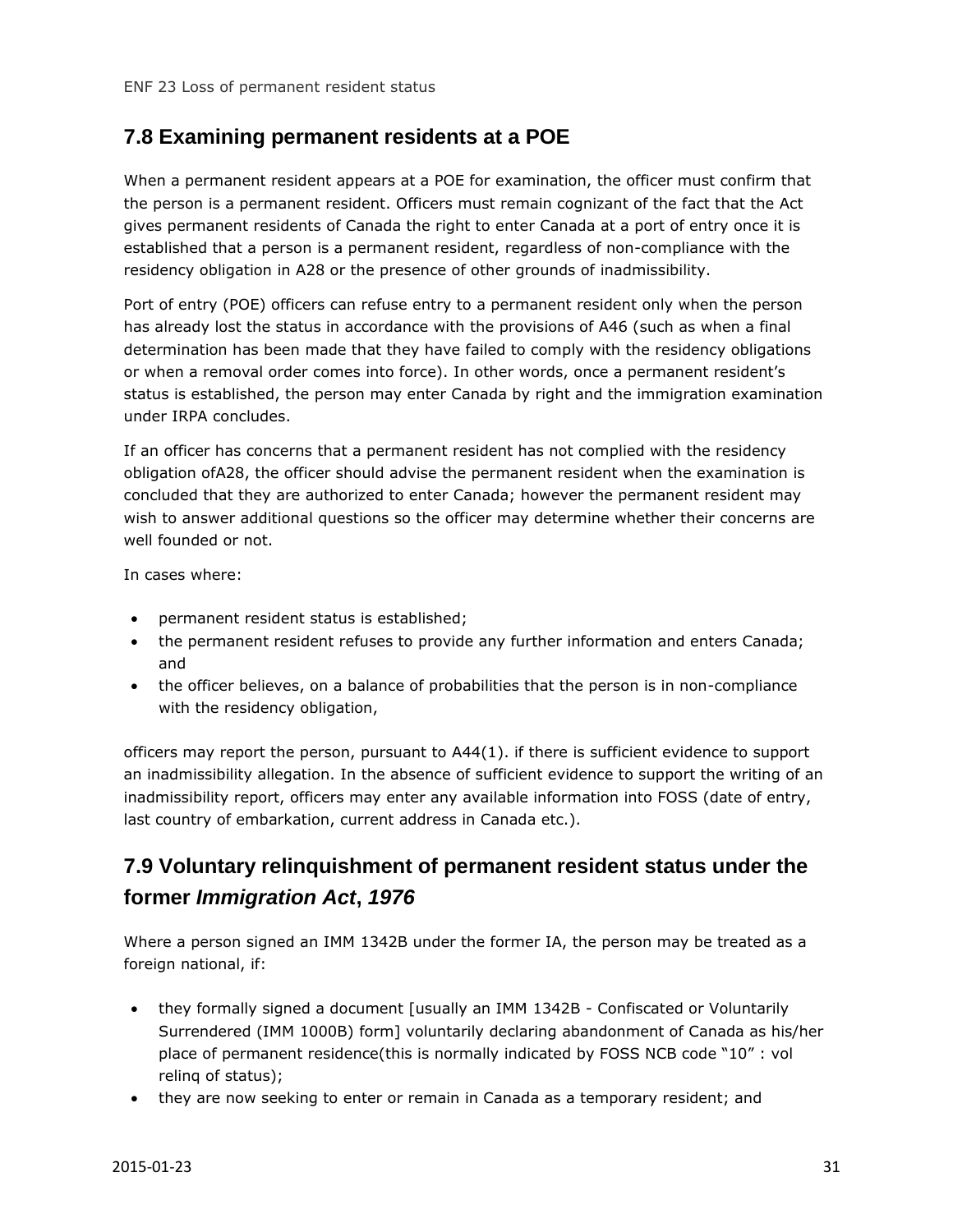#### <span id="page-30-0"></span>**7.8 Examining permanent residents at a POE**

When a permanent resident appears at a POE for examination, the officer must confirm that the person is a permanent resident. Officers must remain cognizant of the fact that the Act gives permanent residents of Canada the right to enter Canada at a port of entry once it is established that a person is a permanent resident, regardless of non-compliance with the residency obligation in A28 or the presence of other grounds of inadmissibility.

Port of entry (POE) officers can refuse entry to a permanent resident only when the person has already lost the status in accordance with the provisions of A46 (such as when a final determination has been made that they have failed to comply with the residency obligations or when a removal order comes into force). In other words, once a permanent resident's status is established, the person may enter Canada by right and the immigration examination under IRPA concludes.

If an officer has concerns that a permanent resident has not complied with the residency obligation ofA28, the officer should advise the permanent resident when the examination is concluded that they are authorized to enter Canada; however the permanent resident may wish to answer additional questions so the officer may determine whether their concerns are well founded or not.

In cases where:

- permanent resident status is established;
- the permanent resident refuses to provide any further information and enters Canada; and
- the officer believes, on a balance of probabilities that the person is in non-compliance with the residency obligation,

officers may report the person, pursuant to A44(1). if there is sufficient evidence to support an inadmissibility allegation. In the absence of sufficient evidence to support the writing of an inadmissibility report, officers may enter any available information into FOSS (date of entry, last country of embarkation, current address in Canada etc.).

## <span id="page-30-1"></span>**7.9 Voluntary relinquishment of permanent resident status under the former** *Immigration Act***,** *1976*

Where a person signed an IMM 1342B under the former IA, the person may be treated as a foreign national, if:

- they formally signed a document [usually an IMM 1342B Confiscated or Voluntarily Surrendered (IMM 1000B) form] voluntarily declaring abandonment of Canada as his/her place of permanent residence(this is normally indicated by FOSS NCB code "10" : vol relinq of status);
- they are now seeking to enter or remain in Canada as a temporary resident; and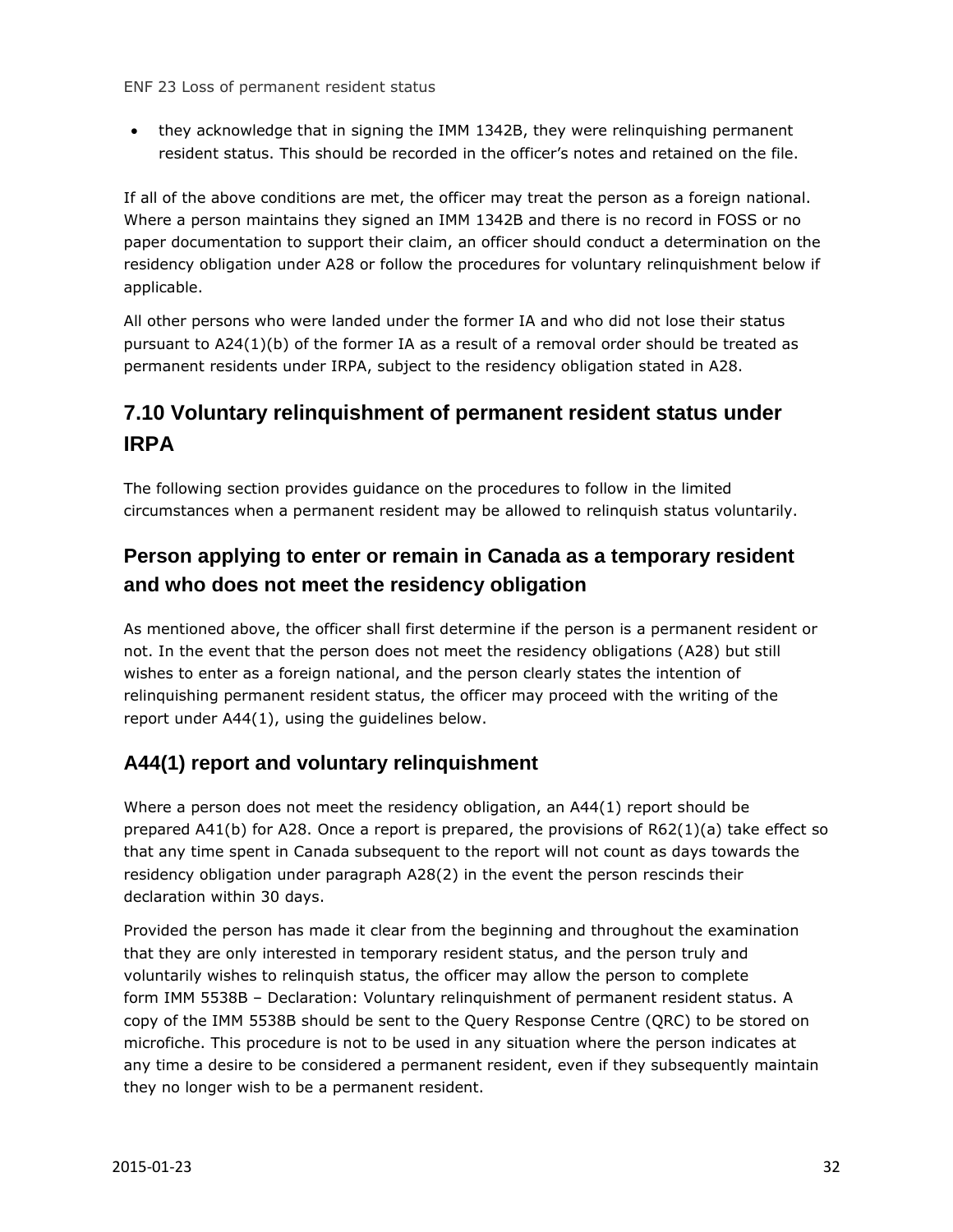they acknowledge that in signing the IMM 1342B, they were relinquishing permanent resident status. This should be recorded in the officer's notes and retained on the file.

If all of the above conditions are met, the officer may treat the person as a foreign national. Where a person maintains they signed an IMM 1342B and there is no record in FOSS or no paper documentation to support their claim, an officer should conduct a determination on the residency obligation under A28 or follow the procedures for voluntary relinquishment below if applicable.

All other persons who were landed under the former IA and who did not lose their status pursuant to A24(1)(b) of the former IA as a result of a removal order should be treated as permanent residents under IRPA, subject to the residency obligation stated in A28.

## <span id="page-31-0"></span>**7.10 Voluntary relinquishment of permanent resident status under IRPA**

The following section provides guidance on the procedures to follow in the limited circumstances when a permanent resident may be allowed to relinquish status voluntarily.

## **Person applying to enter or remain in Canada as a temporary resident and who does not meet the residency obligation**

As mentioned above, the officer shall first determine if the person is a permanent resident or not. In the event that the person does not meet the residency obligations (A28) but still wishes to enter as a foreign national, and the person clearly states the intention of relinquishing permanent resident status, the officer may proceed with the writing of the report under A44(1), using the guidelines below.

#### **A44(1) report and voluntary relinquishment**

Where a person does not meet the residency obligation, an A44(1) report should be prepared A41(b) for A28. Once a report is prepared, the provisions of R62(1)(a) take effect so that any time spent in Canada subsequent to the report will not count as days towards the residency obligation under paragraph A28(2) in the event the person rescinds their declaration within 30 days.

Provided the person has made it clear from the beginning and throughout the examination that they are only interested in temporary resident status, and the person truly and voluntarily wishes to relinquish status, the officer may allow the person to complete form IMM 5538B – Declaration: Voluntary relinquishment of permanent resident status. A copy of the IMM 5538B should be sent to the Query Response Centre (QRC) to be stored on microfiche. This procedure is not to be used in any situation where the person indicates at any time a desire to be considered a permanent resident, even if they subsequently maintain they no longer wish to be a permanent resident.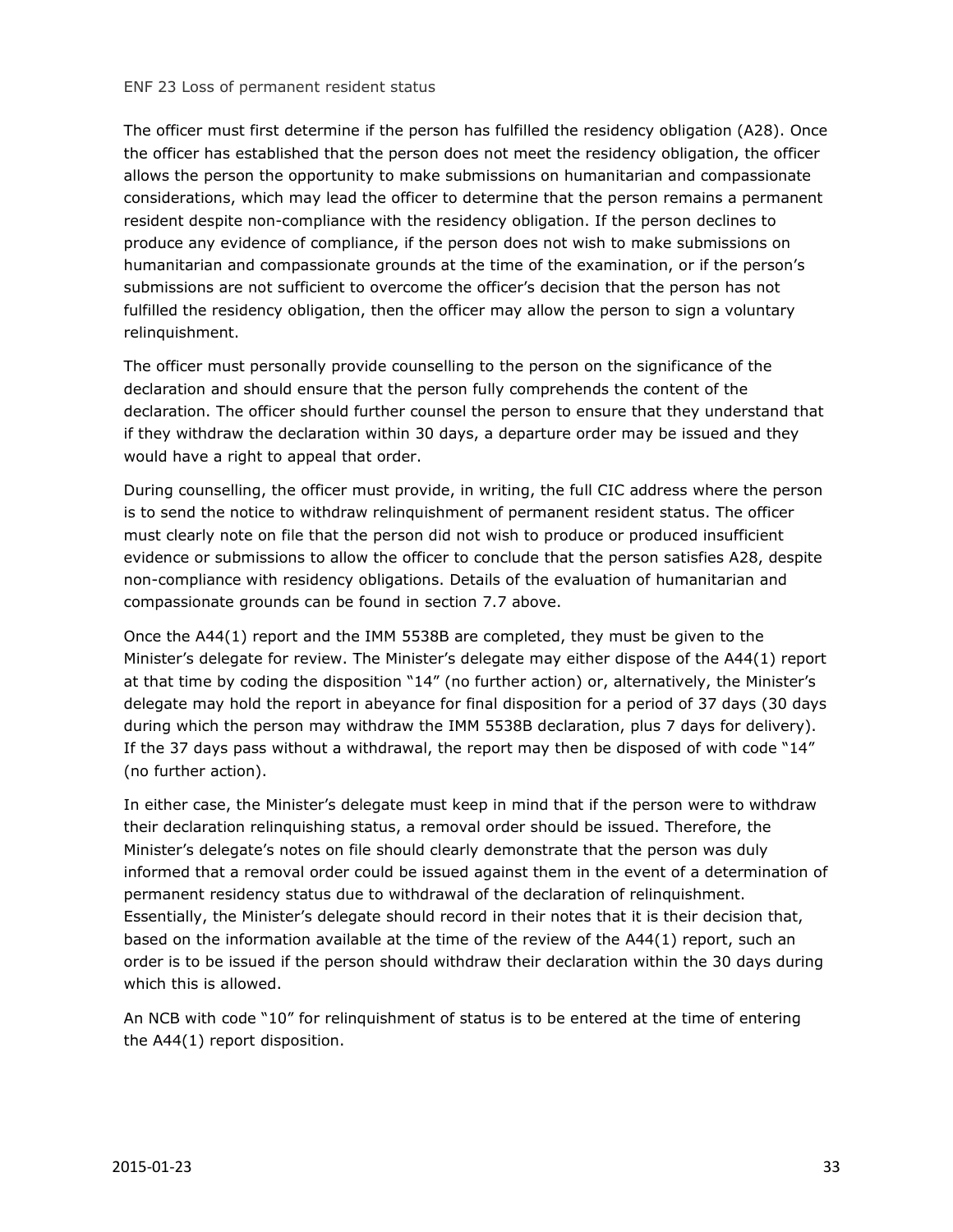The officer must first determine if the person has fulfilled the residency obligation (A28). Once the officer has established that the person does not meet the residency obligation, the officer allows the person the opportunity to make submissions on humanitarian and compassionate considerations, which may lead the officer to determine that the person remains a permanent resident despite non-compliance with the residency obligation. If the person declines to produce any evidence of compliance, if the person does not wish to make submissions on humanitarian and compassionate grounds at the time of the examination, or if the person's submissions are not sufficient to overcome the officer's decision that the person has not fulfilled the residency obligation, then the officer may allow the person to sign a voluntary relinquishment.

The officer must personally provide counselling to the person on the significance of the declaration and should ensure that the person fully comprehends the content of the declaration. The officer should further counsel the person to ensure that they understand that if they withdraw the declaration within 30 days, a departure order may be issued and they would have a right to appeal that order.

During counselling, the officer must provide, in writing, the full CIC address where the person is to send the notice to withdraw relinquishment of permanent resident status. The officer must clearly note on file that the person did not wish to produce or produced insufficient evidence or submissions to allow the officer to conclude that the person satisfies A28, despite non-compliance with residency obligations. Details of the evaluation of humanitarian and compassionate grounds can be found in section 7.7 above.

Once the A44(1) report and the IMM 5538B are completed, they must be given to the Minister's delegate for review. The Minister's delegate may either dispose of the A44(1) report at that time by coding the disposition "14" (no further action) or, alternatively, the Minister's delegate may hold the report in abeyance for final disposition for a period of 37 days (30 days during which the person may withdraw the IMM 5538B declaration, plus 7 days for delivery). If the 37 days pass without a withdrawal, the report may then be disposed of with code "14" (no further action).

In either case, the Minister's delegate must keep in mind that if the person were to withdraw their declaration relinquishing status, a removal order should be issued. Therefore, the Minister's delegate's notes on file should clearly demonstrate that the person was duly informed that a removal order could be issued against them in the event of a determination of permanent residency status due to withdrawal of the declaration of relinquishment. Essentially, the Minister's delegate should record in their notes that it is their decision that, based on the information available at the time of the review of the A44(1) report, such an order is to be issued if the person should withdraw their declaration within the 30 days during which this is allowed.

An NCB with code "10" for relinquishment of status is to be entered at the time of entering the A44(1) report disposition.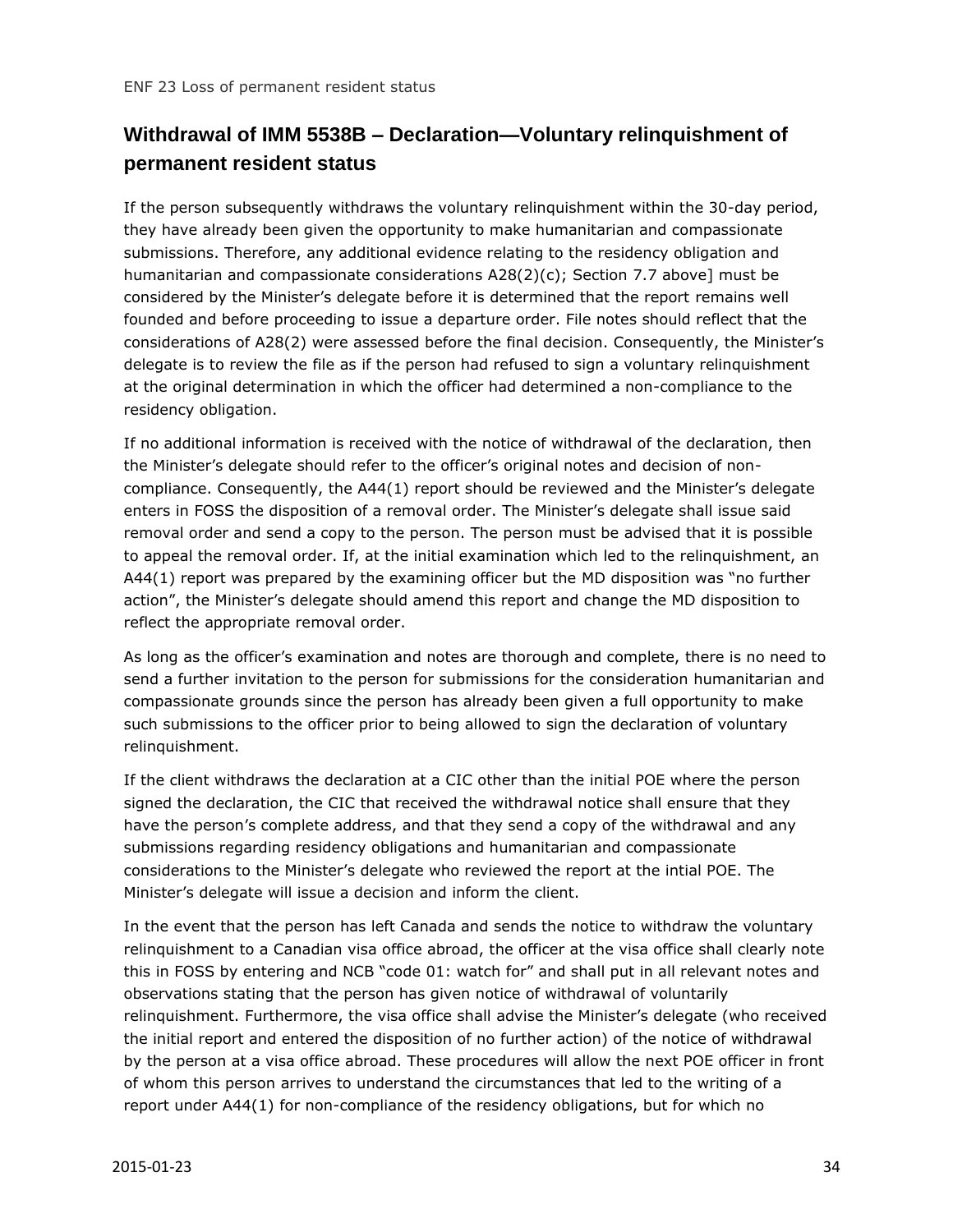## **Withdrawal of IMM 5538B – Declaration—Voluntary relinquishment of permanent resident status**

If the person subsequently withdraws the voluntary relinquishment within the 30-day period, they have already been given the opportunity to make humanitarian and compassionate submissions. Therefore, any additional evidence relating to the residency obligation and humanitarian and compassionate considerations A28(2)(c); Section 7.7 above] must be considered by the Minister's delegate before it is determined that the report remains well founded and before proceeding to issue a departure order. File notes should reflect that the considerations of A28(2) were assessed before the final decision. Consequently, the Minister's delegate is to review the file as if the person had refused to sign a voluntary relinquishment at the original determination in which the officer had determined a non-compliance to the residency obligation.

If no additional information is received with the notice of withdrawal of the declaration, then the Minister's delegate should refer to the officer's original notes and decision of noncompliance. Consequently, the A44(1) report should be reviewed and the Minister's delegate enters in FOSS the disposition of a removal order. The Minister's delegate shall issue said removal order and send a copy to the person. The person must be advised that it is possible to appeal the removal order. If, at the initial examination which led to the relinquishment, an A44(1) report was prepared by the examining officer but the MD disposition was "no further action", the Minister's delegate should amend this report and change the MD disposition to reflect the appropriate removal order.

As long as the officer's examination and notes are thorough and complete, there is no need to send a further invitation to the person for submissions for the consideration humanitarian and compassionate grounds since the person has already been given a full opportunity to make such submissions to the officer prior to being allowed to sign the declaration of voluntary relinquishment.

If the client withdraws the declaration at a CIC other than the initial POE where the person signed the declaration, the CIC that received the withdrawal notice shall ensure that they have the person's complete address, and that they send a copy of the withdrawal and any submissions regarding residency obligations and humanitarian and compassionate considerations to the Minister's delegate who reviewed the report at the intial POE. The Minister's delegate will issue a decision and inform the client.

In the event that the person has left Canada and sends the notice to withdraw the voluntary relinquishment to a Canadian visa office abroad, the officer at the visa office shall clearly note this in FOSS by entering and NCB "code 01: watch for" and shall put in all relevant notes and observations stating that the person has given notice of withdrawal of voluntarily relinquishment. Furthermore, the visa office shall advise the Minister's delegate (who received the initial report and entered the disposition of no further action) of the notice of withdrawal by the person at a visa office abroad. These procedures will allow the next POE officer in front of whom this person arrives to understand the circumstances that led to the writing of a report under A44(1) for non-compliance of the residency obligations, but for which no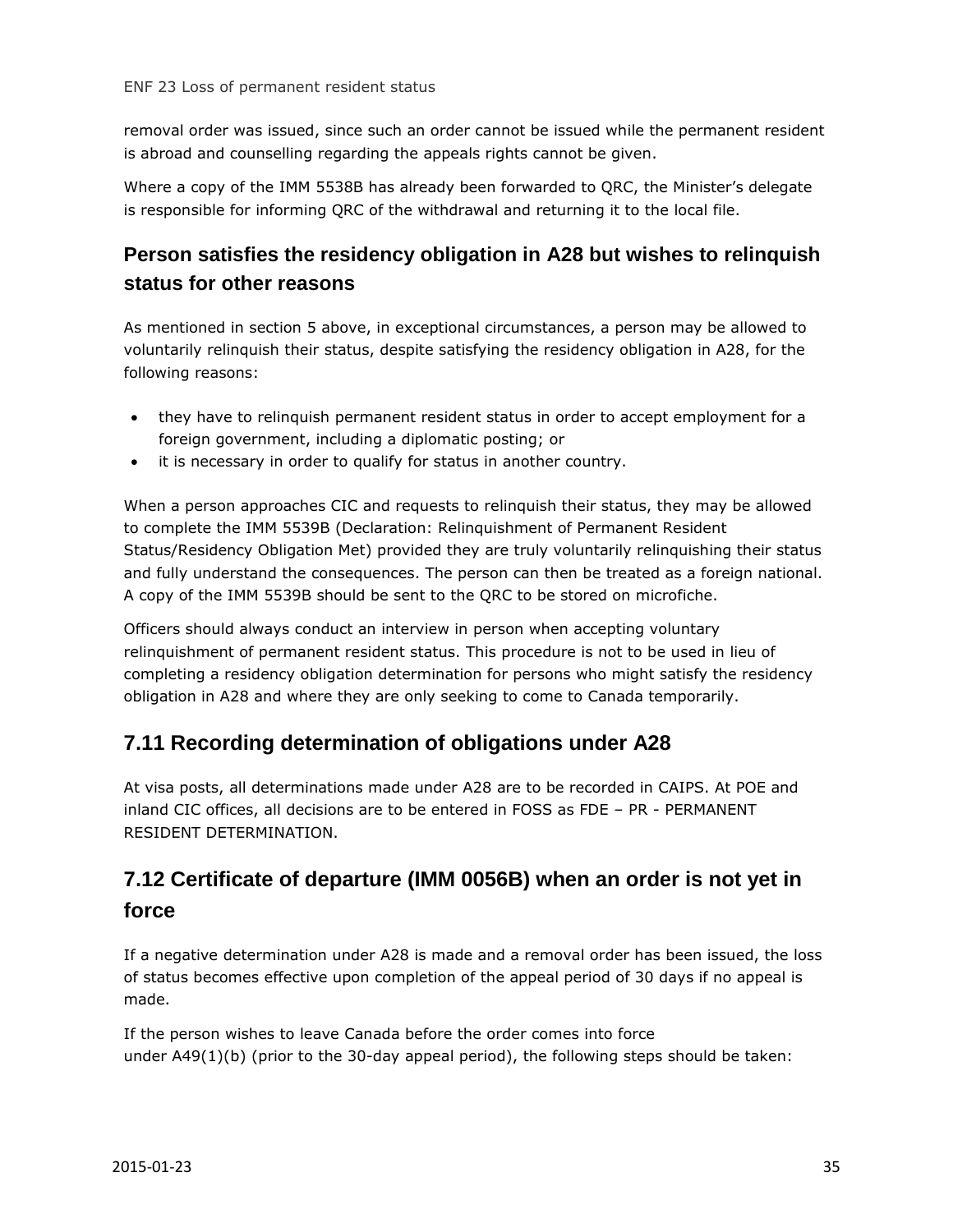removal order was issued, since such an order cannot be issued while the permanent resident is abroad and counselling regarding the appeals rights cannot be given.

Where a copy of the IMM 5538B has already been forwarded to QRC, the Minister's delegate is responsible for informing QRC of the withdrawal and returning it to the local file.

## **Person satisfies the residency obligation in A28 but wishes to relinquish status for other reasons**

As mentioned in section 5 above, in exceptional circumstances, a person may be allowed to voluntarily relinquish their status, despite satisfying the residency obligation in A28, for the following reasons:

- they have to relinquish permanent resident status in order to accept employment for a foreign government, including a diplomatic posting; or
- it is necessary in order to qualify for status in another country.

When a person approaches CIC and requests to relinquish their status, they may be allowed to complete the IMM 5539B (Declaration: Relinquishment of Permanent Resident Status/Residency Obligation Met) provided they are truly voluntarily relinquishing their status and fully understand the consequences. The person can then be treated as a foreign national. A copy of the IMM 5539B should be sent to the QRC to be stored on microfiche.

Officers should always conduct an interview in person when accepting voluntary relinquishment of permanent resident status. This procedure is not to be used in lieu of completing a residency obligation determination for persons who might satisfy the residency obligation in A28 and where they are only seeking to come to Canada temporarily.

#### <span id="page-34-0"></span>**7.11 Recording determination of obligations under A28**

At visa posts, all determinations made under A28 are to be recorded in CAIPS. At POE and inland CIC offices, all decisions are to be entered in FOSS as FDE – PR - PERMANENT RESIDENT DETERMINATION.

## <span id="page-34-1"></span>**7.12 Certificate of departure (IMM 0056B) when an order is not yet in force**

If a negative determination under A28 is made and a removal order has been issued, the loss of status becomes effective upon completion of the appeal period of 30 days if no appeal is made.

If the person wishes to leave Canada before the order comes into force under A49(1)(b) (prior to the 30-day appeal period), the following steps should be taken: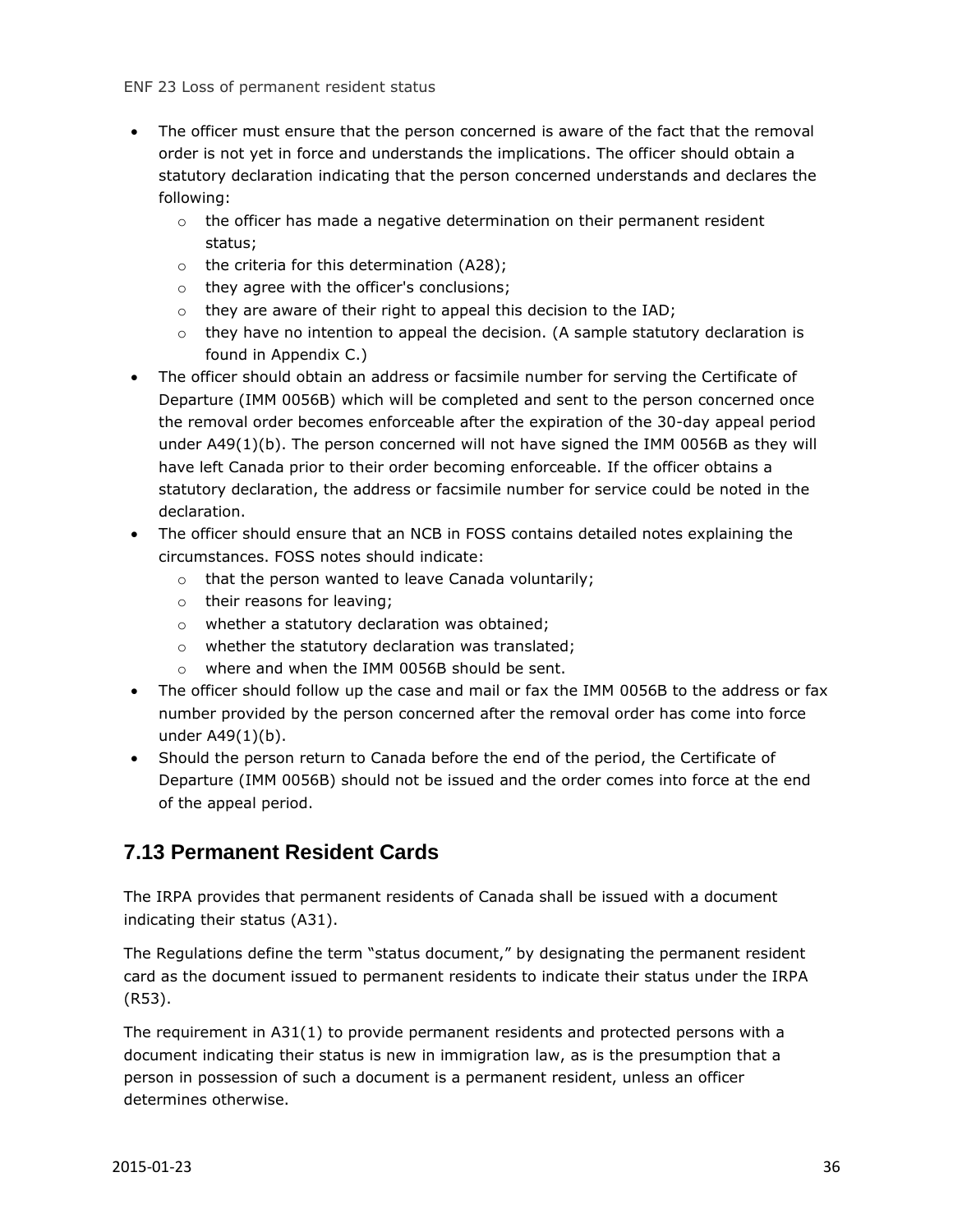- The officer must ensure that the person concerned is aware of the fact that the removal order is not yet in force and understands the implications. The officer should obtain a statutory declaration indicating that the person concerned understands and declares the following:
	- o the officer has made a negative determination on their permanent resident status;
	- o the criteria for this determination (A28);
	- o they agree with the officer's conclusions;
	- $\circ$  they are aware of their right to appeal this decision to the IAD;
	- $\circ$  they have no intention to appeal the decision. (A sample statutory declaration is found in Appendix C.)
- The officer should obtain an address or facsimile number for serving the Certificate of Departure (IMM 0056B) which will be completed and sent to the person concerned once the removal order becomes enforceable after the expiration of the 30-day appeal period under A49(1)(b). The person concerned will not have signed the IMM 0056B as they will have left Canada prior to their order becoming enforceable. If the officer obtains a statutory declaration, the address or facsimile number for service could be noted in the declaration.
- The officer should ensure that an NCB in FOSS contains detailed notes explaining the circumstances. FOSS notes should indicate:
	- o that the person wanted to leave Canada voluntarily;
	- o their reasons for leaving;
	- o whether a statutory declaration was obtained;
	- o whether the statutory declaration was translated;
	- o where and when the IMM 0056B should be sent.
- The officer should follow up the case and mail or fax the IMM 0056B to the address or fax number provided by the person concerned after the removal order has come into force under A49(1)(b).
- Should the person return to Canada before the end of the period, the Certificate of Departure (IMM 0056B) should not be issued and the order comes into force at the end of the appeal period.

#### <span id="page-35-0"></span>**7.13 Permanent Resident Cards**

The IRPA provides that permanent residents of Canada shall be issued with a document indicating their status (A31).

The Regulations define the term "status document," by designating the permanent resident card as the document issued to permanent residents to indicate their status under the IRPA (R53).

The requirement in A31(1) to provide permanent residents and protected persons with a document indicating their status is new in immigration law, as is the presumption that a person in possession of such a document is a permanent resident, unless an officer determines otherwise.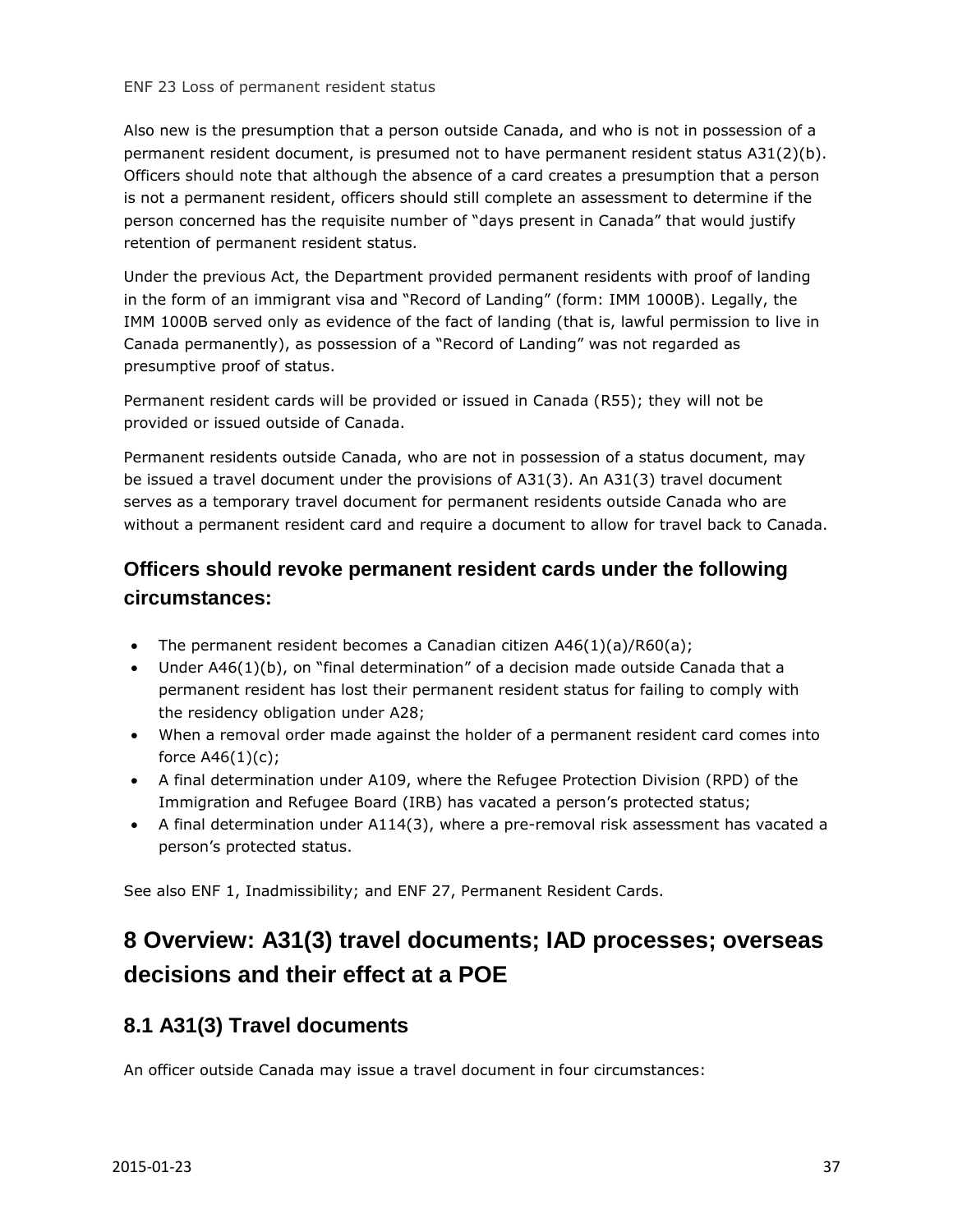Also new is the presumption that a person outside Canada, and who is not in possession of a permanent resident document, is presumed not to have permanent resident status A31(2)(b). Officers should note that although the absence of a card creates a presumption that a person is not a permanent resident, officers should still complete an assessment to determine if the person concerned has the requisite number of "days present in Canada" that would justify retention of permanent resident status.

Under the previous Act, the Department provided permanent residents with proof of landing in the form of an immigrant visa and "Record of Landing" (form: IMM 1000B). Legally, the IMM 1000B served only as evidence of the fact of landing (that is, lawful permission to live in Canada permanently), as possession of a "Record of Landing" was not regarded as presumptive proof of status.

Permanent resident cards will be provided or issued in Canada (R55); they will not be provided or issued outside of Canada.

Permanent residents outside Canada, who are not in possession of a status document, may be issued a travel document under the provisions of A31(3). An A31(3) travel document serves as a temporary travel document for permanent residents outside Canada who are without a permanent resident card and require a document to allow for travel back to Canada.

#### **Officers should revoke permanent resident cards under the following circumstances:**

- The permanent resident becomes a Canadian citizen  $A46(1)(a)/R60(a)$ ;
- Under A46(1)(b), on "final determination" of a decision made outside Canada that a permanent resident has lost their permanent resident status for failing to comply with the residency obligation under A28;
- When a removal order made against the holder of a permanent resident card comes into force  $A46(1)(c)$ ;
- A final determination under A109, where the Refugee Protection Division (RPD) of the Immigration and Refugee Board (IRB) has vacated a person's protected status;
- A final determination under A114(3), where a pre-removal risk assessment has vacated a person's protected status.

See also ENF 1, Inadmissibility; and ENF 27, Permanent Resident Cards.

## <span id="page-36-0"></span>**8 Overview: A31(3) travel documents; IAD processes; overseas decisions and their effect at a POE**

#### <span id="page-36-1"></span>**8.1 A31(3) Travel documents**

An officer outside Canada may issue a travel document in four circumstances: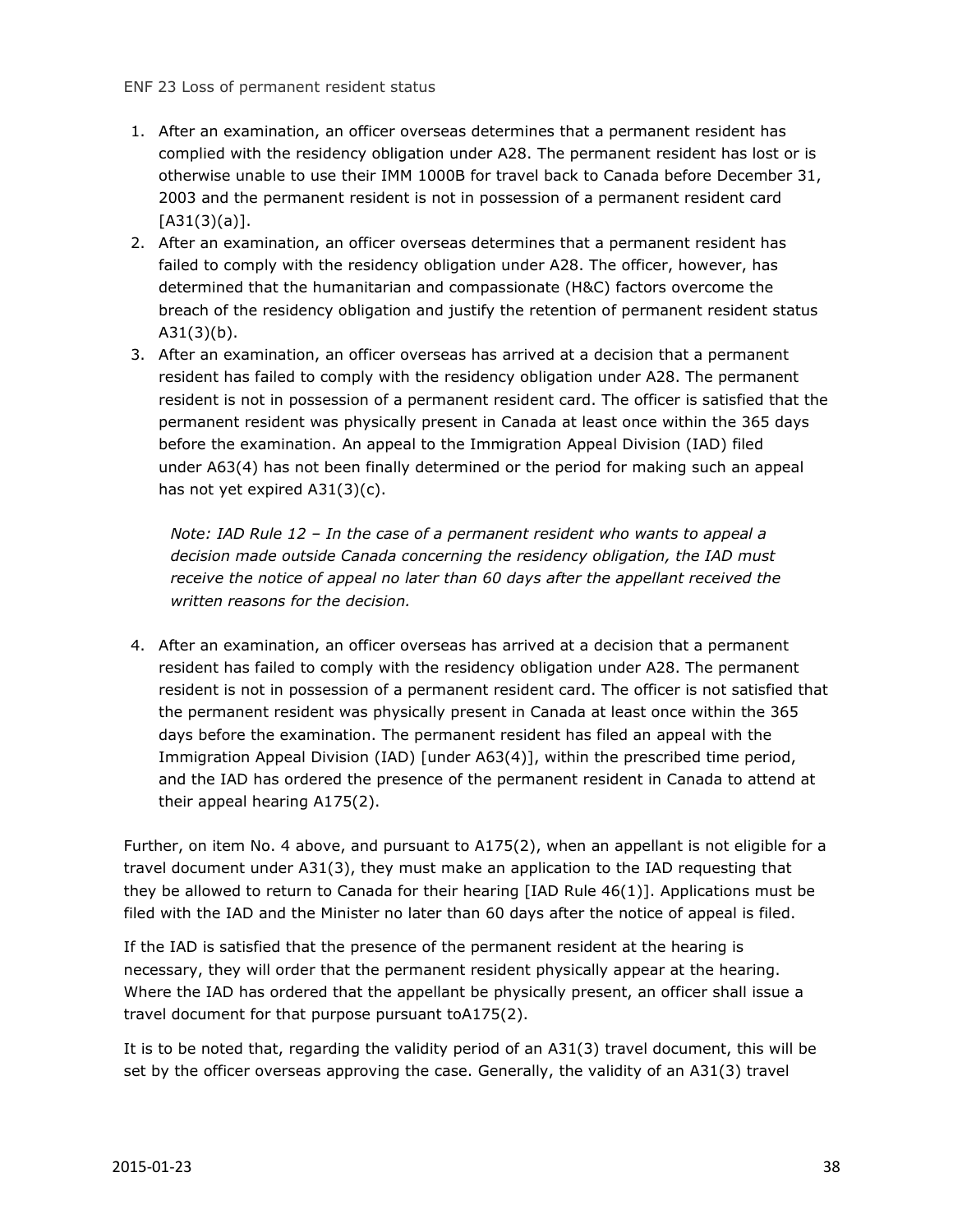- 1. After an examination, an officer overseas determines that a permanent resident has complied with the residency obligation under A28. The permanent resident has lost or is otherwise unable to use their IMM 1000B for travel back to Canada before December 31, 2003 and the permanent resident is not in possession of a permanent resident card  $[A31(3)(a)].$
- 2. After an examination, an officer overseas determines that a permanent resident has failed to comply with the residency obligation under A28. The officer, however, has determined that the humanitarian and compassionate (H&C) factors overcome the breach of the residency obligation and justify the retention of permanent resident status  $A31(3)(b)$ .
- 3. After an examination, an officer overseas has arrived at a decision that a permanent resident has failed to comply with the residency obligation under A28. The permanent resident is not in possession of a permanent resident card. The officer is satisfied that the permanent resident was physically present in Canada at least once within the 365 days before the examination. An appeal to the Immigration Appeal Division (IAD) filed under A63(4) has not been finally determined or the period for making such an appeal has not yet expired A31(3)(c).

*Note: IAD Rule 12 – In the case of a permanent resident who wants to appeal a decision made outside Canada concerning the residency obligation, the IAD must receive the notice of appeal no later than 60 days after the appellant received the written reasons for the decision.*

4. After an examination, an officer overseas has arrived at a decision that a permanent resident has failed to comply with the residency obligation under A28. The permanent resident is not in possession of a permanent resident card. The officer is not satisfied that the permanent resident was physically present in Canada at least once within the 365 days before the examination. The permanent resident has filed an appeal with the Immigration Appeal Division (IAD) [under A63(4)], within the prescribed time period, and the IAD has ordered the presence of the permanent resident in Canada to attend at their appeal hearing A175(2).

Further, on item No. 4 above, and pursuant to A175(2), when an appellant is not eligible for a travel document under A31(3), they must make an application to the IAD requesting that they be allowed to return to Canada for their hearing [IAD Rule 46(1)]. Applications must be filed with the IAD and the Minister no later than 60 days after the notice of appeal is filed.

If the IAD is satisfied that the presence of the permanent resident at the hearing is necessary, they will order that the permanent resident physically appear at the hearing. Where the IAD has ordered that the appellant be physically present, an officer shall issue a travel document for that purpose pursuant toA175(2).

It is to be noted that, regarding the validity period of an A31(3) travel document, this will be set by the officer overseas approving the case. Generally, the validity of an A31(3) travel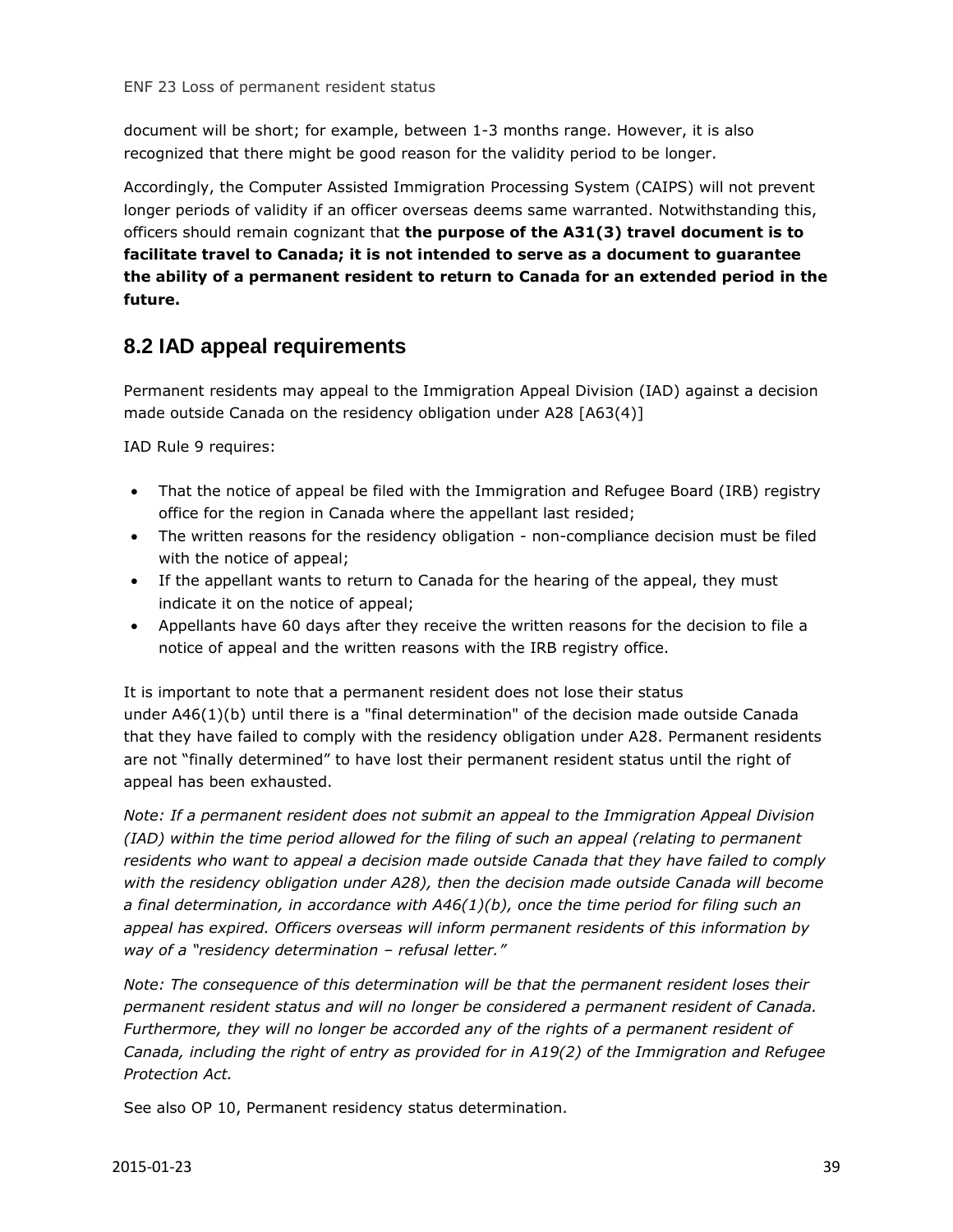document will be short; for example, between 1-3 months range. However, it is also recognized that there might be good reason for the validity period to be longer.

Accordingly, the Computer Assisted Immigration Processing System (CAIPS) will not prevent longer periods of validity if an officer overseas deems same warranted. Notwithstanding this, officers should remain cognizant that **the purpose of the A31(3) travel document is to facilitate travel to Canada; it is not intended to serve as a document to guarantee the ability of a permanent resident to return to Canada for an extended period in the future.**

#### <span id="page-38-0"></span>**8.2 IAD appeal requirements**

Permanent residents may appeal to the Immigration Appeal Division (IAD) against a decision made outside Canada on the residency obligation under A28 [A63(4)]

IAD Rule 9 requires:

- That the notice of appeal be filed with the Immigration and Refugee Board (IRB) registry office for the region in Canada where the appellant last resided;
- The written reasons for the residency obligation non-compliance decision must be filed with the notice of appeal;
- If the appellant wants to return to Canada for the hearing of the appeal, they must indicate it on the notice of appeal;
- Appellants have 60 days after they receive the written reasons for the decision to file a notice of appeal and the written reasons with the IRB registry office.

It is important to note that a permanent resident does not lose their status under A46(1)(b) until there is a "final determination" of the decision made outside Canada that they have failed to comply with the residency obligation under A28. Permanent residents are not "finally determined" to have lost their permanent resident status until the right of appeal has been exhausted.

*Note: If a permanent resident does not submit an appeal to the Immigration Appeal Division (IAD) within the time period allowed for the filing of such an appeal (relating to permanent residents who want to appeal a decision made outside Canada that they have failed to comply with the residency obligation under A28), then the decision made outside Canada will become a final determination, in accordance with A46(1)(b), once the time period for filing such an appeal has expired. Officers overseas will inform permanent residents of this information by way of a "residency determination – refusal letter."*

*Note: The consequence of this determination will be that the permanent resident loses their permanent resident status and will no longer be considered a permanent resident of Canada.*  Furthermore, they will no longer be accorded any of the rights of a permanent resident of *Canada, including the right of entry as provided for in A19(2) of the Immigration and Refugee Protection Act.*

See also OP 10, Permanent residency status determination.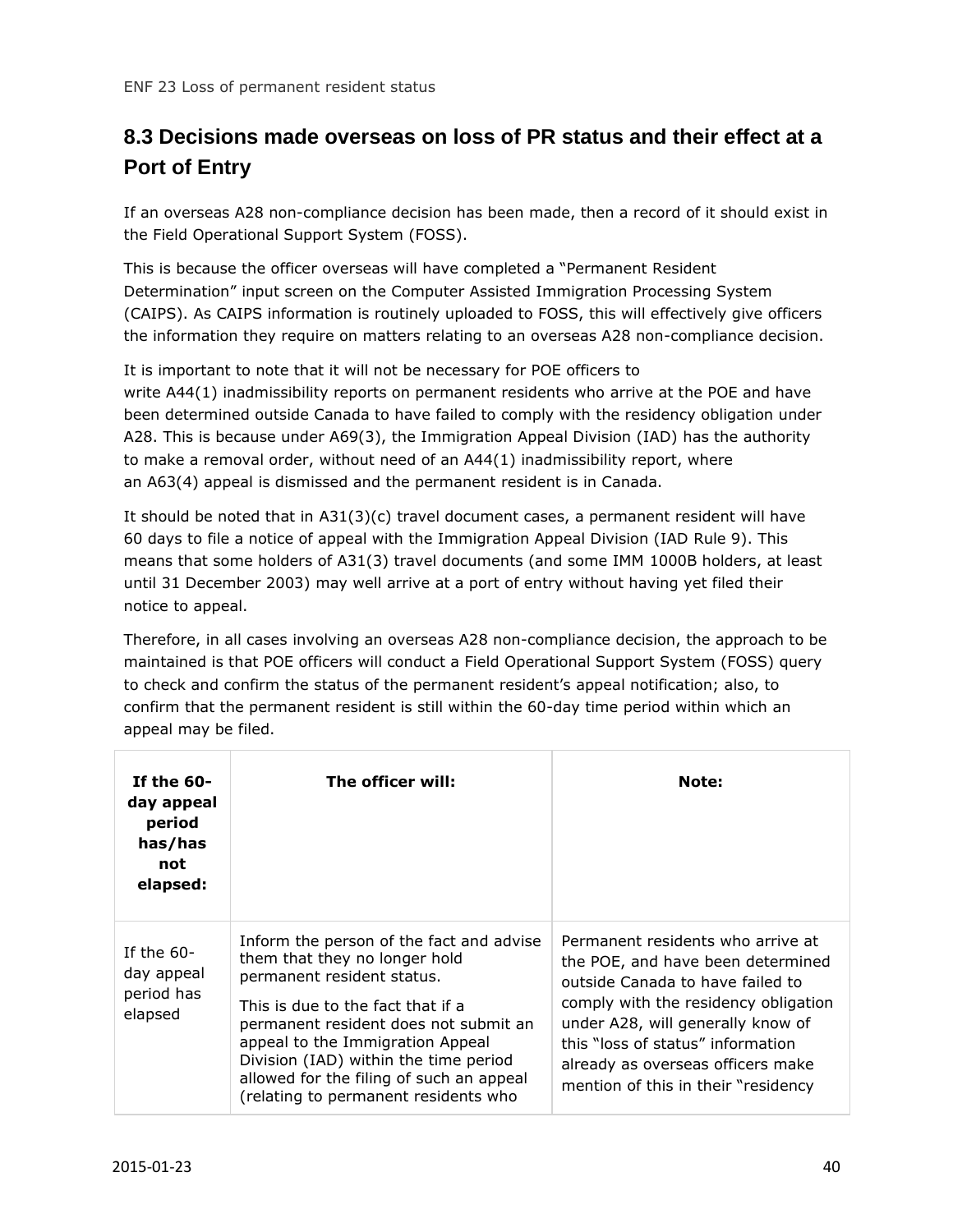## <span id="page-39-0"></span>**8.3 Decisions made overseas on loss of PR status and their effect at a Port of Entry**

If an overseas A28 non-compliance decision has been made, then a record of it should exist in the Field Operational Support System (FOSS).

This is because the officer overseas will have completed a "Permanent Resident Determination" input screen on the Computer Assisted Immigration Processing System (CAIPS). As CAIPS information is routinely uploaded to FOSS, this will effectively give officers the information they require on matters relating to an overseas A28 non-compliance decision.

It is important to note that it will not be necessary for POE officers to write A44(1) inadmissibility reports on permanent residents who arrive at the POE and have been determined outside Canada to have failed to comply with the residency obligation under A28. This is because under A69(3), the Immigration Appeal Division (IAD) has the authority to make a removal order, without need of an A44(1) inadmissibility report, where an A63(4) appeal is dismissed and the permanent resident is in Canada.

It should be noted that in A31(3)(c) travel document cases, a permanent resident will have 60 days to file a notice of appeal with the Immigration Appeal Division (IAD Rule 9). This means that some holders of A31(3) travel documents (and some IMM 1000B holders, at least until 31 December 2003) may well arrive at a port of entry without having yet filed their notice to appeal.

Therefore, in all cases involving an overseas A28 non-compliance decision, the approach to be maintained is that POE officers will conduct a Field Operational Support System (FOSS) query to check and confirm the status of the permanent resident's appeal notification; also, to confirm that the permanent resident is still within the 60-day time period within which an appeal may be filed.

| If the $60-$<br>day appeal<br>period<br>has/has<br>not<br>elapsed: | The officer will:                                                                                                                                                                                                                                                                                                                                      | Note:                                                                                                                                                                                                                                                                                                    |
|--------------------------------------------------------------------|--------------------------------------------------------------------------------------------------------------------------------------------------------------------------------------------------------------------------------------------------------------------------------------------------------------------------------------------------------|----------------------------------------------------------------------------------------------------------------------------------------------------------------------------------------------------------------------------------------------------------------------------------------------------------|
| If the $60-$<br>day appeal<br>period has<br>elapsed                | Inform the person of the fact and advise<br>them that they no longer hold<br>permanent resident status.<br>This is due to the fact that if a<br>permanent resident does not submit an<br>appeal to the Immigration Appeal<br>Division (IAD) within the time period<br>allowed for the filing of such an appeal<br>(relating to permanent residents who | Permanent residents who arrive at<br>the POE, and have been determined<br>outside Canada to have failed to<br>comply with the residency obligation<br>under A28, will generally know of<br>this "loss of status" information<br>already as overseas officers make<br>mention of this in their "residency |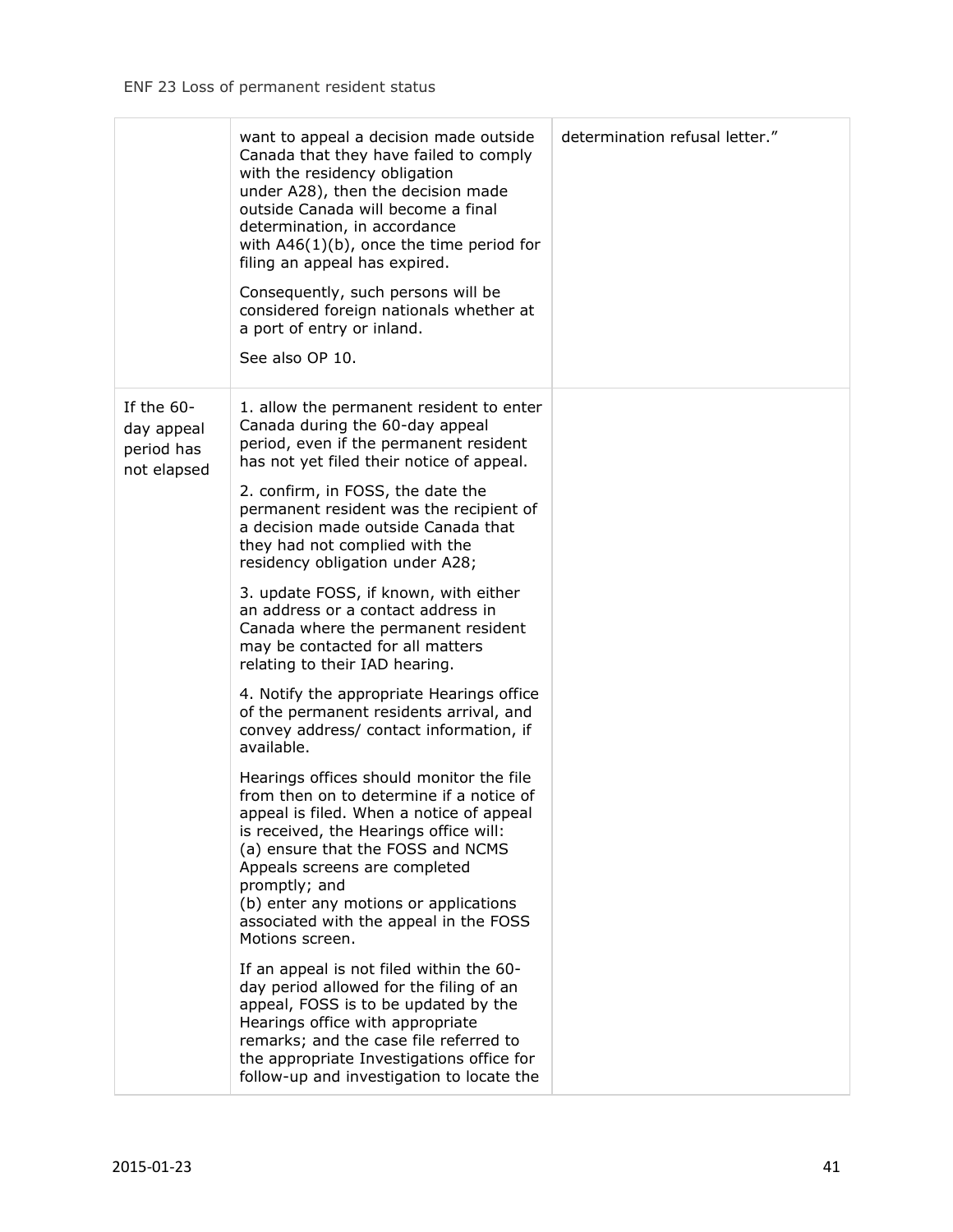|                                                       | want to appeal a decision made outside<br>Canada that they have failed to comply<br>with the residency obligation<br>under A28), then the decision made<br>outside Canada will become a final<br>determination, in accordance<br>with $A46(1)(b)$ , once the time period for<br>filing an appeal has expired.<br>Consequently, such persons will be<br>considered foreign nationals whether at<br>a port of entry or inland.<br>See also OP 10. | determination refusal letter." |
|-------------------------------------------------------|-------------------------------------------------------------------------------------------------------------------------------------------------------------------------------------------------------------------------------------------------------------------------------------------------------------------------------------------------------------------------------------------------------------------------------------------------|--------------------------------|
| If the 60-<br>day appeal<br>period has<br>not elapsed | 1. allow the permanent resident to enter<br>Canada during the 60-day appeal<br>period, even if the permanent resident<br>has not yet filed their notice of appeal.                                                                                                                                                                                                                                                                              |                                |
|                                                       | 2. confirm, in FOSS, the date the<br>permanent resident was the recipient of<br>a decision made outside Canada that<br>they had not complied with the<br>residency obligation under A28;                                                                                                                                                                                                                                                        |                                |
|                                                       | 3. update FOSS, if known, with either<br>an address or a contact address in<br>Canada where the permanent resident<br>may be contacted for all matters<br>relating to their IAD hearing.                                                                                                                                                                                                                                                        |                                |
|                                                       | 4. Notify the appropriate Hearings office<br>of the permanent residents arrival, and<br>convey address/ contact information, if<br>available.                                                                                                                                                                                                                                                                                                   |                                |
|                                                       | Hearings offices should monitor the file<br>from then on to determine if a notice of<br>appeal is filed. When a notice of appeal<br>is received, the Hearings office will:<br>(a) ensure that the FOSS and NCMS<br>Appeals screens are completed<br>promptly; and<br>(b) enter any motions or applications<br>associated with the appeal in the FOSS                                                                                            |                                |
|                                                       | Motions screen.<br>If an appeal is not filed within the 60-<br>day period allowed for the filing of an<br>appeal, FOSS is to be updated by the<br>Hearings office with appropriate<br>remarks; and the case file referred to<br>the appropriate Investigations office for<br>follow-up and investigation to locate the                                                                                                                          |                                |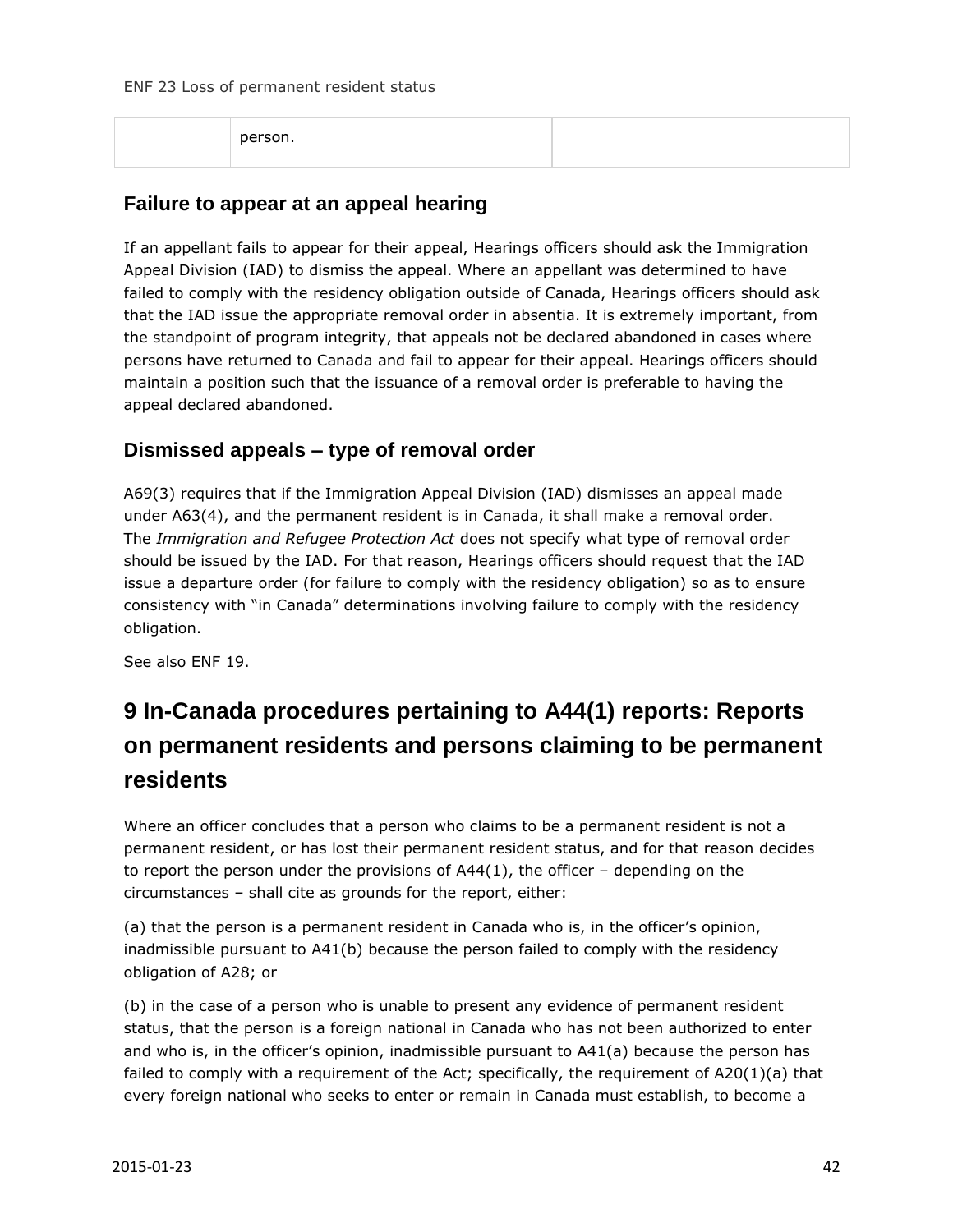| person. |  |
|---------|--|
|         |  |

#### **Failure to appear at an appeal hearing**

If an appellant fails to appear for their appeal, Hearings officers should ask the Immigration Appeal Division (IAD) to dismiss the appeal. Where an appellant was determined to have failed to comply with the residency obligation outside of Canada, Hearings officers should ask that the IAD issue the appropriate removal order in absentia. It is extremely important, from the standpoint of program integrity, that appeals not be declared abandoned in cases where persons have returned to Canada and fail to appear for their appeal. Hearings officers should maintain a position such that the issuance of a removal order is preferable to having the appeal declared abandoned.

#### **Dismissed appeals – type of removal order**

A69(3) requires that if the Immigration Appeal Division (IAD) dismisses an appeal made under A63(4), and the permanent resident is in Canada, it shall make a removal order. The *Immigration and Refugee Protection Act* does not specify what type of removal order should be issued by the IAD. For that reason, Hearings officers should request that the IAD issue a departure order (for failure to comply with the residency obligation) so as to ensure consistency with "in Canada" determinations involving failure to comply with the residency obligation.

See also ENF 19.

## <span id="page-41-0"></span>**9 In-Canada procedures pertaining to A44(1) reports: Reports on permanent residents and persons claiming to be permanent residents**

Where an officer concludes that a person who claims to be a permanent resident is not a permanent resident, or has lost their permanent resident status, and for that reason decides to report the person under the provisions of  $A44(1)$ , the officer – depending on the circumstances – shall cite as grounds for the report, either:

(a) that the person is a permanent resident in Canada who is, in the officer's opinion, inadmissible pursuant to A41(b) because the person failed to comply with the residency obligation of A28; or

(b) in the case of a person who is unable to present any evidence of permanent resident status, that the person is a foreign national in Canada who has not been authorized to enter and who is, in the officer's opinion, inadmissible pursuant to A41(a) because the person has failed to comply with a requirement of the Act; specifically, the requirement of A20(1)(a) that every foreign national who seeks to enter or remain in Canada must establish, to become a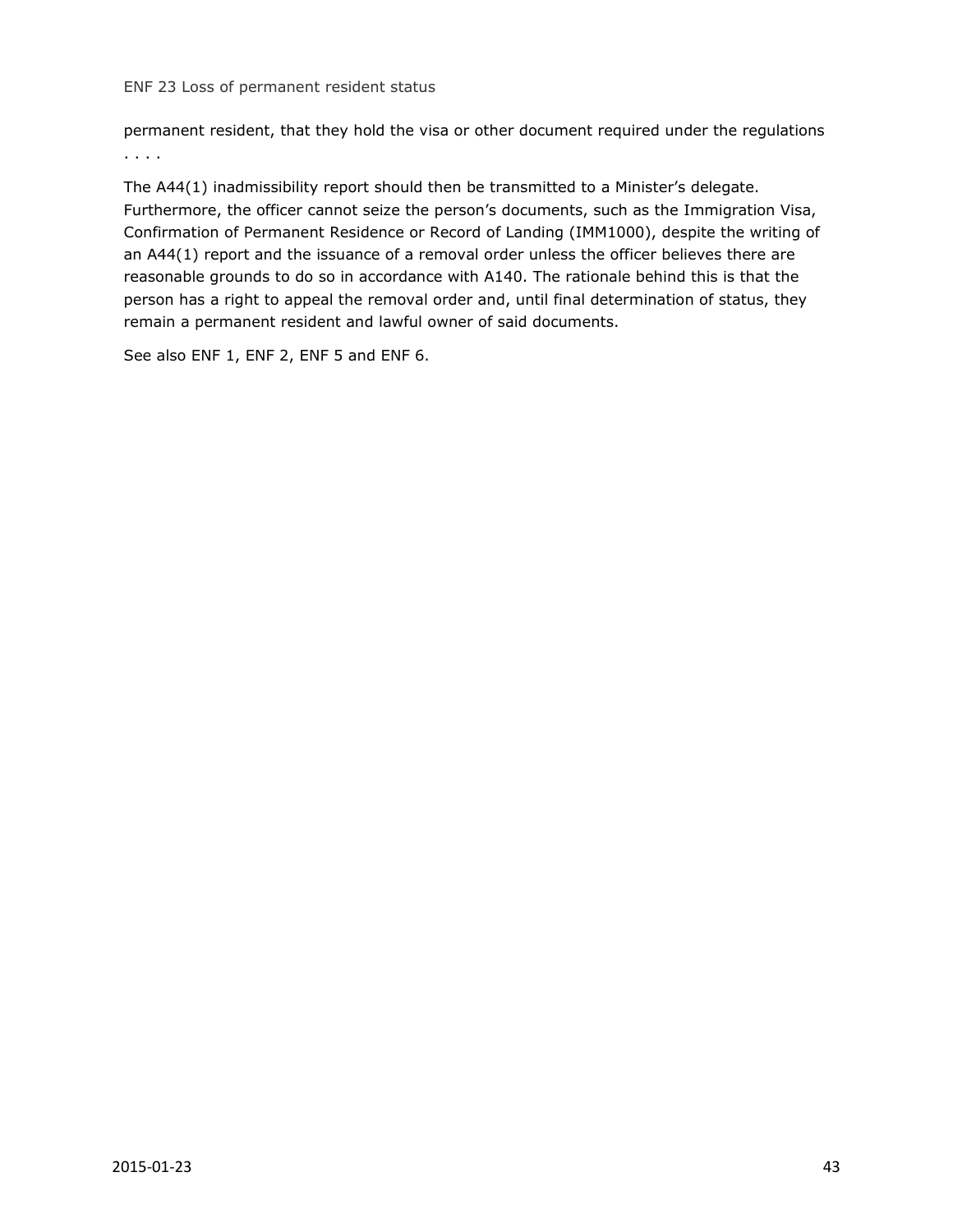permanent resident, that they hold the visa or other document required under the regulations . . . .

The A44(1) inadmissibility report should then be transmitted to a Minister's delegate. Furthermore, the officer cannot seize the person's documents, such as the Immigration Visa, Confirmation of Permanent Residence or Record of Landing (IMM1000), despite the writing of an A44(1) report and the issuance of a removal order unless the officer believes there are reasonable grounds to do so in accordance with A140. The rationale behind this is that the person has a right to appeal the removal order and, until final determination of status, they remain a permanent resident and lawful owner of said documents.

See also ENF 1, ENF 2, ENF 5 and ENF 6.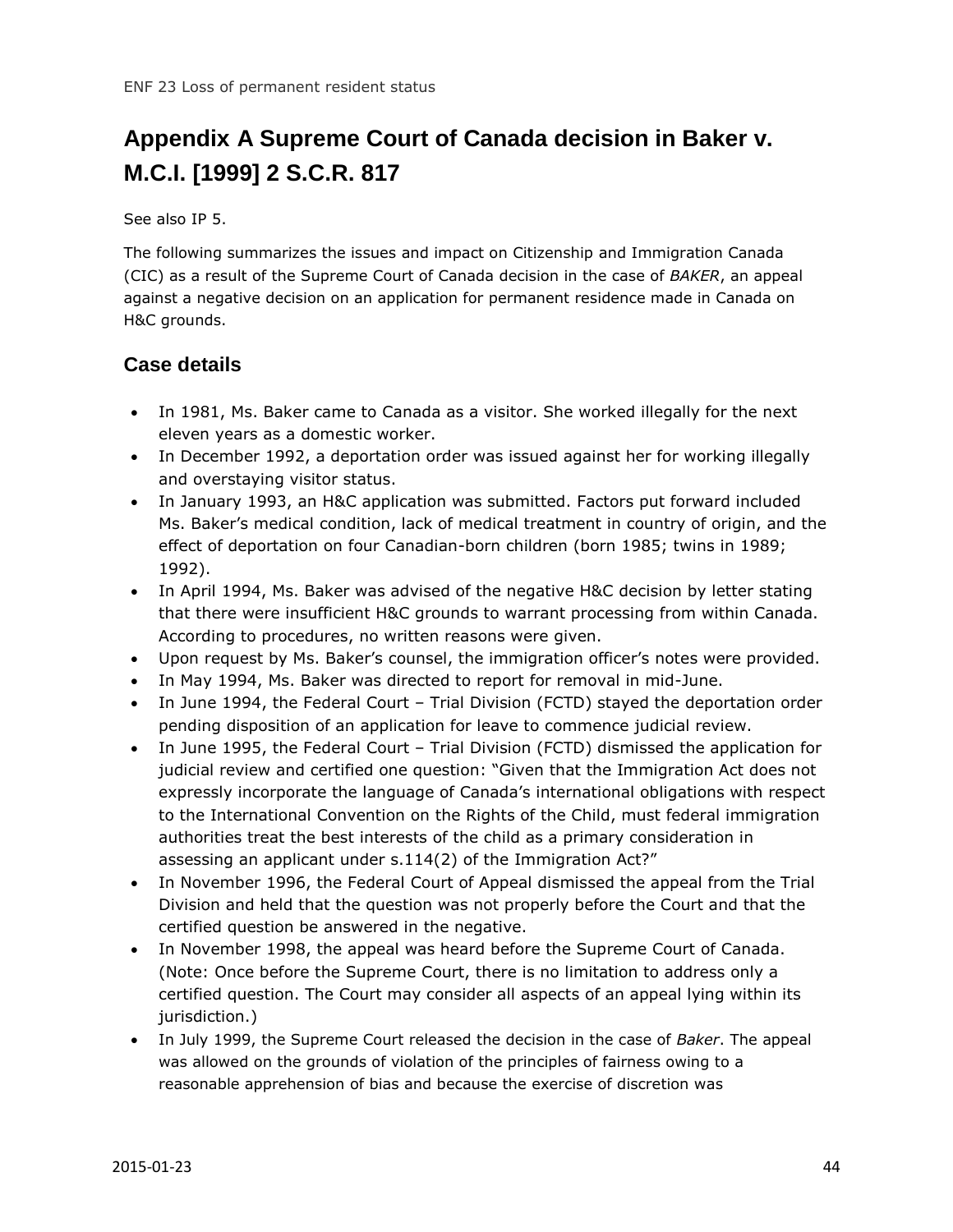## <span id="page-43-0"></span>**Appendix A Supreme Court of Canada decision in Baker v. M.C.I. [1999] 2 S.C.R. 817**

See also IP 5.

The following summarizes the issues and impact on Citizenship and Immigration Canada (CIC) as a result of the Supreme Court of Canada decision in the case of *BAKER*, an appeal against a negative decision on an application for permanent residence made in Canada on H&C grounds.

#### **Case details**

- In 1981, Ms. Baker came to Canada as a visitor. She worked illegally for the next eleven years as a domestic worker.
- In December 1992, a deportation order was issued against her for working illegally and overstaying visitor status.
- In January 1993, an H&C application was submitted. Factors put forward included Ms. Baker's medical condition, lack of medical treatment in country of origin, and the effect of deportation on four Canadian-born children (born 1985; twins in 1989; 1992).
- In April 1994, Ms. Baker was advised of the negative H&C decision by letter stating that there were insufficient H&C grounds to warrant processing from within Canada. According to procedures, no written reasons were given.
- Upon request by Ms. Baker's counsel, the immigration officer's notes were provided.
- In May 1994, Ms. Baker was directed to report for removal in mid-June.
- In June 1994, the Federal Court Trial Division (FCTD) stayed the deportation order pending disposition of an application for leave to commence judicial review.
- In June 1995, the Federal Court Trial Division (FCTD) dismissed the application for judicial review and certified one question: "Given that the Immigration Act does not expressly incorporate the language of Canada's international obligations with respect to the International Convention on the Rights of the Child, must federal immigration authorities treat the best interests of the child as a primary consideration in assessing an applicant under s.114(2) of the Immigration Act?"
- In November 1996, the Federal Court of Appeal dismissed the appeal from the Trial Division and held that the question was not properly before the Court and that the certified question be answered in the negative.
- In November 1998, the appeal was heard before the Supreme Court of Canada. (Note: Once before the Supreme Court, there is no limitation to address only a certified question. The Court may consider all aspects of an appeal lying within its jurisdiction.)
- In July 1999, the Supreme Court released the decision in the case of *Baker*. The appeal was allowed on the grounds of violation of the principles of fairness owing to a reasonable apprehension of bias and because the exercise of discretion was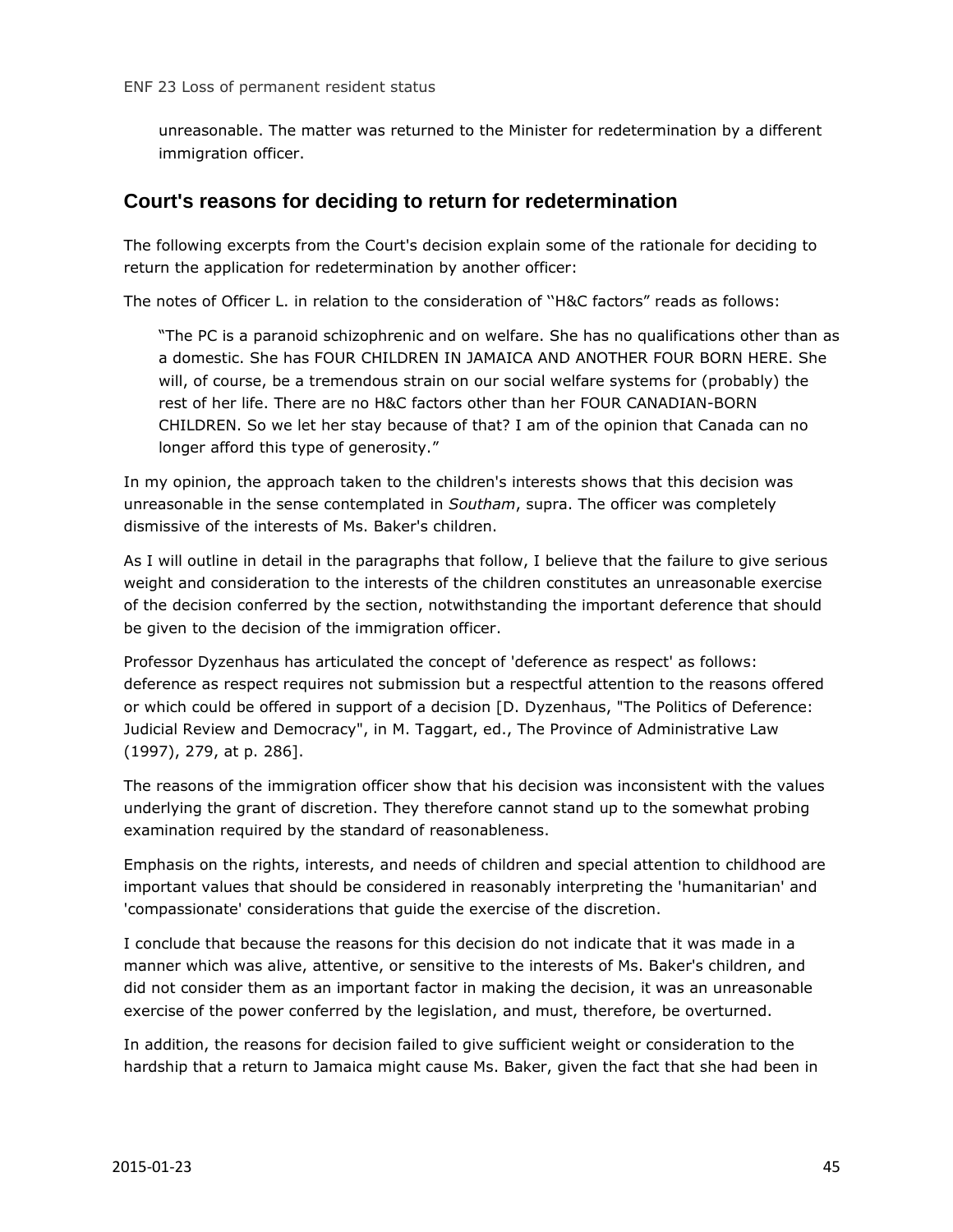unreasonable. The matter was returned to the Minister for redetermination by a different immigration officer.

#### **Court's reasons for deciding to return for redetermination**

The following excerpts from the Court's decision explain some of the rationale for deciding to return the application for redetermination by another officer:

The notes of Officer L. in relation to the consideration of ''H&C factors" reads as follows:

"The PC is a paranoid schizophrenic and on welfare. She has no qualifications other than as a domestic. She has FOUR CHILDREN IN JAMAICA AND ANOTHER FOUR BORN HERE. She will, of course, be a tremendous strain on our social welfare systems for (probably) the rest of her life. There are no H&C factors other than her FOUR CANADIAN-BORN CHILDREN. So we let her stay because of that? I am of the opinion that Canada can no longer afford this type of generosity."

In my opinion, the approach taken to the children's interests shows that this decision was unreasonable in the sense contemplated in *Southam*, supra. The officer was completely dismissive of the interests of Ms. Baker's children.

As I will outline in detail in the paragraphs that follow, I believe that the failure to give serious weight and consideration to the interests of the children constitutes an unreasonable exercise of the decision conferred by the section, notwithstanding the important deference that should be given to the decision of the immigration officer.

Professor Dyzenhaus has articulated the concept of 'deference as respect' as follows: deference as respect requires not submission but a respectful attention to the reasons offered or which could be offered in support of a decision [D. Dyzenhaus, "The Politics of Deference: Judicial Review and Democracy", in M. Taggart, ed., The Province of Administrative Law (1997), 279, at p. 286].

The reasons of the immigration officer show that his decision was inconsistent with the values underlying the grant of discretion. They therefore cannot stand up to the somewhat probing examination required by the standard of reasonableness.

Emphasis on the rights, interests, and needs of children and special attention to childhood are important values that should be considered in reasonably interpreting the 'humanitarian' and 'compassionate' considerations that guide the exercise of the discretion.

I conclude that because the reasons for this decision do not indicate that it was made in a manner which was alive, attentive, or sensitive to the interests of Ms. Baker's children, and did not consider them as an important factor in making the decision, it was an unreasonable exercise of the power conferred by the legislation, and must, therefore, be overturned.

In addition, the reasons for decision failed to give sufficient weight or consideration to the hardship that a return to Jamaica might cause Ms. Baker, given the fact that she had been in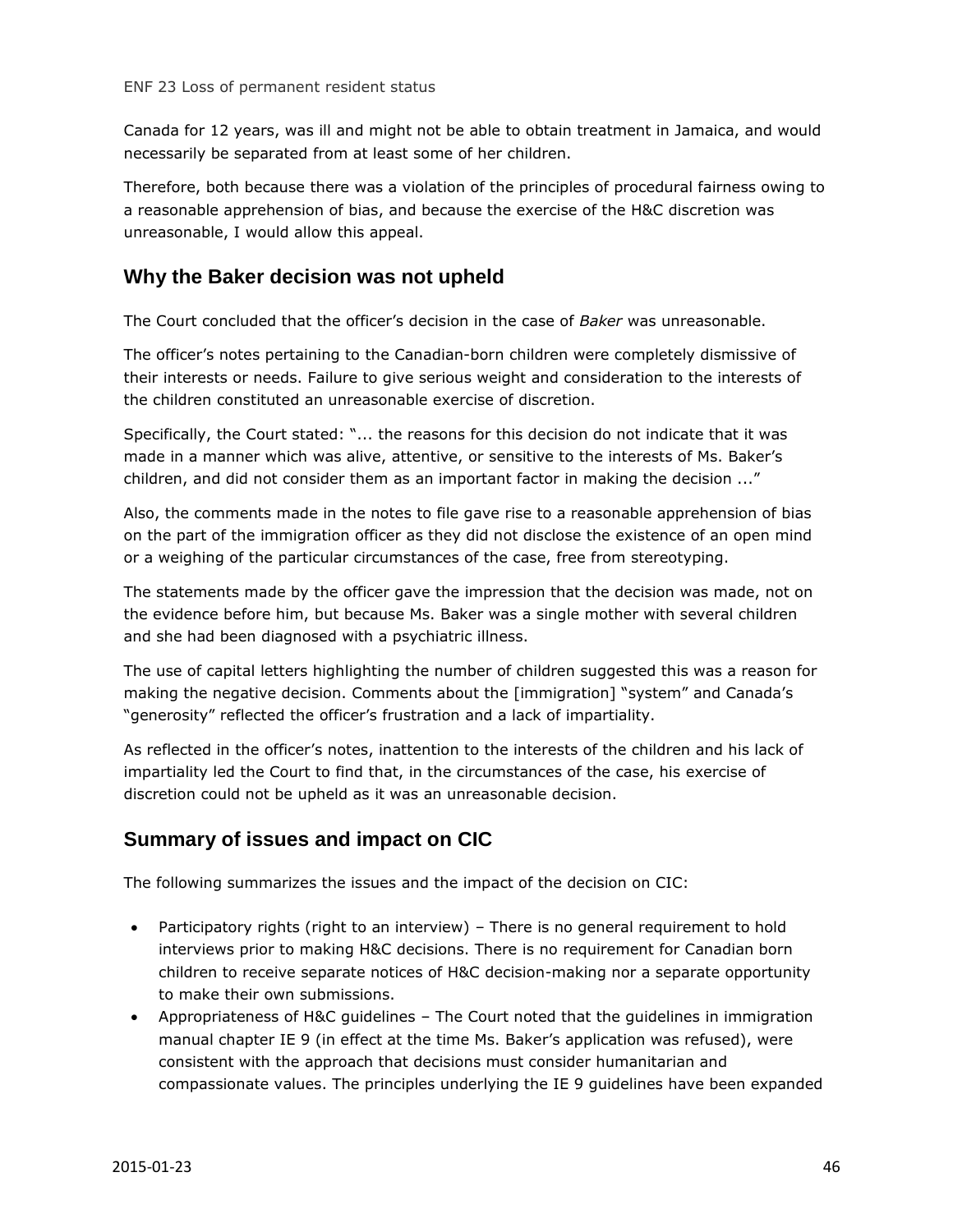Canada for 12 years, was ill and might not be able to obtain treatment in Jamaica, and would necessarily be separated from at least some of her children.

Therefore, both because there was a violation of the principles of procedural fairness owing to a reasonable apprehension of bias, and because the exercise of the H&C discretion was unreasonable, I would allow this appeal.

#### **Why the Baker decision was not upheld**

The Court concluded that the officer's decision in the case of *Baker* was unreasonable.

The officer's notes pertaining to the Canadian-born children were completely dismissive of their interests or needs. Failure to give serious weight and consideration to the interests of the children constituted an unreasonable exercise of discretion.

Specifically, the Court stated: "... the reasons for this decision do not indicate that it was made in a manner which was alive, attentive, or sensitive to the interests of Ms. Baker's children, and did not consider them as an important factor in making the decision ..."

Also, the comments made in the notes to file gave rise to a reasonable apprehension of bias on the part of the immigration officer as they did not disclose the existence of an open mind or a weighing of the particular circumstances of the case, free from stereotyping.

The statements made by the officer gave the impression that the decision was made, not on the evidence before him, but because Ms. Baker was a single mother with several children and she had been diagnosed with a psychiatric illness.

The use of capital letters highlighting the number of children suggested this was a reason for making the negative decision. Comments about the [immigration] "system" and Canada's "generosity" reflected the officer's frustration and a lack of impartiality.

As reflected in the officer's notes, inattention to the interests of the children and his lack of impartiality led the Court to find that, in the circumstances of the case, his exercise of discretion could not be upheld as it was an unreasonable decision.

#### **Summary of issues and impact on CIC**

The following summarizes the issues and the impact of the decision on CIC:

- Participatory rights (right to an interview) There is no general requirement to hold interviews prior to making H&C decisions. There is no requirement for Canadian born children to receive separate notices of H&C decision-making nor a separate opportunity to make their own submissions.
- Appropriateness of H&C guidelines The Court noted that the guidelines in immigration manual chapter IE 9 (in effect at the time Ms. Baker's application was refused), were consistent with the approach that decisions must consider humanitarian and compassionate values. The principles underlying the IE 9 guidelines have been expanded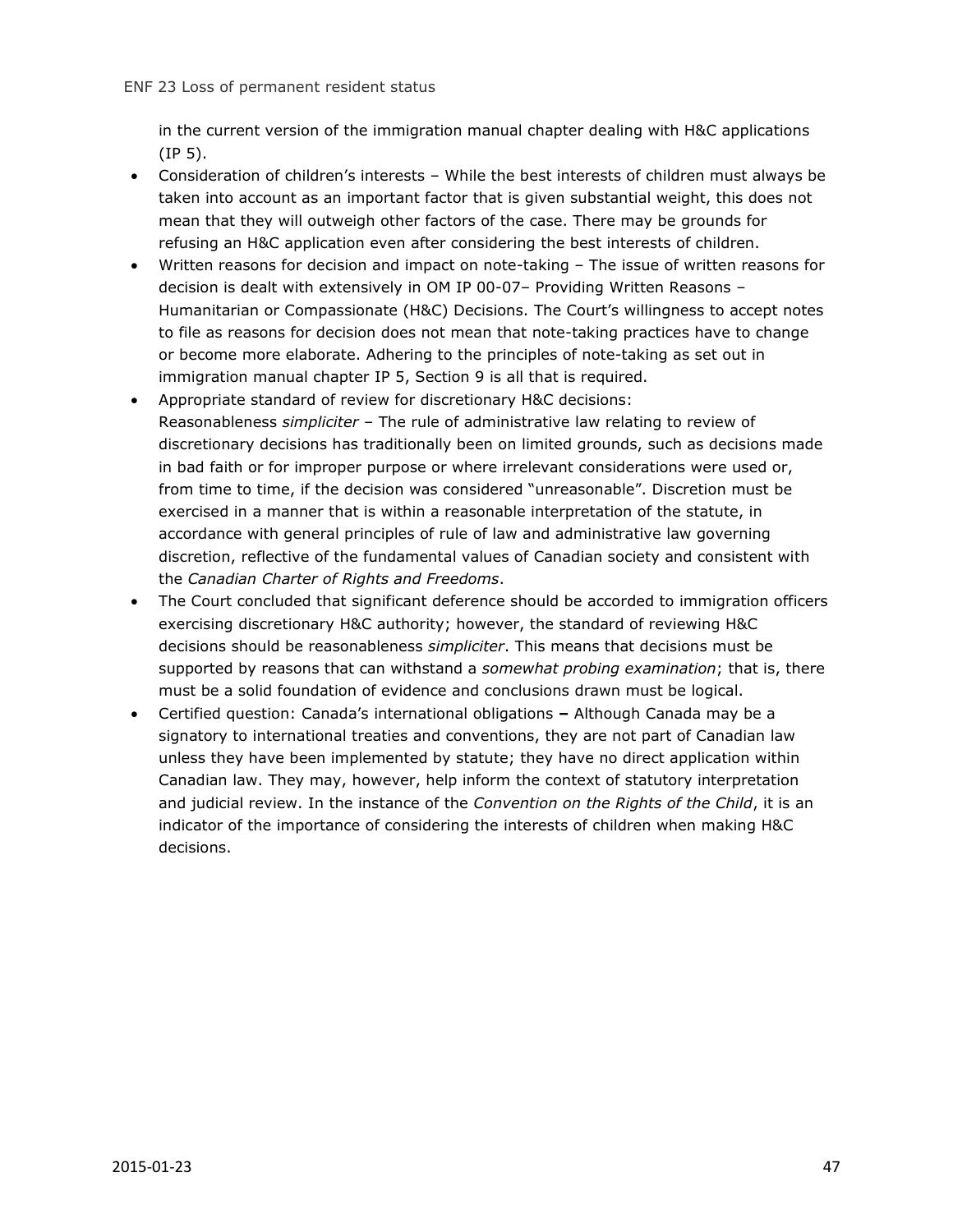in the current version of the immigration manual chapter dealing with H&C applications (IP 5).

- Consideration of children's interests While the best interests of children must always be taken into account as an important factor that is given substantial weight, this does not mean that they will outweigh other factors of the case. There may be grounds for refusing an H&C application even after considering the best interests of children.
- Written reasons for decision and impact on note-taking The issue of written reasons for decision is dealt with extensively in OM IP 00-07– Providing Written Reasons – Humanitarian or Compassionate (H&C) Decisions. The Court's willingness to accept notes to file as reasons for decision does not mean that note-taking practices have to change or become more elaborate. Adhering to the principles of note-taking as set out in immigration manual chapter IP 5, Section 9 is all that is required.
- Appropriate standard of review for discretionary H&C decisions: Reasonableness *simpliciter* – The rule of administrative law relating to review of discretionary decisions has traditionally been on limited grounds, such as decisions made in bad faith or for improper purpose or where irrelevant considerations were used or, from time to time, if the decision was considered "unreasonable". Discretion must be exercised in a manner that is within a reasonable interpretation of the statute, in accordance with general principles of rule of law and administrative law governing discretion, reflective of the fundamental values of Canadian society and consistent with the *Canadian Charter of Rights and Freedoms*.
- The Court concluded that significant deference should be accorded to immigration officers exercising discretionary H&C authority; however, the standard of reviewing H&C decisions should be reasonableness *simpliciter*. This means that decisions must be supported by reasons that can withstand a *somewhat probing examination*; that is, there must be a solid foundation of evidence and conclusions drawn must be logical.
- Certified question: Canada's international obligations **–** Although Canada may be a signatory to international treaties and conventions, they are not part of Canadian law unless they have been implemented by statute; they have no direct application within Canadian law. They may, however, help inform the context of statutory interpretation and judicial review. In the instance of the *Convention on the Rights of the Child*, it is an indicator of the importance of considering the interests of children when making H&C decisions.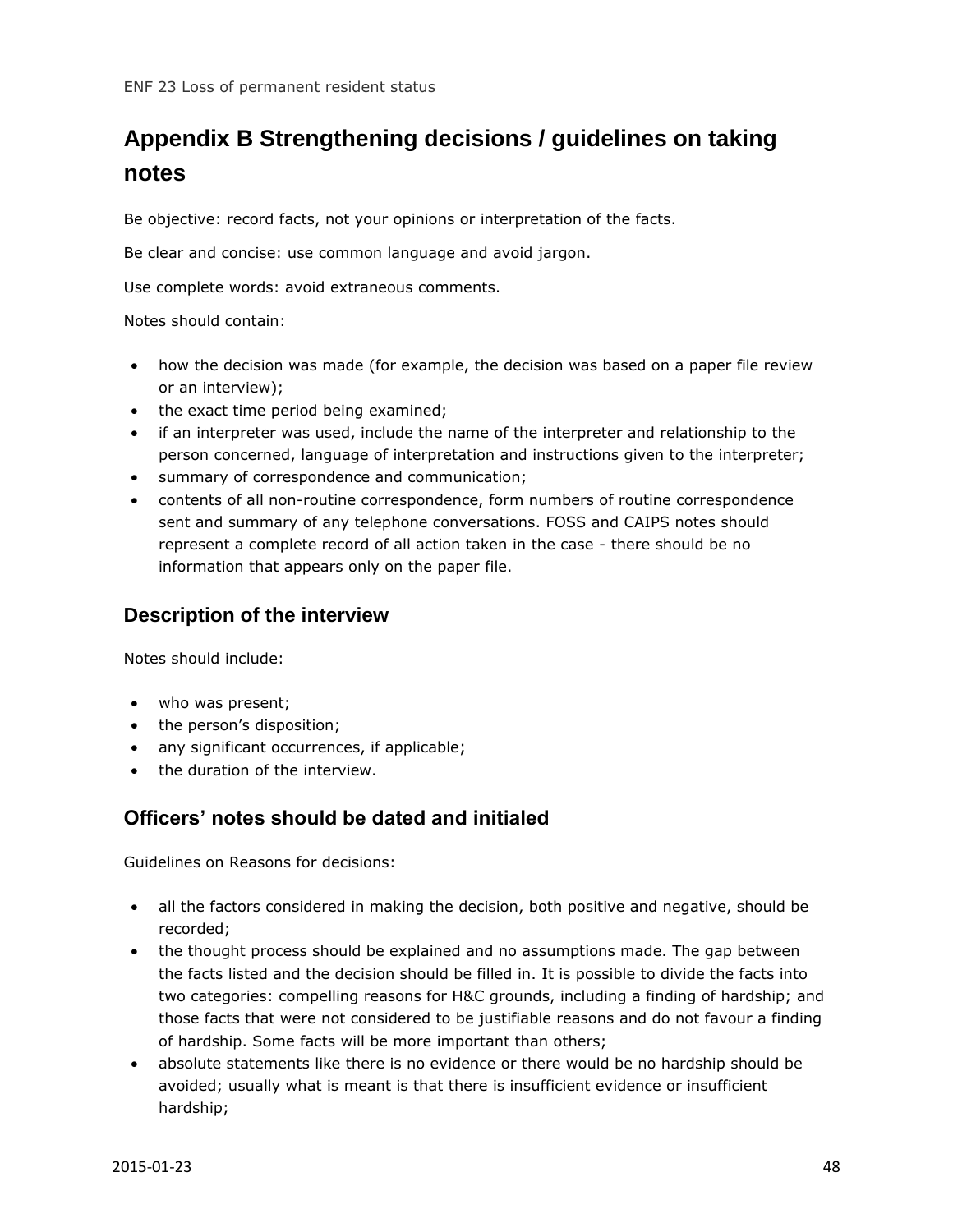## <span id="page-47-0"></span>**Appendix B Strengthening decisions / guidelines on taking notes**

Be objective: record facts, not your opinions or interpretation of the facts.

Be clear and concise: use common language and avoid jargon.

Use complete words: avoid extraneous comments.

Notes should contain:

- how the decision was made (for example, the decision was based on a paper file review or an interview);
- the exact time period being examined;
- if an interpreter was used, include the name of the interpreter and relationship to the person concerned, language of interpretation and instructions given to the interpreter;
- summary of correspondence and communication;
- contents of all non-routine correspondence, form numbers of routine correspondence sent and summary of any telephone conversations. FOSS and CAIPS notes should represent a complete record of all action taken in the case - there should be no information that appears only on the paper file.

#### **Description of the interview**

Notes should include:

- who was present;
- the person's disposition;
- any significant occurrences, if applicable;
- the duration of the interview.

#### **Officers' notes should be dated and initialed**

Guidelines on Reasons for decisions:

- all the factors considered in making the decision, both positive and negative, should be recorded;
- the thought process should be explained and no assumptions made. The gap between the facts listed and the decision should be filled in. It is possible to divide the facts into two categories: compelling reasons for H&C grounds, including a finding of hardship; and those facts that were not considered to be justifiable reasons and do not favour a finding of hardship. Some facts will be more important than others;
- absolute statements like there is no evidence or there would be no hardship should be avoided; usually what is meant is that there is insufficient evidence or insufficient hardship;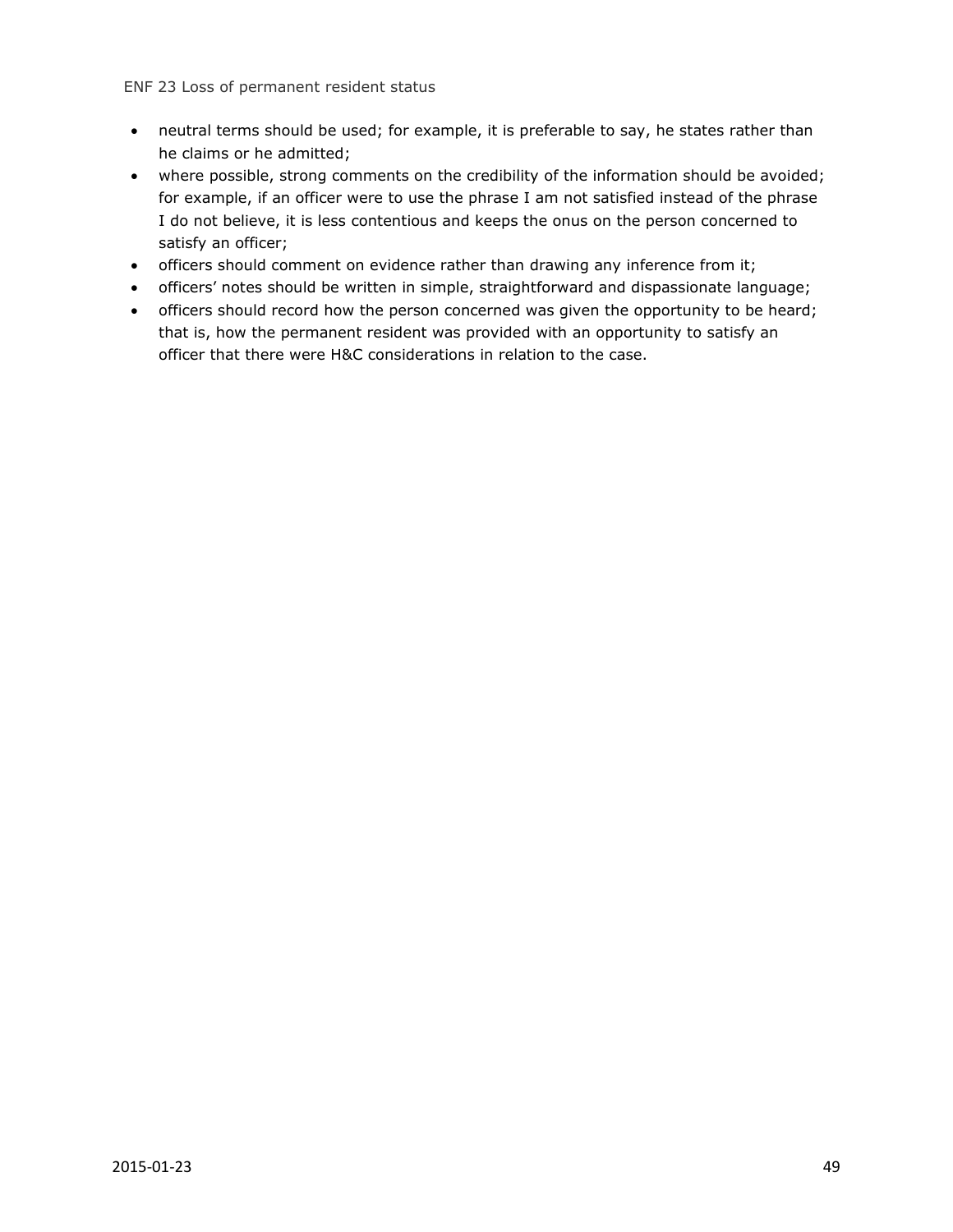- neutral terms should be used; for example, it is preferable to say, he states rather than he claims or he admitted;
- where possible, strong comments on the credibility of the information should be avoided; for example, if an officer were to use the phrase I am not satisfied instead of the phrase I do not believe, it is less contentious and keeps the onus on the person concerned to satisfy an officer;
- officers should comment on evidence rather than drawing any inference from it;
- officers' notes should be written in simple, straightforward and dispassionate language;
- officers should record how the person concerned was given the opportunity to be heard; that is, how the permanent resident was provided with an opportunity to satisfy an officer that there were H&C considerations in relation to the case.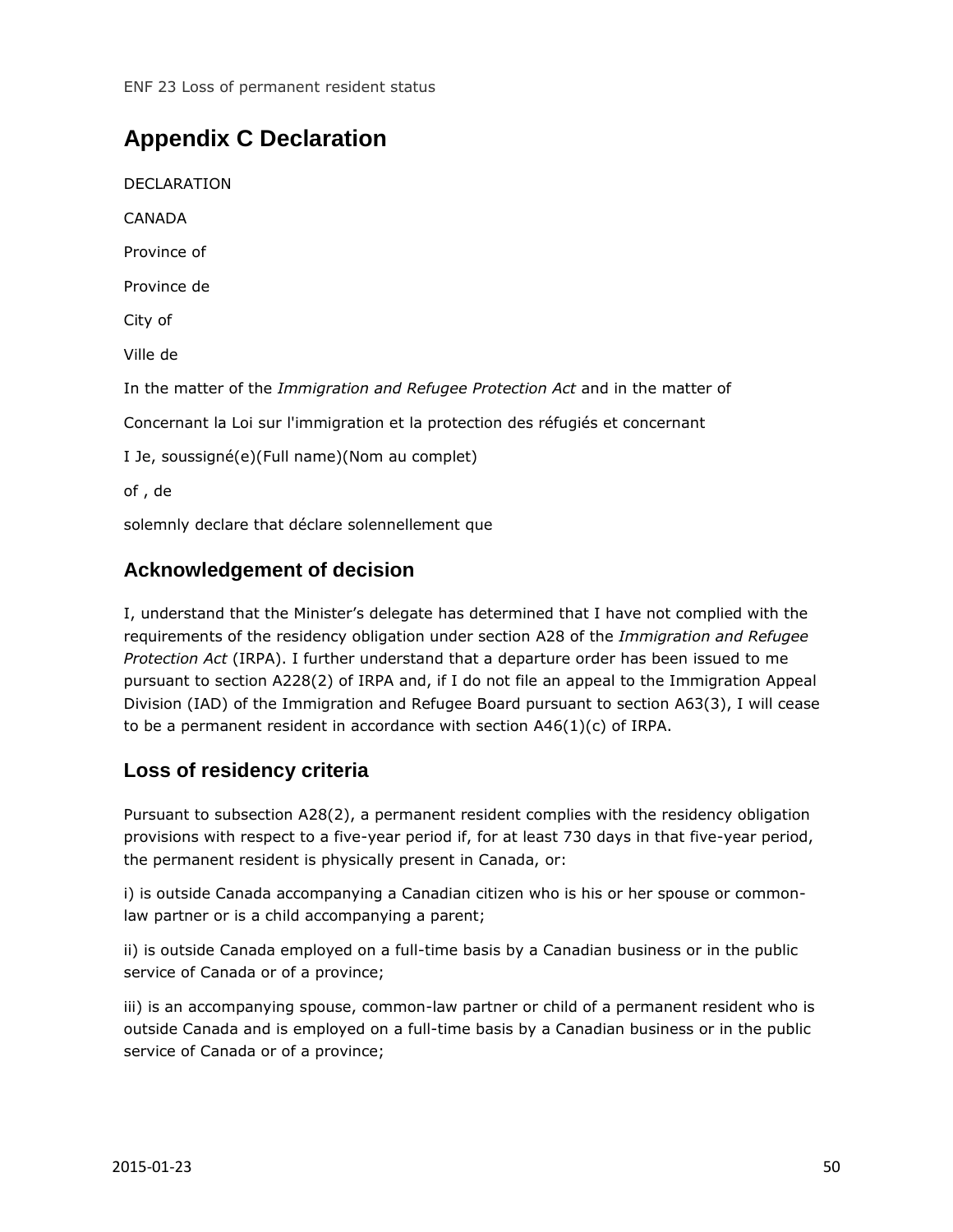## <span id="page-49-0"></span>**Appendix C Declaration**

DECLARATION CANADA Province of Province de City of Ville de In the matter of the *Immigration and Refugee Protection Act* and in the matter of Concernant la Loi sur l'immigration et la protection des réfugiés et concernant I Je, soussigné(e)(Full name)(Nom au complet) of , de solemnly declare that déclare solennellement que

#### **Acknowledgement of decision**

I, understand that the Minister's delegate has determined that I have not complied with the requirements of the residency obligation under section A28 of the *Immigration and Refugee Protection Act* (IRPA). I further understand that a departure order has been issued to me pursuant to section A228(2) of IRPA and, if I do not file an appeal to the Immigration Appeal Division (IAD) of the Immigration and Refugee Board pursuant to section A63(3), I will cease to be a permanent resident in accordance with section A46(1)(c) of IRPA.

#### **Loss of residency criteria**

Pursuant to subsection A28(2), a permanent resident complies with the residency obligation provisions with respect to a five-year period if, for at least 730 days in that five-year period, the permanent resident is physically present in Canada, or:

i) is outside Canada accompanying a Canadian citizen who is his or her spouse or commonlaw partner or is a child accompanying a parent;

ii) is outside Canada employed on a full-time basis by a Canadian business or in the public service of Canada or of a province;

iii) is an accompanying spouse, common-law partner or child of a permanent resident who is outside Canada and is employed on a full-time basis by a Canadian business or in the public service of Canada or of a province;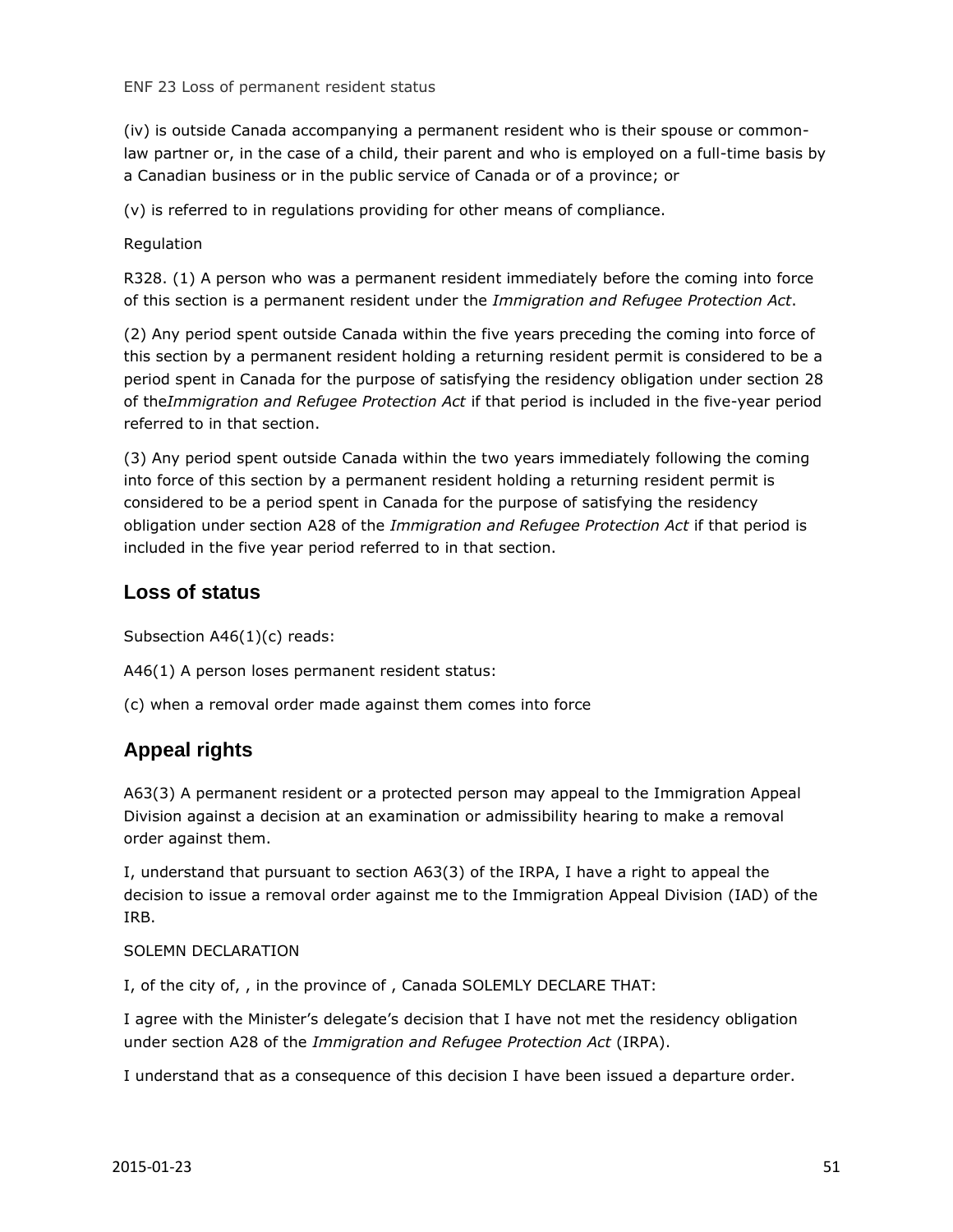ENF 23 Loss of permanent resident status

(iv) is outside Canada accompanying a permanent resident who is their spouse or commonlaw partner or, in the case of a child, their parent and who is employed on a full-time basis by a Canadian business or in the public service of Canada or of a province; or

(v) is referred to in regulations providing for other means of compliance.

#### Regulation

R328. (1) A person who was a permanent resident immediately before the coming into force of this section is a permanent resident under the *Immigration and Refugee Protection Act*.

(2) Any period spent outside Canada within the five years preceding the coming into force of this section by a permanent resident holding a returning resident permit is considered to be a period spent in Canada for the purpose of satisfying the residency obligation under section 28 of the*Immigration and Refugee Protection Act* if that period is included in the five-year period referred to in that section.

(3) Any period spent outside Canada within the two years immediately following the coming into force of this section by a permanent resident holding a returning resident permit is considered to be a period spent in Canada for the purpose of satisfying the residency obligation under section A28 of the *Immigration and Refugee Protection Act* if that period is included in the five year period referred to in that section.

#### **Loss of status**

Subsection A46(1)(c) reads:

A46(1) A person loses permanent resident status:

(c) when a removal order made against them comes into force

#### **Appeal rights**

A63(3) A permanent resident or a protected person may appeal to the Immigration Appeal Division against a decision at an examination or admissibility hearing to make a removal order against them.

I, understand that pursuant to section A63(3) of the IRPA, I have a right to appeal the decision to issue a removal order against me to the Immigration Appeal Division (IAD) of the IRB.

#### SOLEMN DECLARATION

I, of the city of, , in the province of , Canada SOLEMLY DECLARE THAT:

I agree with the Minister's delegate's decision that I have not met the residency obligation under section A28 of the *Immigration and Refugee Protection Act* (IRPA).

I understand that as a consequence of this decision I have been issued a departure order.